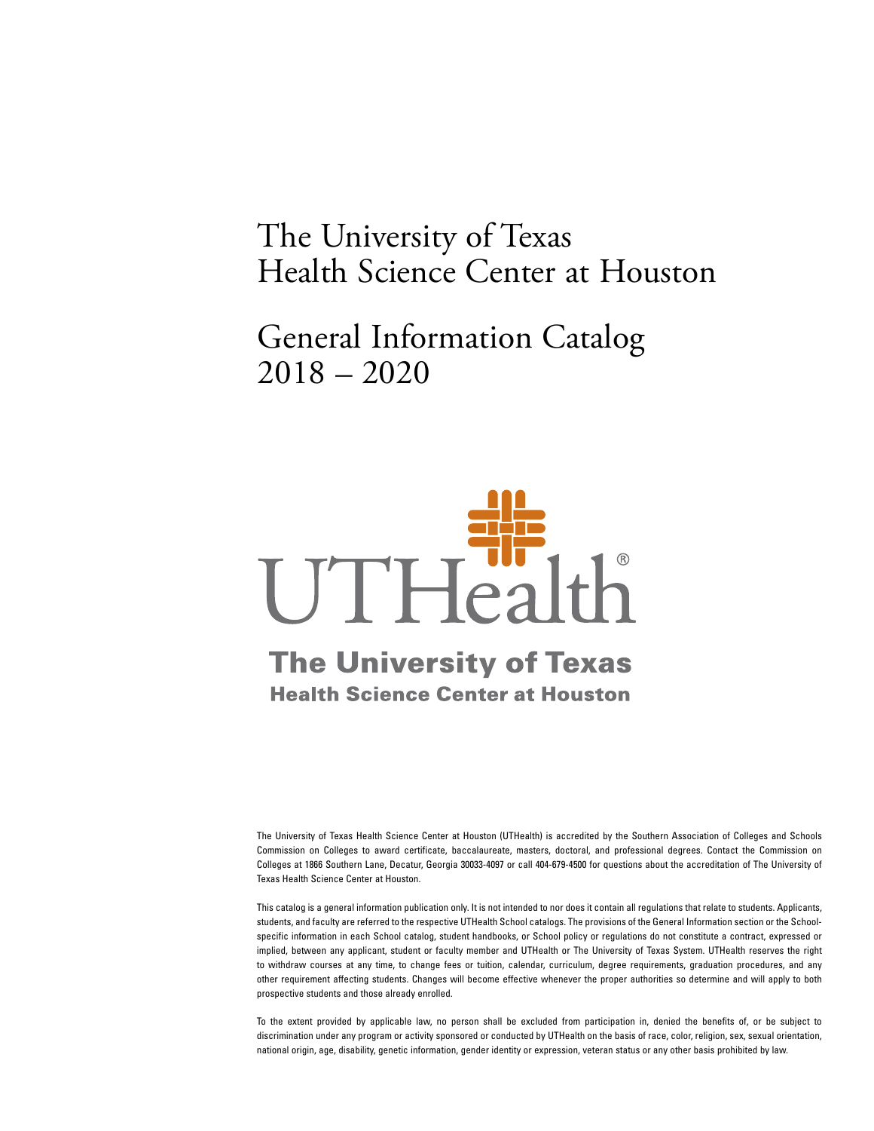# The University of Texas Health Science Center at Houston

General Information Catalog 2018 – 2020

# UTHealth

# **The University of Texas Health Science Center at Houston**

The University of Texas Health Science Center at Houston (UTHealth) is accredited by the Southern Association of Colleges and Schools Commission on Colleges to award certificate, baccalaureate, masters, doctoral, and professional degrees. Contact the Commission on Colleges at 1866 Southern Lane, Decatur, Georgia 30033-4097 or call 404-679-4500 for questions about the accreditation of The University of Texas Health Science Center at Houston.

This catalog is a general information publication only. It is not intended to nor does it contain all regulations that relate to students. Applicants, students, and faculty are referred to the respective UTHealth School catalogs. The provisions of the General Information section or the Schoolspecific information in each School catalog, student handbooks, or School policy or regulations do not constitute a contract, expressed or implied, between any applicant, student or faculty member and UTHealth or The University of Texas System. UTHealth reserves the right to withdraw courses at any time, to change fees or tuition, calendar, curriculum, degree requirements, graduation procedures, and any other requirement affecting students. Changes will become effective whenever the proper authorities so determine and will apply to both prospective students and those already enrolled.

To the extent provided by applicable law, no person shall be excluded from participation in, denied the benefits of, or be subject to discrimination under any program or activity sponsored or conducted by UTHealth on the basis of race, color, religion, sex, sexual orientation, national origin, age, disability, genetic information, gender identity or expression, veteran status or any other basis prohibited by law.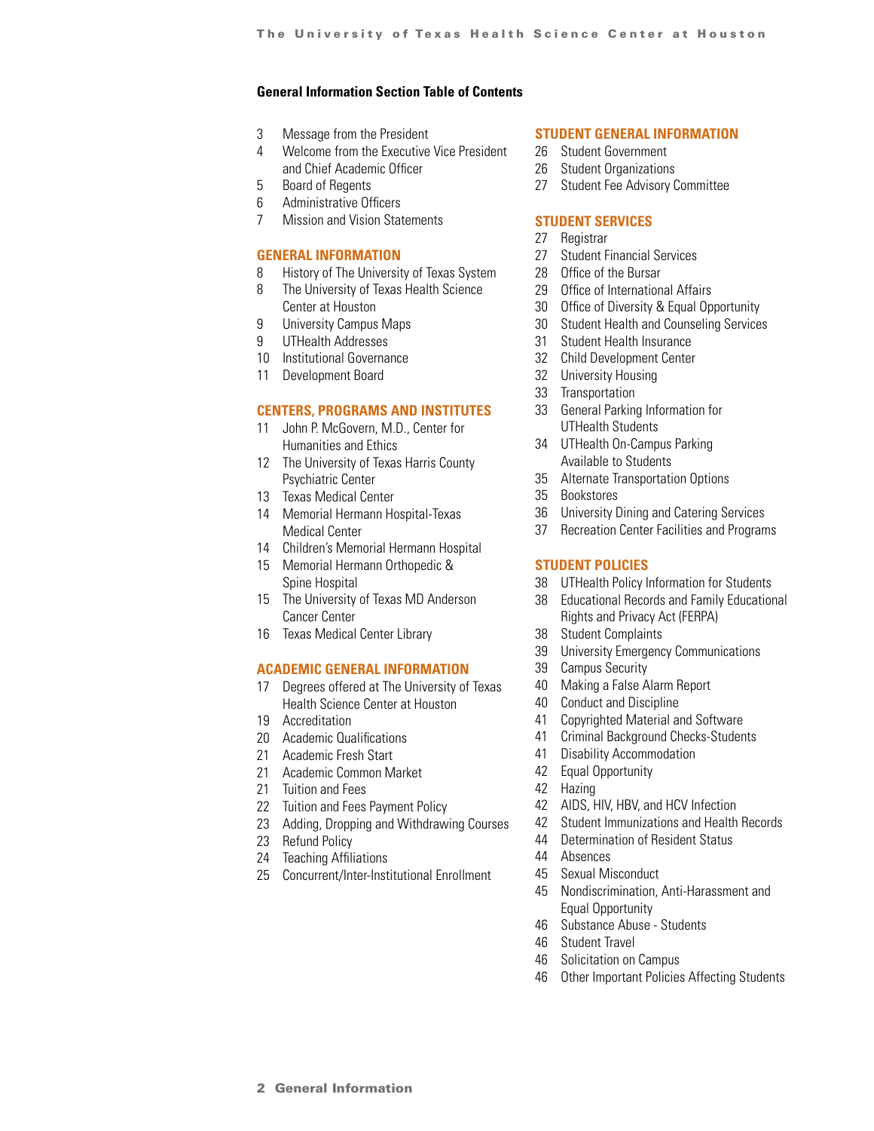### <span id="page-1-0"></span>**General Information Section Table of Contents**

- 3 Message from the President
- 4 Welcome from the Executive Vice President and Chief Academic Officer
- 5 Board of Regents
- 6 Administrative Officers
- 7 Mission and Vision Statements

### **[GENERAL INFORMATION](#page-7-0)**

- 8 History of The University of Texas System
- 8 The University of Texas Health Science Center at Houston
- 9 University Campus Maps
- 9 UTHealth Addresses
- 10 Institutional Governance
- 11 Development Board

### **[CENTERS, PROGRAMS AND INSTITUTES](#page-10-0)**

- 11 John P. McGovern, M.D., Center for Humanities and Ethics
- 12 The University of Texas Harris County Psychiatric Center
- 13 Texas Medical Center
- 14 Memorial Hermann Hospital-Texas Medical Center
- 14 Children's Memorial Hermann Hospital
- 15 Memorial Hermann Orthopedic & Spine Hospital
- 15 The University of Texas MD Anderson Cancer Center
- 16 Texas Medical Center Library

### **[ACADEMIC GENERAL INFORMATION](#page-16-0)**

- 17 Degrees offered at The University of Texas Health Science Center at Houston
- 19 Accreditation
- 20 Academic Qualifications
- 21 Academic Fresh Start
- 21 Academic Common Market
- 21 Tuition and Fees
- 22 Tuition and Fees Payment Policy
- 23 Adding, Dropping and Withdrawing Courses
- 23 Refund Policy
- 24 Teaching Affiliations
- 25 Concurrent/Inter-Institutional Enrollment

### **[STUDENT GENERAL INFORMATION](#page-25-0)**

- 26 Student Government
- 26 Student Organizations
- 27 Student Fee Advisory Committee

### **[STUDENT SERVICES](#page-26-0)**

- 27 Registrar
- 27 Student Financial Services
- 28 Office of the Bursar
- 29 Office of International Affairs
- 30 Office of Diversity & Equal Opportunity
- 30 Student Health and Counseling Services
- 31 Student Health Insurance
- 32 Child Development Center
- 32 University Housing
- 33 Transportation
- 33 General Parking Information for UTHealth Students
- 34 UTHealth On-Campus Parking Available to Students
- 35 Alternate Transportation Options
- 35 Bookstores
- 36 University Dining and Catering Services
- 37 Recreation Center Facilities and Programs

### **[STUDENT POLICIES](#page-37-0)**

- 38 UTHealth Policy Information for Students
- 38 Educational Records and Family Educational Rights and Privacy Act (FERPA)
- 38 Student Complaints
- 39 University Emergency Communications
- 39 Campus Security
- 40 Making a False Alarm Report
- 40 Conduct and Discipline
- 41 Copyrighted Material and Software
- 41 Criminal Background Checks-Students
- 41 Disability Accommodation
- 42 Equal Opportunity
- 42 Hazing
- 42 AIDS, HIV, HBV, and HCV Infection
- 42 Student Immunizations and Health Records
- 44 Determination of Resident Status
- 44 Absences
- 45 Sexual Misconduct
- 45 Nondiscrimination, Anti-Harassment and Equal Opportunity
- 46 Substance Abuse Students
- 46 Student Travel
- 46 Solicitation on Campus
- 46 Other Important Policies Affecting Students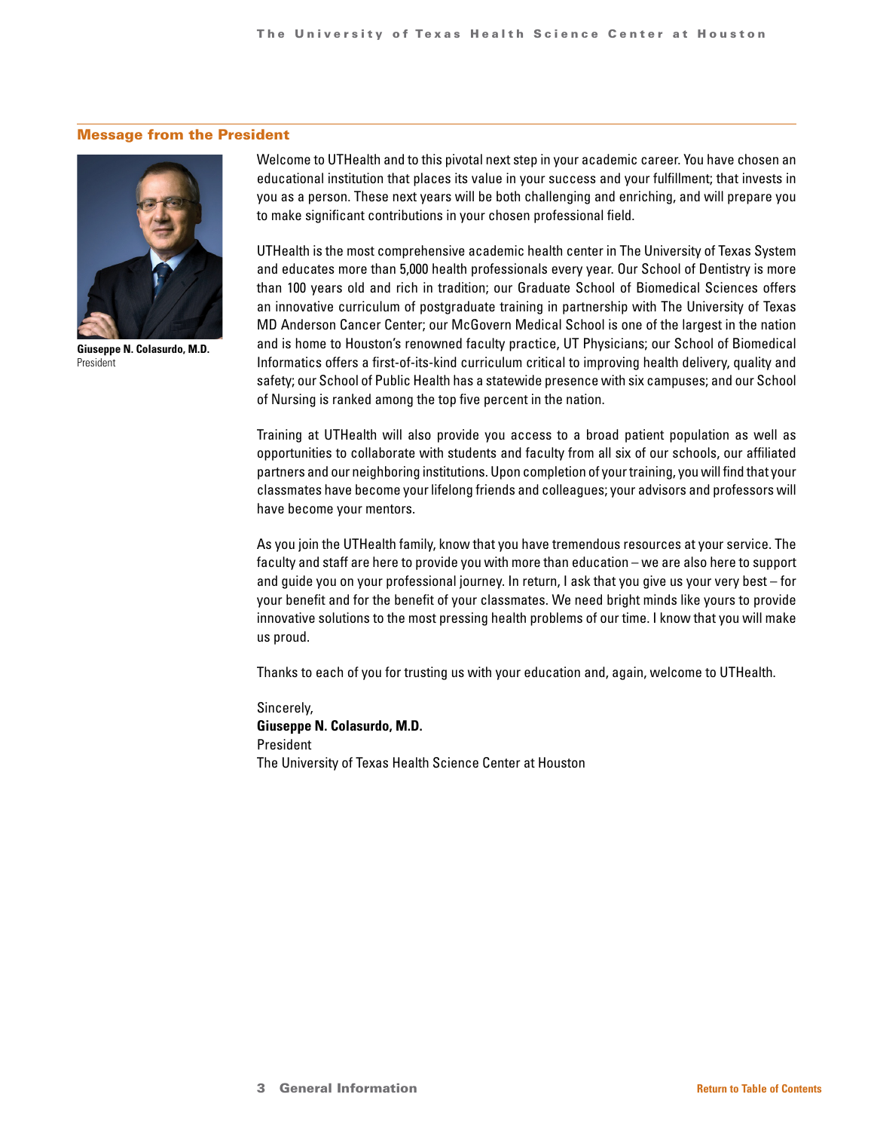### Message from the President



**Giuseppe N. Colasurdo, M.D.** President

Welcome to UTHealth and to this pivotal next step in your academic career. You have chosen an educational institution that places its value in your success and your fulfillment; that invests in you as a person. These next years will be both challenging and enriching, and will prepare you to make significant contributions in your chosen professional field.

UTHealth is the most comprehensive academic health center in The University of Texas System and educates more than 5,000 health professionals every year. Our School of Dentistry is more than 100 years old and rich in tradition; our Graduate School of Biomedical Sciences offers an innovative curriculum of postgraduate training in partnership with The University of Texas MD Anderson Cancer Center; our McGovern Medical School is one of the largest in the nation and is home to Houston's renowned faculty practice, UT Physicians; our School of Biomedical Informatics offers a first-of-its-kind curriculum critical to improving health delivery, quality and safety; our School of Public Health has a statewide presence with six campuses; and our School of Nursing is ranked among the top five percent in the nation.

Training at UTHealth will also provide you access to a broad patient population as well as opportunities to collaborate with students and faculty from all six of our schools, our affiliated partners and our neighboring institutions. Upon completion of your training, you will find that your classmates have become your lifelong friends and colleagues; your advisors and professors will have become your mentors.

As you join the UTHealth family, know that you have tremendous resources at your service. The faculty and staff are here to provide you with more than education – we are also here to support and guide you on your professional journey. In return, I ask that you give us your very best – for your benefit and for the benefit of your classmates. We need bright minds like yours to provide innovative solutions to the most pressing health problems of our time. I know that you will make us proud.

Thanks to each of you for trusting us with your education and, again, welcome to UTHealth.

Sincerely, **Giuseppe N. Colasurdo, M.D.** President The University of Texas Health Science Center at Houston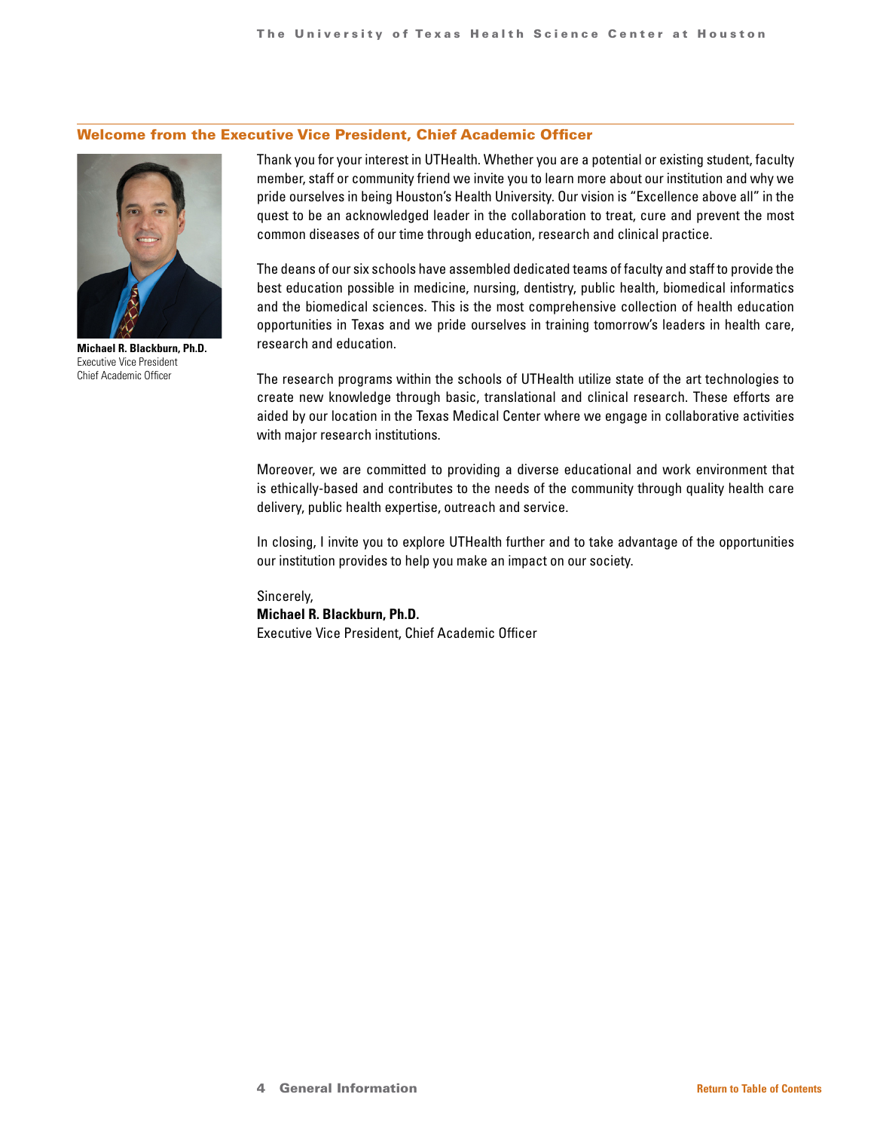### Welcome from the Executive Vice President, Chief Academic Officer



**Michael R. Blackburn, Ph.D.** Executive Vice President Chief Academic Officer

Thank you for your interest in UTHealth. Whether you are a potential or existing student, faculty member, staff or community friend we invite you to learn more about our institution and why we pride ourselves in being Houston's Health University. Our vision is "Excellence above all" in the quest to be an acknowledged leader in the collaboration to treat, cure and prevent the most common diseases of our time through education, research and clinical practice.

The deans of our six schools have assembled dedicated teams of faculty and staff to provide the best education possible in medicine, nursing, dentistry, public health, biomedical informatics and the biomedical sciences. This is the most comprehensive collection of health education opportunities in Texas and we pride ourselves in training tomorrow's leaders in health care, research and education.

The research programs within the schools of UTHealth utilize state of the art technologies to create new knowledge through basic, translational and clinical research. These efforts are aided by our location in the Texas Medical Center where we engage in collaborative activities with major research institutions.

Moreover, we are committed to providing a diverse educational and work environment that is ethically-based and contributes to the needs of the community through quality health care delivery, public health expertise, outreach and service.

In closing, I invite you to explore UTHealth further and to take advantage of the opportunities our institution provides to help you make an impact on our society.

Sincerely, **Michael R. Blackburn, Ph.D.** Executive Vice President, Chief Academic Officer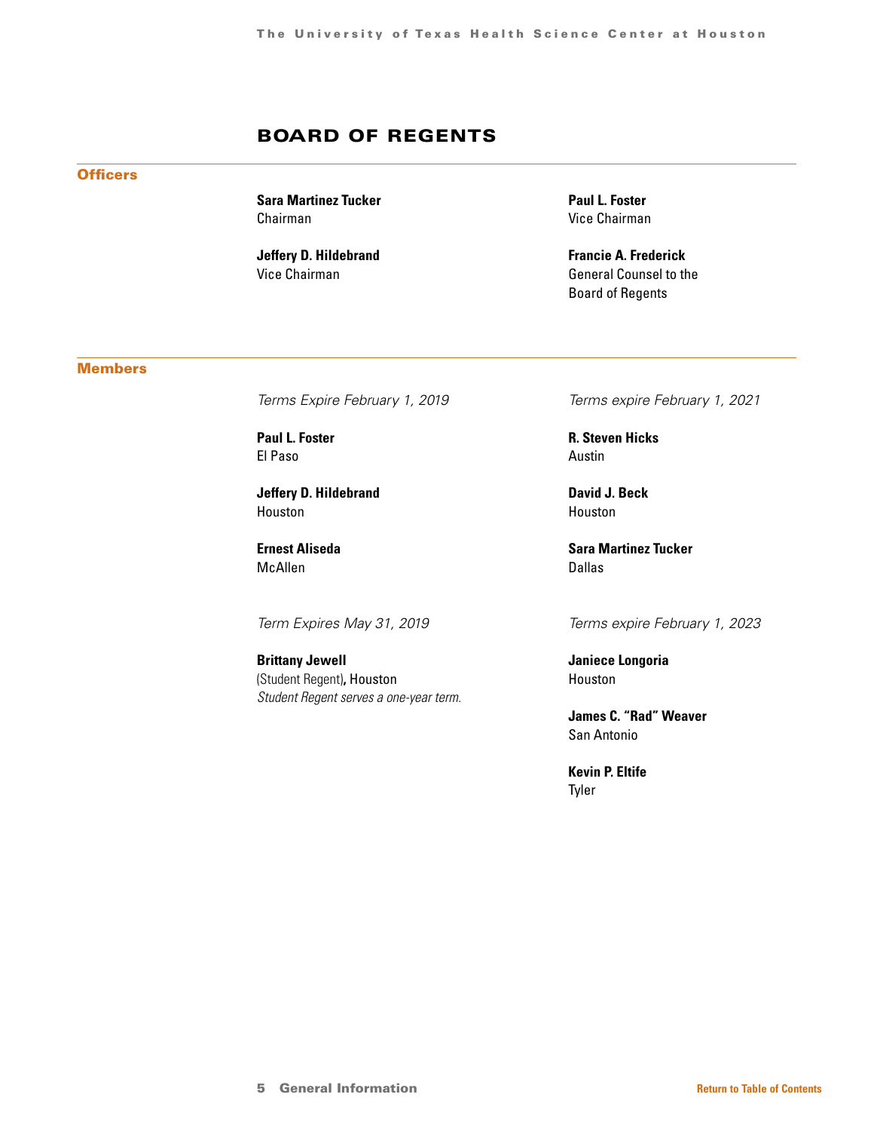# BOARD OF REGENTS

### **Officers**

**Sara Martinez Tucker** Chairman

**Jeffery D. Hildebrand** Vice Chairman

**Paul L. Foster** Vice Chairman

**Francie A. Frederick** General Counsel to the Board of Regents

### **Members**

*Terms Expire February 1, 2019*

**Paul L. Foster** El Paso

**Jeffery D. Hildebrand** Houston

**Ernest Aliseda** McAllen

*Term Expires May 31, 2019*

**Brittany Jewell**  (Student Regent)**,** Houston *Student Regent serves a one-year term.* *Terms expire February 1, 2021*

**R. Steven Hicks** Austin

**David J. Beck** Houston

**Sara Martinez Tucker** Dallas

*Terms expire February 1, 2023*

**Janiece Longoria** Houston

**James C. "Rad" Weaver** San Antonio

**Kevin P. Eltife** Tyler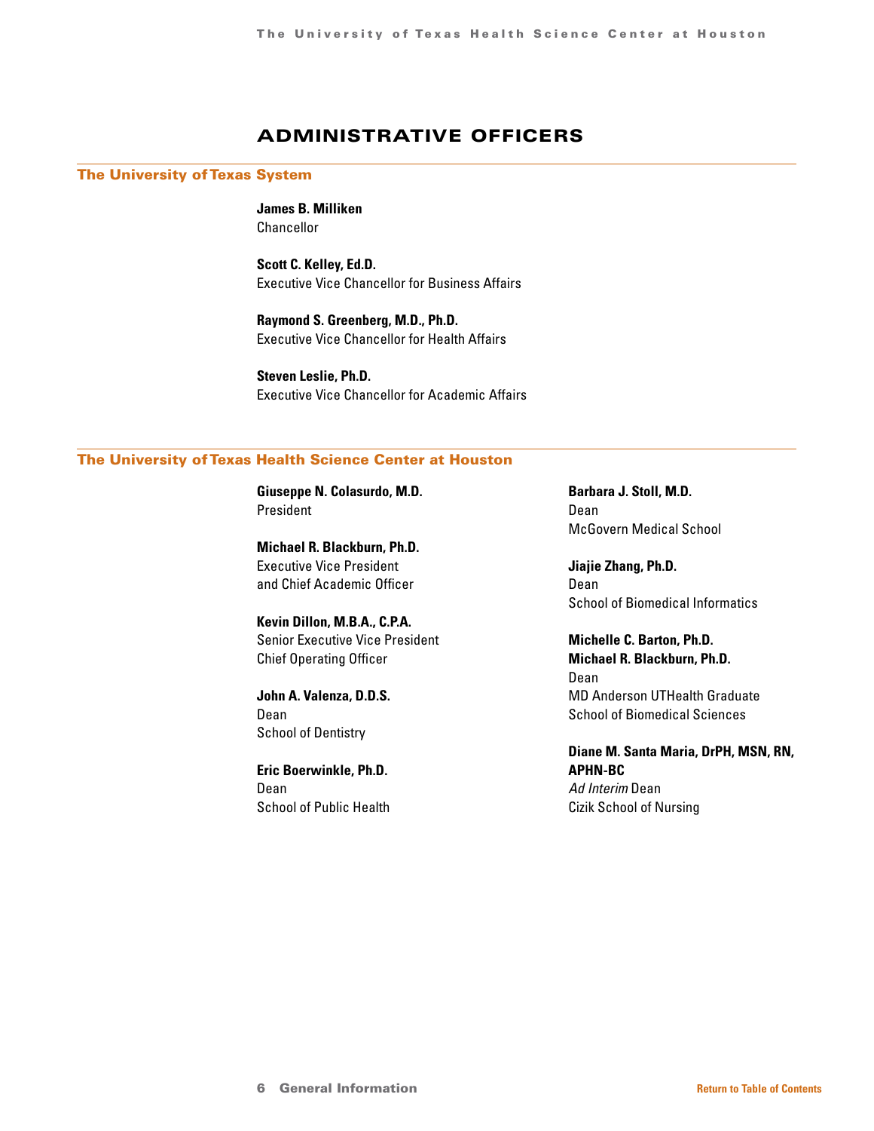# ADMINISTRATIVE OFFICERS

### The University of Texas System

**James B. Milliken** Chancellor

**Scott C. Kelley, Ed.D.** Executive Vice Chancellor for Business Affairs

**Raymond S. Greenberg, M.D., Ph.D.** Executive Vice Chancellor for Health Affairs

**Steven Leslie, Ph.D.** Executive Vice Chancellor for Academic Affairs

### The University of Texas Health Science Center at Houston

**Giuseppe N. Colasurdo, M.D.** President

**Michael R. Blackburn, Ph.D.** Executive Vice President and Chief Academic Officer

**Kevin Dillon, M.B.A., C.P.A.** Senior Executive Vice President Chief Operating Officer

**John A. Valenza, D.D.S.** Dean School of Dentistry

**Eric Boerwinkle, Ph.D.** Dean School of Public Health **Barbara J. Stoll, M.D.** Dean McGovern Medical School

**Jiajie Zhang, Ph.D.** Dean School of Biomedical Informatics

**Michelle C. Barton, Ph.D. Michael R. Blackburn, Ph.D.** Dean MD Anderson UTHealth Graduate School of Biomedical Sciences

**Diane M. Santa Maria, DrPH, MSN, RN, APHN-BC** *Ad Interim* Dean Cizik School of Nursing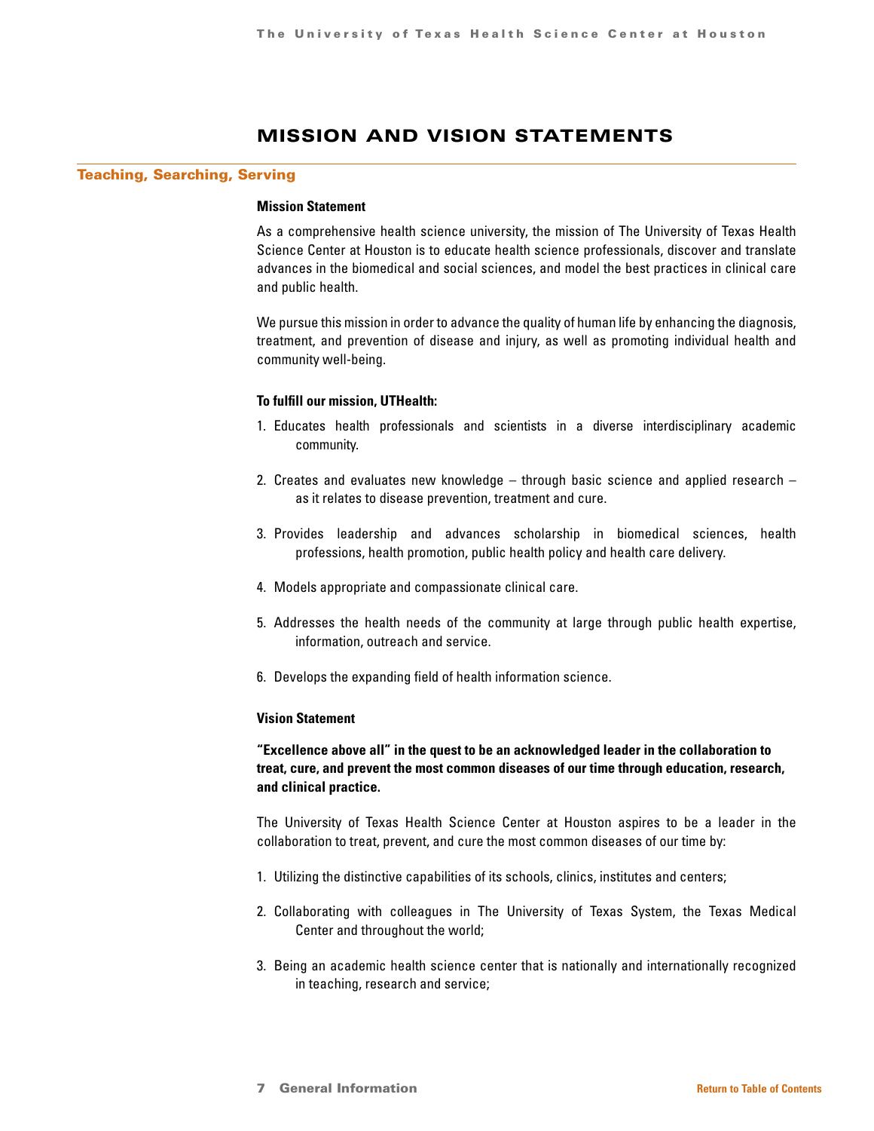# MISSION AND VISION STATEMENTS

### Teaching, Searching, Serving

### **Mission Statement**

As a comprehensive health science university, the mission of The University of Texas Health Science Center at Houston is to educate health science professionals, discover and translate advances in the biomedical and social sciences, and model the best practices in clinical care and public health.

We pursue this mission in order to advance the quality of human life by enhancing the diagnosis, treatment, and prevention of disease and injury, as well as promoting individual health and community well-being.

### **To fulfill our mission, UTHealth:**

- 1. Educates health professionals and scientists in a diverse interdisciplinary academic community.
- 2. Creates and evaluates new knowledge through basic science and applied research as it relates to disease prevention, treatment and cure.
- 3. Provides leadership and advances scholarship in biomedical sciences, health professions, health promotion, public health policy and health care delivery.
- 4. Models appropriate and compassionate clinical care.
- 5. Addresses the health needs of the community at large through public health expertise, information, outreach and service.
- 6. Develops the expanding field of health information science.

### **Vision Statement**

### **"Excellence above all" in the quest to be an acknowledged leader in the collaboration to treat, cure, and prevent the most common diseases of our time through education, research, and clinical practice.**

The University of Texas Health Science Center at Houston aspires to be a leader in the collaboration to treat, prevent, and cure the most common diseases of our time by:

- 1. Utilizing the distinctive capabilities of its schools, clinics, institutes and centers;
- 2. Collaborating with colleagues in The University of Texas System, the Texas Medical Center and throughout the world;
- 3. Being an academic health science center that is nationally and internationally recognized in teaching, research and service;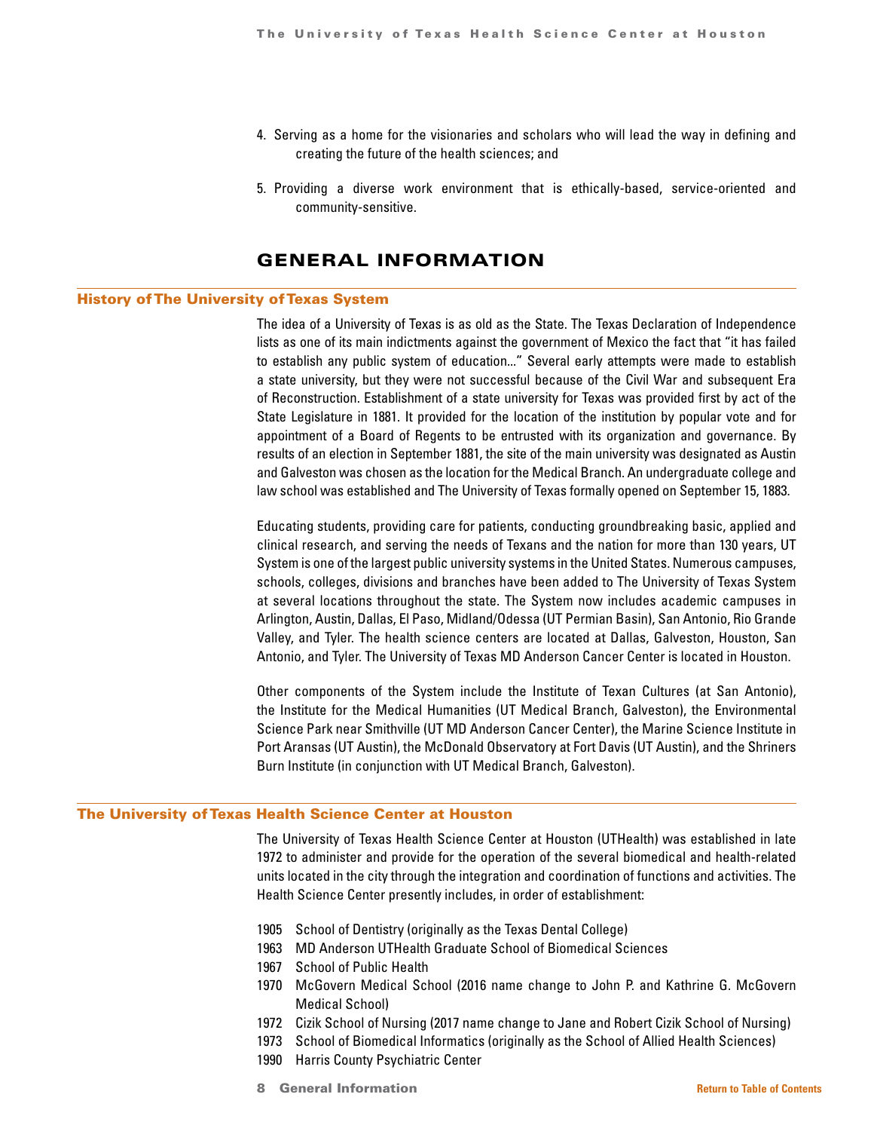- <span id="page-7-0"></span>4. Serving as a home for the visionaries and scholars who will lead the way in defining and creating the future of the health sciences; and
- 5. Providing a diverse work environment that is ethically-based, service-oriented and community-sensitive.

# GENERAL INFORMATION

### History of The University of Texas System

The idea of a University of Texas is as old as the State. The Texas Declaration of Independence lists as one of its main indictments against the government of Mexico the fact that "it has failed to establish any public system of education..." Several early attempts were made to establish a state university, but they were not successful because of the Civil War and subsequent Era of Reconstruction. Establishment of a state university for Texas was provided first by act of the State Legislature in 1881. It provided for the location of the institution by popular vote and for appointment of a Board of Regents to be entrusted with its organization and governance. By results of an election in September 1881, the site of the main university was designated as Austin and Galveston was chosen as the location for the Medical Branch. An undergraduate college and law school was established and The University of Texas formally opened on September 15, 1883.

Educating students, providing care for patients, conducting groundbreaking basic, applied and clinical research, and serving the needs of Texans and the nation for more than 130 years, UT System is one of the largest public university systems in the United States. Numerous campuses, schools, colleges, divisions and branches have been added to The University of Texas System at several locations throughout the state. The System now includes academic campuses in Arlington, Austin, Dallas, El Paso, Midland/Odessa (UT Permian Basin), San Antonio, Rio Grande Valley, and Tyler. The health science centers are located at Dallas, Galveston, Houston, San Antonio, and Tyler. The University of Texas MD Anderson Cancer Center is located in Houston.

Other components of the System include the Institute of Texan Cultures (at San Antonio), the Institute for the Medical Humanities (UT Medical Branch, Galveston), the Environmental Science Park near Smithville (UT MD Anderson Cancer Center), the Marine Science Institute in Port Aransas (UT Austin), the McDonald Observatory at Fort Davis (UT Austin), and the Shriners Burn Institute (in conjunction with UT Medical Branch, Galveston).

### The University of Texas Health Science Center at Houston

The University of Texas Health Science Center at Houston (UTHealth) was established in late 1972 to administer and provide for the operation of the several biomedical and health-related units located in the city through the integration and coordination of functions and activities. The Health Science Center presently includes, in order of establishment:

- 1905 School of Dentistry (originally as the Texas Dental College)
- 1963 MD Anderson UTHealth Graduate School of Biomedical Sciences
- 1967 School of Public Health
- 1970 McGovern Medical School (2016 name change to John P. and Kathrine G. McGovern Medical School)
- 1972 Cizik School of Nursing (2017 name change to Jane and Robert Cizik School of Nursing)
- 1973 School of Biomedical Informatics (originally as the School of Allied Health Sciences)
- 1990 Harris County Psychiatric Center
- 8 **General Information [Return to Table of Contents](#page-1-0)**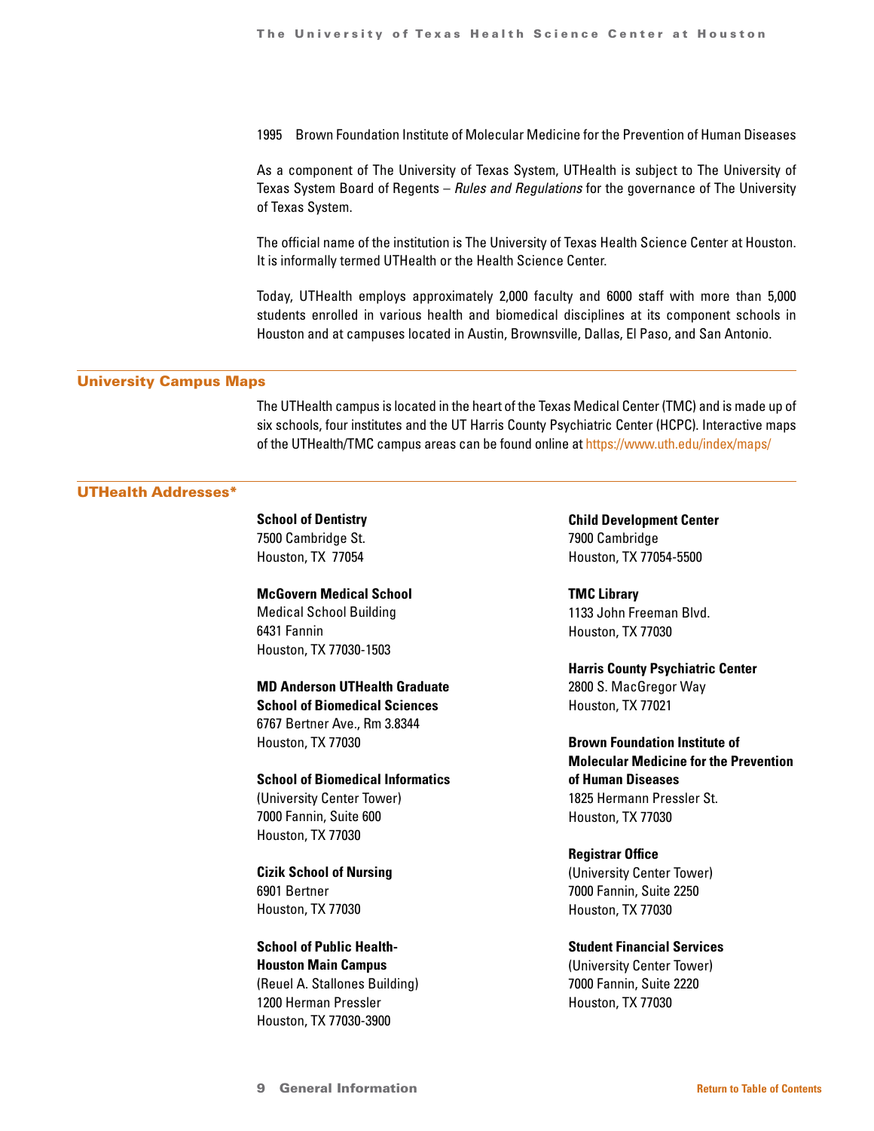1995 Brown Foundation Institute of Molecular Medicine for the Prevention of Human Diseases

As a component of The University of Texas System, UTHealth is subject to The University of Texas System Board of Regents – *Rules and Regulations* for the governance of The University of Texas System.

The official name of the institution is The University of Texas Health Science Center at Houston. It is informally termed UTHealth or the Health Science Center.

Today, UTHealth employs approximately 2,000 faculty and 6000 staff with more than 5,000 students enrolled in various health and biomedical disciplines at its component schools in Houston and at campuses located in Austin, Brownsville, Dallas, El Paso, and San Antonio.

### University Campus Maps

The UTHealth campus is located in the heart of the Texas Medical Center (TMC) and is made up of six schools, four institutes and the UT Harris County Psychiatric Center (HCPC). Interactive maps of the UTHealth/TMC campus areas can be found online at<https://www.uth.edu/index/maps/>

### UTHealth Addresses\*

**School of Dentistry** 7500 Cambridge St. Houston, TX 77054

**McGovern Medical School**  Medical School Building 6431 Fannin Houston, TX 77030-1503

**MD Anderson UTHealth Graduate School of Biomedical Sciences** 6767 Bertner Ave., Rm 3.8344 Houston, TX 77030

**School of Biomedical Informatics** (University Center Tower) 7000 Fannin, Suite 600 Houston, TX 77030

**Cizik School of Nursing**  6901 Bertner Houston, TX 77030

**School of Public Health-Houston Main Campus**  (Reuel A. Stallones Building) 1200 Herman Pressler Houston, TX 77030-3900

**Child Development Center** 7900 Cambridge Houston, TX 77054-5500

**TMC Library** 1133 John Freeman Blvd. Houston, TX 77030

**Harris County Psychiatric Center** 2800 S. MacGregor Way Houston, TX 77021

**Brown Foundation Institute of Molecular Medicine for the Prevention of Human Diseases** 1825 Hermann Pressler St. Houston, TX 77030

**Registrar Office** (University Center Tower) 7000 Fannin, Suite 2250 Houston, TX 77030

**Student Financial Services** (University Center Tower) 7000 Fannin, Suite 2220 Houston, TX 77030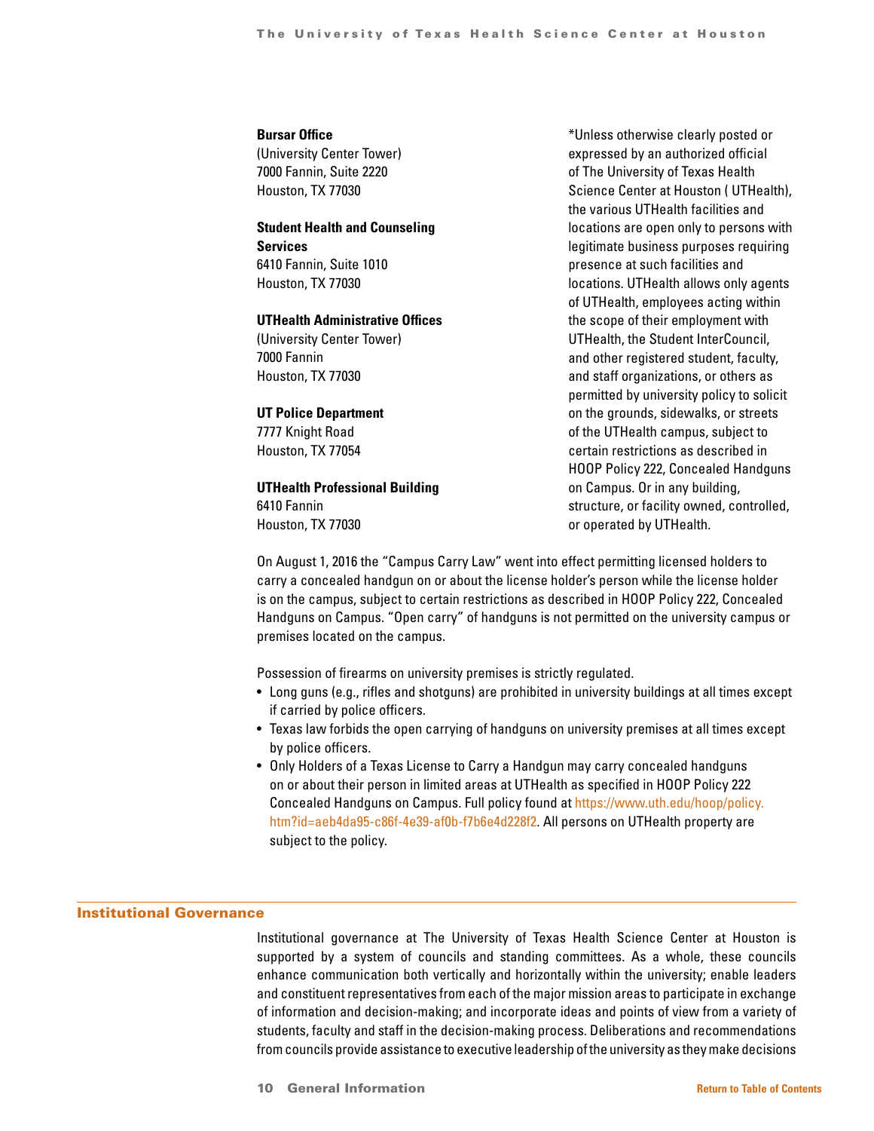### **Bursar Office**

(University Center Tower) 7000 Fannin, Suite 2220 Houston, TX 77030

**Student Health and Counseling Services** 6410 Fannin, Suite 1010 Houston, TX 77030

### **UTHealth Administrative Offices**

(University Center Tower) 7000 Fannin Houston, TX 77030

### **UT Police Department**

7777 Knight Road Houston, TX 77054

### **UTHealth Professional Building**

6410 Fannin Houston, TX 77030

\*Unless otherwise clearly posted or expressed by an authorized official of The University of Texas Health Science Center at Houston ( UTHealth), the various UTHealth facilities and locations are open only to persons with legitimate business purposes requiring presence at such facilities and locations. UTHealth allows only agents of UTHealth, employees acting within the scope of their employment with UTHealth, the Student InterCouncil, and other registered student, faculty, and staff organizations, or others as permitted by university policy to solicit on the grounds, sidewalks, or streets of the UTHealth campus, subject to certain restrictions as described in HOOP Policy 222, Concealed Handguns on Campus. Or in any building, structure, or facility owned, controlled, or operated by UTHealth.

On August 1, 2016 the "Campus Carry Law" went into effect permitting licensed holders to carry a concealed handgun on or about the license holder's person while the license holder is on the campus, subject to certain restrictions as described in HOOP Policy 222, Concealed Handguns on Campus. "Open carry" of handguns is not permitted on the university campus or premises located on the campus.

Possession of firearms on university premises is strictly regulated.

- Long guns (e.g., rifles and shotguns) are prohibited in university buildings at all times except if carried by police officers.
- Texas law forbids the open carrying of handguns on university premises at all times except by police officers.
- Only Holders of a Texas License to Carry a Handgun may carry concealed handguns on or about their person in limited areas at UTHealth as specified in HOOP Policy 222 Concealed Handguns on Campus. Full policy found at [https://www.uth.edu/hoop/policy.](https://www.uth.edu/hoop/policy.htm?id=aeb4da95-c86f-4e39-af0b-f7b6e4d228f2) [htm?id=aeb4da95-c86f-4e39-af0b-f7b6e4d228f2](https://www.uth.edu/hoop/policy.htm?id=aeb4da95-c86f-4e39-af0b-f7b6e4d228f2). All persons on UTHealth property are subject to the policy.

### Institutional Governance

Institutional governance at The University of Texas Health Science Center at Houston is supported by a system of councils and standing committees. As a whole, these councils enhance communication both vertically and horizontally within the university; enable leaders and constituent representatives from each of the major mission areas to participate in exchange of information and decision-making; and incorporate ideas and points of view from a variety of students, faculty and staff in the decision-making process. Deliberations and recommendations from councils provide assistance to executive leadership of the university as they make decisions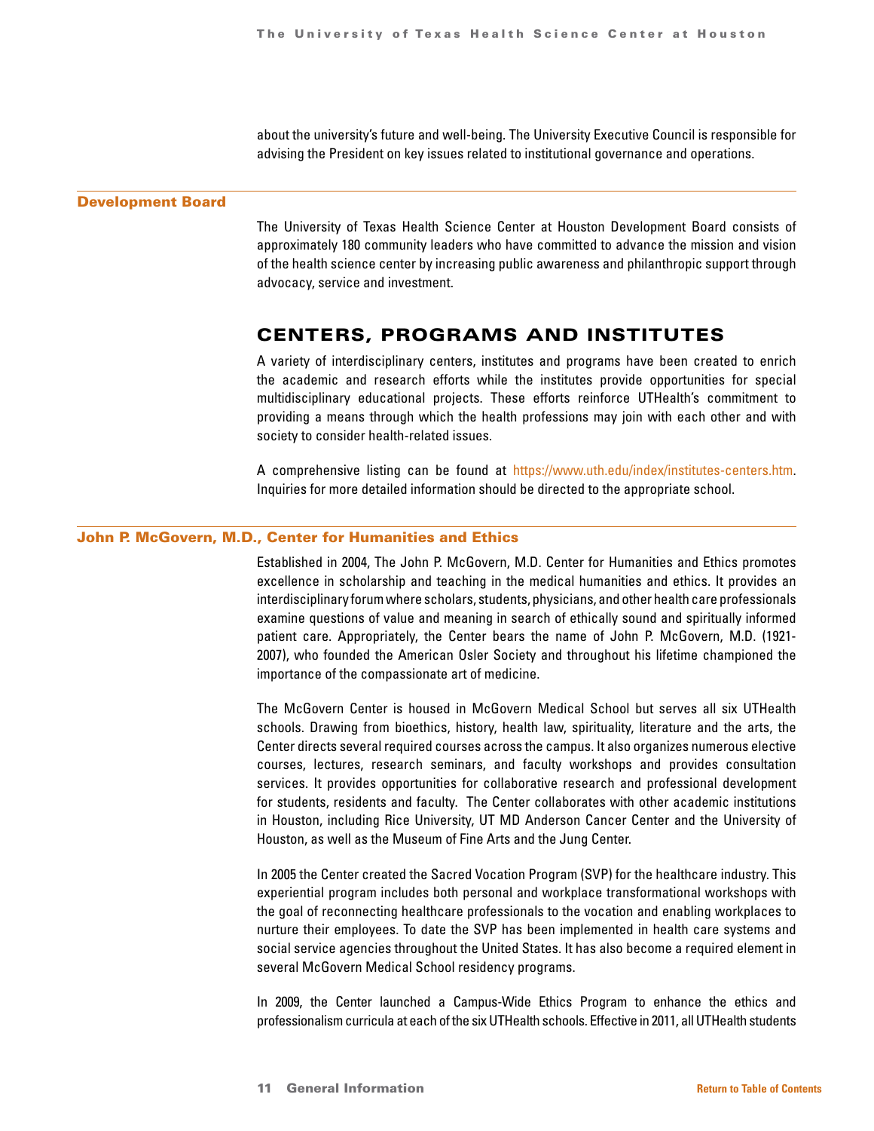about the university's future and well-being. The University Executive Council is responsible for advising the President on key issues related to institutional governance and operations.

### <span id="page-10-0"></span>Development Board

The University of Texas Health Science Center at Houston Development Board consists of approximately 180 community leaders who have committed to advance the mission and vision of the health science center by increasing public awareness and philanthropic support through advocacy, service and investment.

### CENTERS, PROGRAMS AND INSTITUTES

A variety of interdisciplinary centers, institutes and programs have been created to enrich the academic and research efforts while the institutes provide opportunities for special multidisciplinary educational projects. These efforts reinforce UTHealth's commitment to providing a means through which the health professions may join with each other and with society to consider health-related issues.

A comprehensive listing can be found at [https://www.uth.edu/index/institutes-centers.htm.](https://www.uth.edu/index/institutes-centers.htm) Inquiries for more detailed information should be directed to the appropriate school.

### John P. McGovern, M.D., Center for Humanities and Ethics

Established in 2004, The John P. McGovern, M.D. Center for Humanities and Ethics promotes excellence in scholarship and teaching in the medical humanities and ethics. It provides an interdisciplinary forum where scholars, students, physicians, and other health care professionals examine questions of value and meaning in search of ethically sound and spiritually informed patient care. Appropriately, the Center bears the name of John P. McGovern, M.D. (1921- 2007), who founded the American Osler Society and throughout his lifetime championed the importance of the compassionate art of medicine.

The McGovern Center is housed in McGovern Medical School but serves all six UTHealth schools. Drawing from bioethics, history, health law, spirituality, literature and the arts, the Center directs several required courses across the campus. It also organizes numerous elective courses, lectures, research seminars, and faculty workshops and provides consultation services. It provides opportunities for collaborative research and professional development for students, residents and faculty. The Center collaborates with other academic institutions in Houston, including Rice University, UT MD Anderson Cancer Center and the University of Houston, as well as the Museum of Fine Arts and the Jung Center.

In 2005 the Center created the Sacred Vocation Program (SVP) for the healthcare industry. This experiential program includes both personal and workplace transformational workshops with the goal of reconnecting healthcare professionals to the vocation and enabling workplaces to nurture their employees. To date the SVP has been implemented in health care systems and social service agencies throughout the United States. It has also become a required element in several McGovern Medical School residency programs.

In 2009, the Center launched a Campus-Wide Ethics Program to enhance the ethics and professionalism curricula at each of the six UTHealth schools. Effective in 2011, all UTHealth students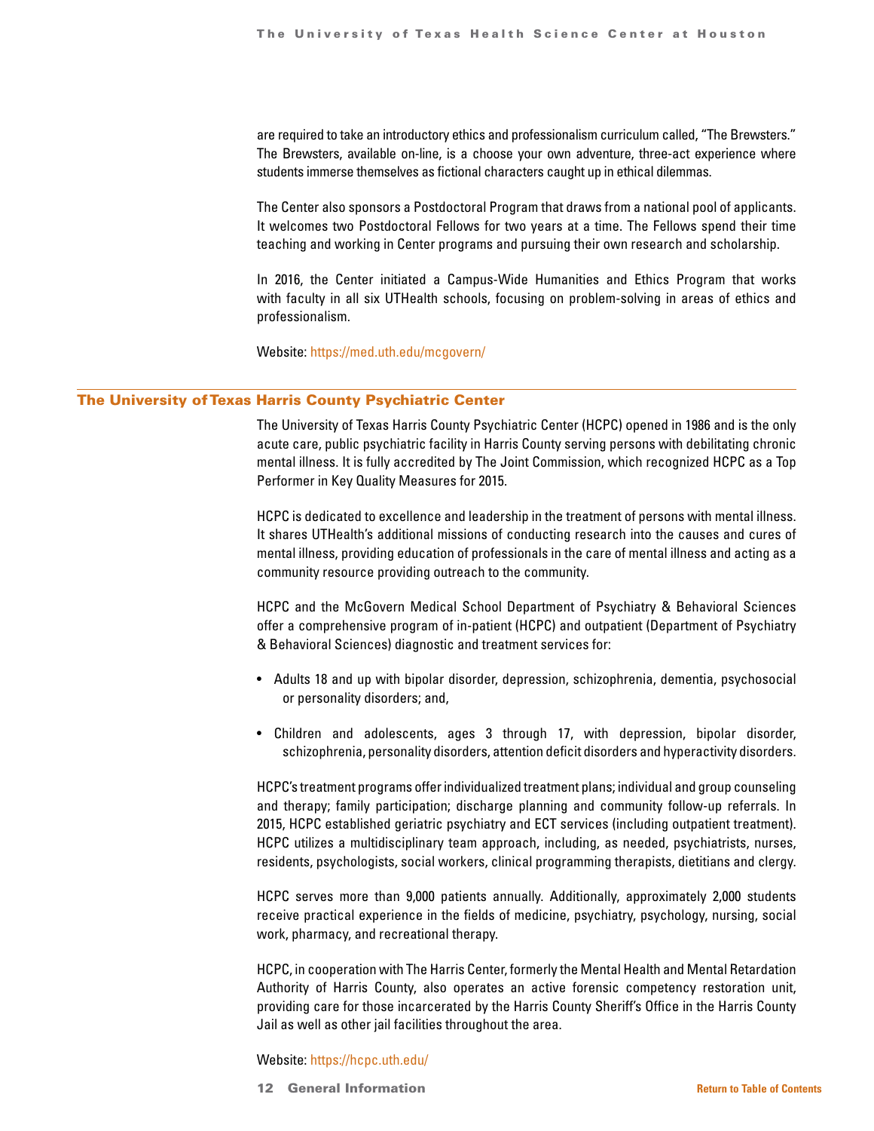are required to take an introductory ethics and professionalism curriculum called, "The Brewsters." The Brewsters, available on-line, is a choose your own adventure, three-act experience where students immerse themselves as fictional characters caught up in ethical dilemmas.

The Center also sponsors a Postdoctoral Program that draws from a national pool of applicants. It welcomes two Postdoctoral Fellows for two years at a time. The Fellows spend their time teaching and working in Center programs and pursuing their own research and scholarship.

In 2016, the Center initiated a Campus-Wide Humanities and Ethics Program that works with faculty in all six UTHealth schools, focusing on problem-solving in areas of ethics and professionalism.

Website: [https://med.uth.edu/mcgovern/](https://www.uth.edu/index/institutes-centers.htm)

### The University of Texas Harris County Psychiatric Center

The University of Texas Harris County Psychiatric Center (HCPC) opened in 1986 and is the only acute care, public psychiatric facility in Harris County serving persons with debilitating chronic mental illness. It is fully accredited by The Joint Commission, which recognized HCPC as a Top Performer in Key Quality Measures for 2015.

HCPC is dedicated to excellence and leadership in the treatment of persons with mental illness. It shares UTHealth's additional missions of conducting research into the causes and cures of mental illness, providing education of professionals in the care of mental illness and acting as a community resource providing outreach to the community.

HCPC and the McGovern Medical School Department of Psychiatry & Behavioral Sciences offer a comprehensive program of in-patient (HCPC) and outpatient (Department of Psychiatry & Behavioral Sciences) diagnostic and treatment services for:

- Adults 18 and up with bipolar disorder, depression, schizophrenia, dementia, psychosocial or personality disorders; and,
- Children and adolescents, ages 3 through 17, with depression, bipolar disorder, schizophrenia, personality disorders, attention deficit disorders and hyperactivity disorders.

HCPC's treatment programs offer individualized treatment plans; individual and group counseling and therapy; family participation; discharge planning and community follow-up referrals. In 2015, HCPC established geriatric psychiatry and ECT services (including outpatient treatment). HCPC utilizes a multidisciplinary team approach, including, as needed, psychiatrists, nurses, residents, psychologists, social workers, clinical programming therapists, dietitians and clergy.

HCPC serves more than 9,000 patients annually. Additionally, approximately 2,000 students receive practical experience in the fields of medicine, psychiatry, psychology, nursing, social work, pharmacy, and recreational therapy.

HCPC, in cooperation with The Harris Center, formerly the Mental Health and Mental Retardation Authority of Harris County, also operates an active forensic competency restoration unit, providing care for those incarcerated by the Harris County Sheriff's Office in the Harris County Jail as well as other jail facilities throughout the area.

### Website:<https://hcpc.uth.edu/>

12 General Information **[Return to Table of Contents](#page-1-0)**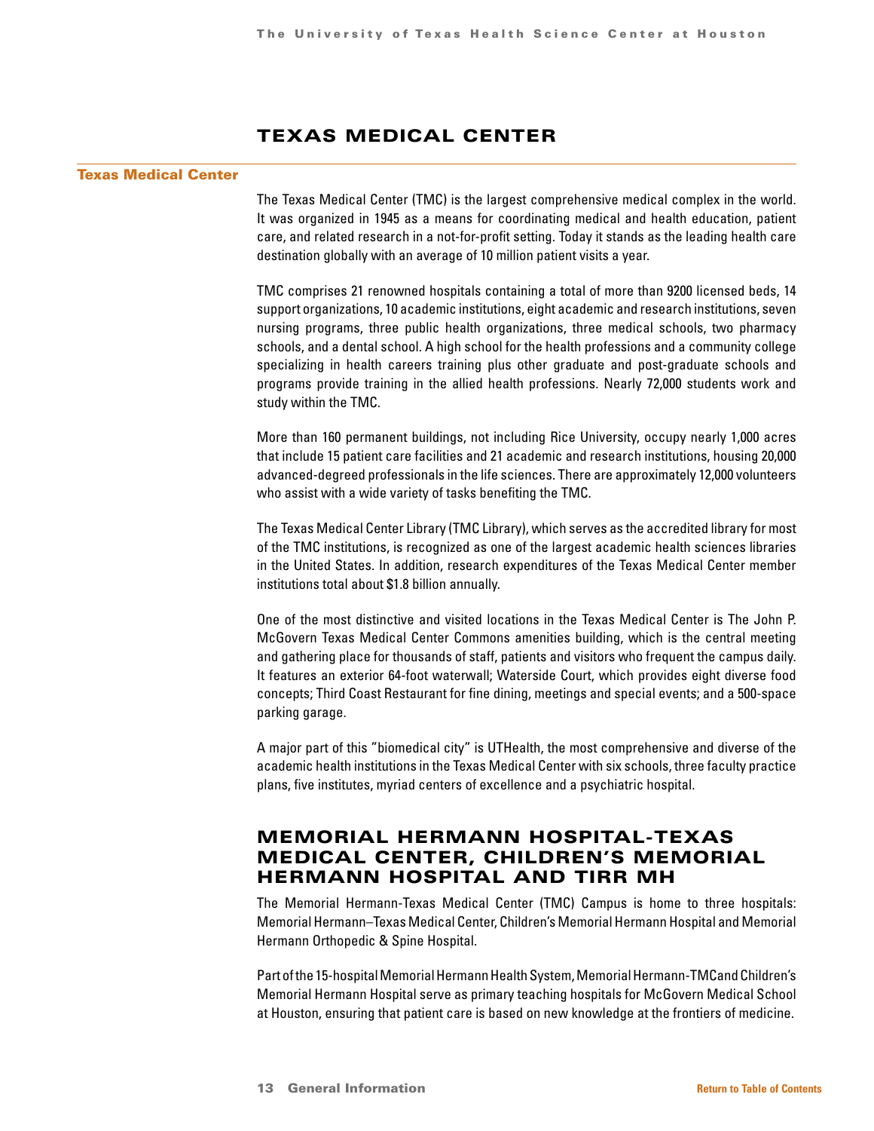# TEXAS MEDICAL CENTER

### Texas Medical Center

The Texas Medical Center (TMC) is the largest comprehensive medical complex in the world. It was organized in 1945 as a means for coordinating medical and health education, patient care, and related research in a not-for-profit setting. Today it stands as the leading health care destination globally with an average of 10 million patient visits a year.

TMC comprises 21 renowned hospitals containing a total of more than 9200 licensed beds, 14 support organizations, 10 academic institutions, eight academic and research institutions, seven nursing programs, three public health organizations, three medical schools, two pharmacy schools, and a dental school. A high school for the health professions and a community college specializing in health careers training plus other graduate and post-graduate schools and programs provide training in the allied health professions. Nearly 72,000 students work and study within the TMC.

More than 160 permanent buildings, not including Rice University, occupy nearly 1,000 acres that include 15 patient care facilities and 21 academic and research institutions, housing 20,000 advanced-degreed professionals in the life sciences. There are approximately 12,000 volunteers who assist with a wide variety of tasks benefiting the TMC.

The Texas Medical Center Library (TMC Library), which serves as the accredited library for most of the TMC institutions, is recognized as one of the largest academic health sciences libraries in the United States. In addition, research expenditures of the Texas Medical Center member institutions total about \$1.8 billion annually.

One of the most distinctive and visited locations in the Texas Medical Center is The John P. McGovern Texas Medical Center Commons amenities building, which is the central meeting and gathering place for thousands of staff, patients and visitors who frequent the campus daily. It features an exterior 64-foot waterwall; Waterside Court, which provides eight diverse food concepts; Third Coast Restaurant for fine dining, meetings and special events; and a 500-space parking garage.

A major part of this "biomedical city" is UTHealth, the most comprehensive and diverse of the academic health institutions in the Texas Medical Center with six schools, three faculty practice plans, five institutes, myriad centers of excellence and a psychiatric hospital.

# MEMORIAL HERMANN HOSPITAL-TEXAS MEDICAL CENTER, CHILDREN'S MEMORIAL HERMANN HOSPITAL AND TIRR MH

The Memorial Hermann-Texas Medical Center (TMC) Campus is home to three hospitals: Memorial Hermann–Texas Medical Center, Children's Memorial Hermann Hospital and Memorial Hermann Orthopedic & Spine Hospital.

Part of the 15-hospital Memorial Hermann Health System, Memorial Hermann-TMCand Children's Memorial Hermann Hospital serve as primary teaching hospitals for McGovern Medical School at Houston, ensuring that patient care is based on new knowledge at the frontiers of medicine.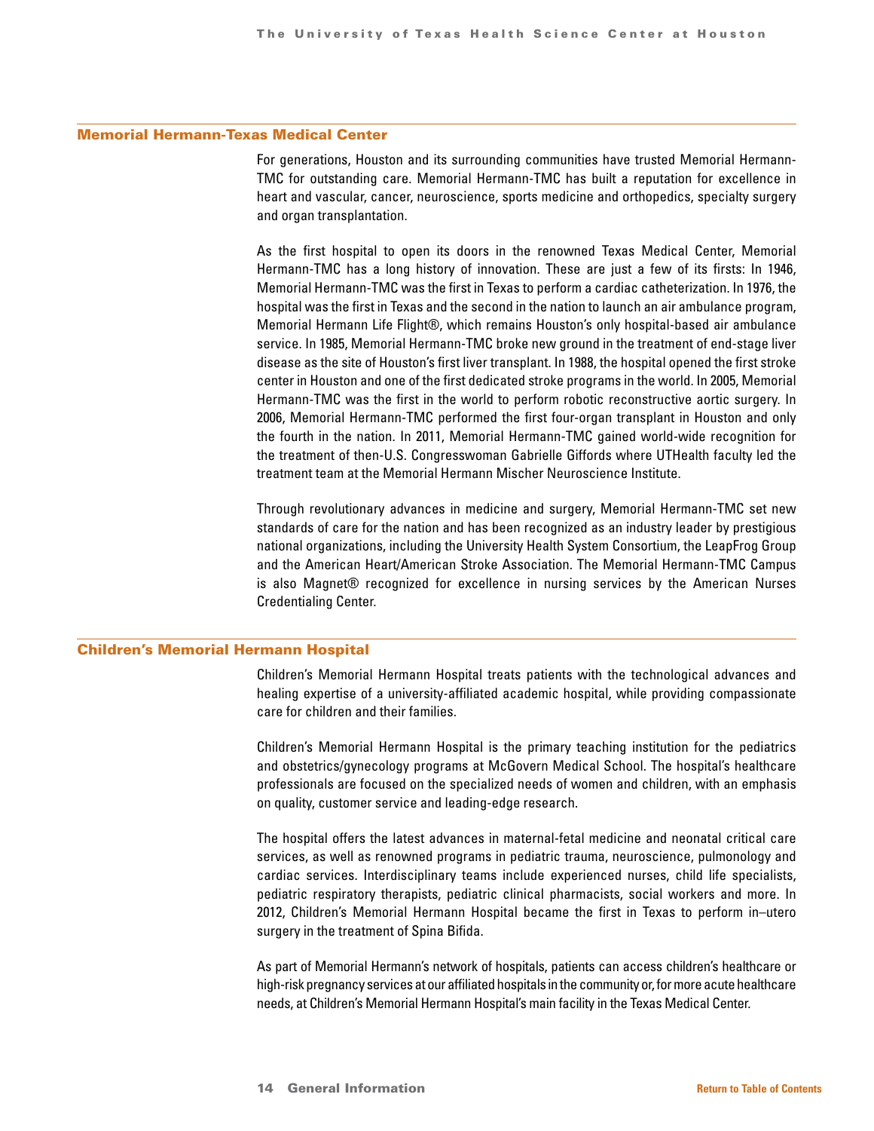### Memorial Hermann-Texas Medical Center

For generations, Houston and its surrounding communities have trusted Memorial Hermann-TMC for outstanding care. Memorial Hermann-TMC has built a reputation for excellence in heart and vascular, cancer, neuroscience, sports medicine and orthopedics, specialty surgery and organ transplantation.

As the first hospital to open its doors in the renowned Texas Medical Center, Memorial Hermann-TMC has a long history of innovation. These are just a few of its firsts: In 1946, Memorial Hermann-TMC was the first in Texas to perform a cardiac catheterization. In 1976, the hospital was the first in Texas and the second in the nation to launch an air ambulance program, Memorial Hermann Life Flight®, which remains Houston's only hospital-based air ambulance service. In 1985, Memorial Hermann-TMC broke new ground in the treatment of end-stage liver disease as the site of Houston's first liver transplant. In 1988, the hospital opened the first stroke center in Houston and one of the first dedicated stroke programs in the world. In 2005, Memorial Hermann-TMC was the first in the world to perform robotic reconstructive aortic surgery. In 2006, Memorial Hermann-TMC performed the first four-organ transplant in Houston and only the fourth in the nation. In 2011, Memorial Hermann-TMC gained world-wide recognition for the treatment of then-U.S. Congresswoman Gabrielle Giffords where UTHealth faculty led the treatment team at the Memorial Hermann Mischer Neuroscience Institute.

Through revolutionary advances in medicine and surgery, Memorial Hermann-TMC set new standards of care for the nation and has been recognized as an industry leader by prestigious national organizations, including the University Health System Consortium, the LeapFrog Group and the American Heart/American Stroke Association. The Memorial Hermann-TMC Campus is also Magnet® recognized for excellence in nursing services by the American Nurses Credentialing Center.

### Children's Memorial Hermann Hospital

Children's Memorial Hermann Hospital treats patients with the technological advances and healing expertise of a university-affiliated academic hospital, while providing compassionate care for children and their families.

Children's Memorial Hermann Hospital is the primary teaching institution for the pediatrics and obstetrics/gynecology programs at McGovern Medical School. The hospital's healthcare professionals are focused on the specialized needs of women and children, with an emphasis on quality, customer service and leading-edge research.

The hospital offers the latest advances in maternal-fetal medicine and neonatal critical care services, as well as renowned programs in pediatric trauma, neuroscience, pulmonology and cardiac services. Interdisciplinary teams include experienced nurses, child life specialists, pediatric respiratory therapists, pediatric clinical pharmacists, social workers and more. In 2012, Children's Memorial Hermann Hospital became the first in Texas to perform in–utero surgery in the treatment of Spina Bifida.

As part of Memorial Hermann's network of hospitals, patients can access children's healthcare or high-risk pregnancy services at our affiliated hospitals in the community or, for more acute healthcare needs, at Children's Memorial Hermann Hospital's main facility in the Texas Medical Center.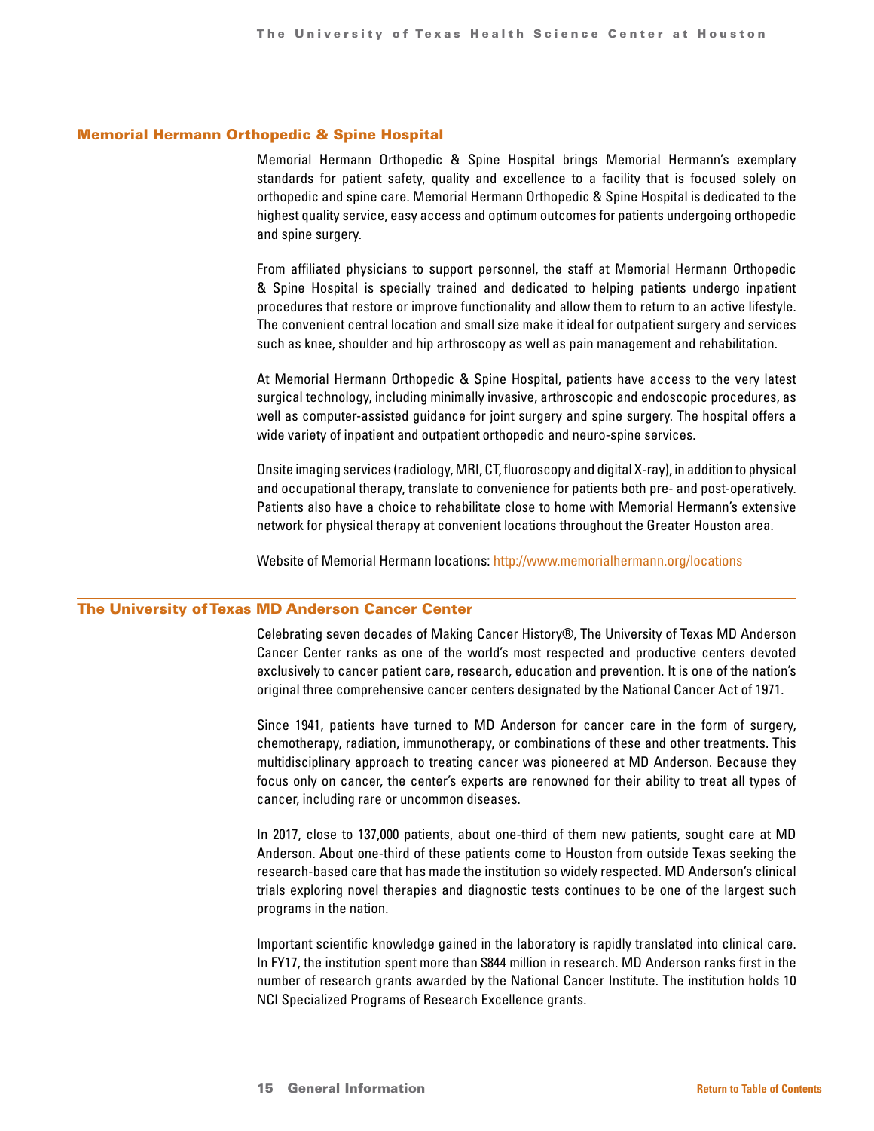### Memorial Hermann Orthopedic & Spine Hospital

Memorial Hermann Orthopedic & Spine Hospital brings Memorial Hermann's exemplary standards for patient safety, quality and excellence to a facility that is focused solely on orthopedic and spine care. Memorial Hermann Orthopedic & Spine Hospital is dedicated to the highest quality service, easy access and optimum outcomes for patients undergoing orthopedic and spine surgery.

From affiliated physicians to support personnel, the staff at Memorial Hermann Orthopedic & Spine Hospital is specially trained and dedicated to helping patients undergo inpatient procedures that restore or improve functionality and allow them to return to an active lifestyle. The convenient central location and small size make it ideal for outpatient surgery and services such as knee, shoulder and hip arthroscopy as well as pain management and rehabilitation.

At Memorial Hermann Orthopedic & Spine Hospital, patients have access to the very latest surgical technology, including minimally invasive, arthroscopic and endoscopic procedures, as well as computer-assisted guidance for joint surgery and spine surgery. The hospital offers a wide variety of inpatient and outpatient orthopedic and neuro-spine services.

Onsite imaging services (radiology, MRI, CT, fluoroscopy and digital X-ray), in addition to physical and occupational therapy, translate to convenience for patients both pre- and post-operatively. Patients also have a choice to rehabilitate close to home with Memorial Hermann's extensive network for physical therapy at convenient locations throughout the Greater Houston area.

Website of Memorial Hermann locations: <http://www.memorialhermann.org/locations>

### The University of Texas MD Anderson Cancer Center

Celebrating seven decades of Making Cancer History®, The University of Texas MD Anderson Cancer Center ranks as one of the world's most respected and productive centers devoted exclusively to cancer patient care, research, education and prevention. It is one of the nation's original three comprehensive cancer centers designated by the National Cancer Act of 1971.

Since 1941, patients have turned to MD Anderson for cancer care in the form of surgery, chemotherapy, radiation, immunotherapy, or combinations of these and other treatments. This multidisciplinary approach to treating cancer was pioneered at MD Anderson. Because they focus only on cancer, the center's experts are renowned for their ability to treat all types of cancer, including rare or uncommon diseases.

In 2017, close to 137,000 patients, about one-third of them new patients, sought care at MD Anderson. About one-third of these patients come to Houston from outside Texas seeking the research-based care that has made the institution so widely respected. MD Anderson's clinical trials exploring novel therapies and diagnostic tests continues to be one of the largest such programs in the nation.

Important scientific knowledge gained in the laboratory is rapidly translated into clinical care. In FY17, the institution spent more than \$844 million in research. MD Anderson ranks first in the number of research grants awarded by the National Cancer Institute. The institution holds 10 NCI Specialized Programs of Research Excellence grants.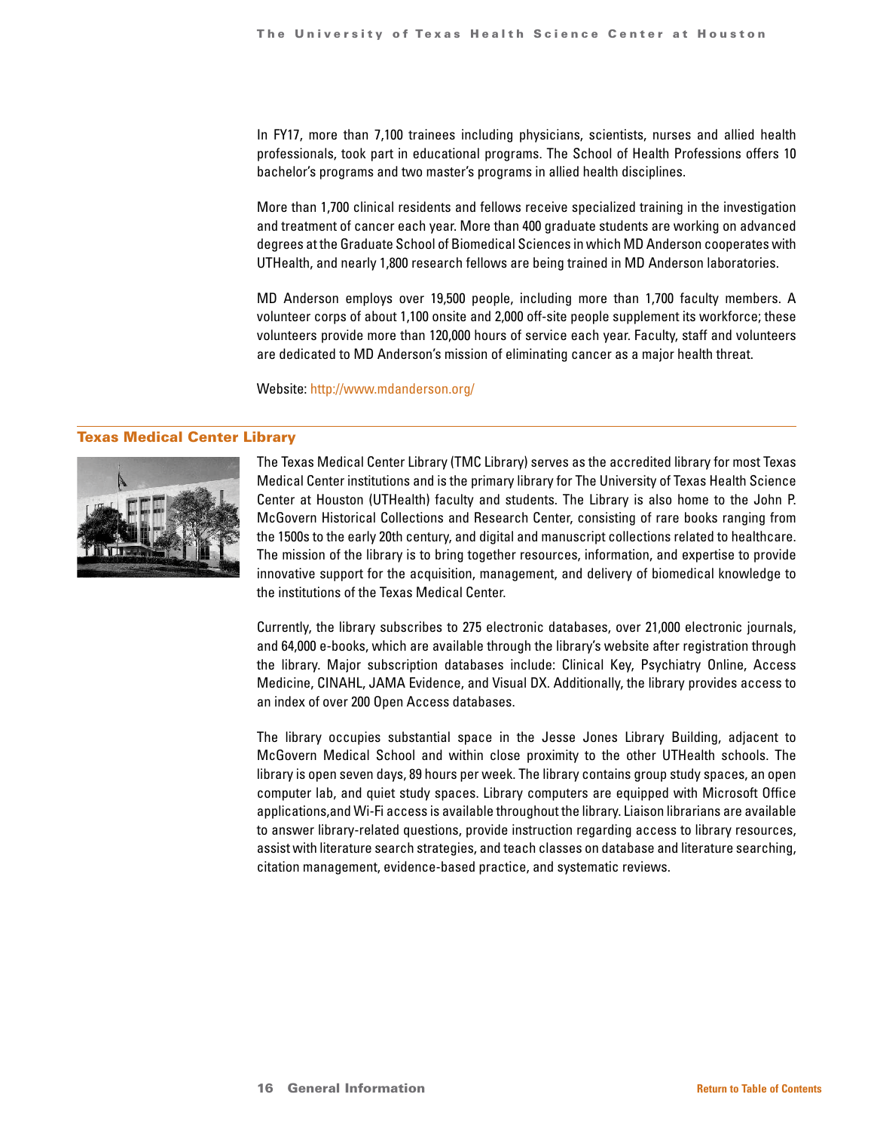In FY17, more than 7,100 trainees including physicians, scientists, nurses and allied health professionals, took part in educational programs. The School of Health Professions offers 10 bachelor's programs and two master's programs in allied health disciplines.

More than 1,700 clinical residents and fellows receive specialized training in the investigation and treatment of cancer each year. More than 400 graduate students are working on advanced degrees at the Graduate School of Biomedical Sciences in which MD Anderson cooperates with UTHealth, and nearly 1,800 research fellows are being trained in MD Anderson laboratories.

MD Anderson employs over 19,500 people, including more than 1,700 faculty members. A volunteer corps of about 1,100 onsite and 2,000 off-site people supplement its workforce; these volunteers provide more than 120,000 hours of service each year. Faculty, staff and volunteers are dedicated to MD Anderson's mission of eliminating cancer as a major health threat.

Website:<http://www.mdanderson.org/>

### Texas Medical Center Library



The Texas Medical Center Library (TMC Library) serves as the accredited library for most Texas Medical Center institutions and is the primary library for The University of Texas Health Science Center at Houston (UTHealth) faculty and students. The Library is also home to the John P. McGovern Historical Collections and Research Center, consisting of rare books ranging from the 1500s to the early 20th century, and digital and manuscript collections related to healthcare. The mission of the library is to bring together resources, information, and expertise to provide innovative support for the acquisition, management, and delivery of biomedical knowledge to the institutions of the Texas Medical Center.

Currently, the library subscribes to 275 electronic databases, over 21,000 electronic journals, and 64,000 e-books, which are available through the library's website after registration through the library. Major subscription databases include: Clinical Key, Psychiatry Online, Access Medicine, CINAHL, JAMA Evidence, and Visual DX. Additionally, the library provides access to an index of over 200 Open Access databases.

The library occupies substantial space in the Jesse Jones Library Building, adjacent to McGovern Medical School and within close proximity to the other UTHealth schools. The library is open seven days, 89 hours per week. The library contains group study spaces, an open computer lab, and quiet study spaces. Library computers are equipped with Microsoft Office applications,and Wi-Fi access is available throughout the library. Liaison librarians are available to answer library-related questions, provide instruction regarding access to library resources, assist with literature search strategies, and teach classes on database and literature searching, citation management, evidence-based practice, and systematic reviews.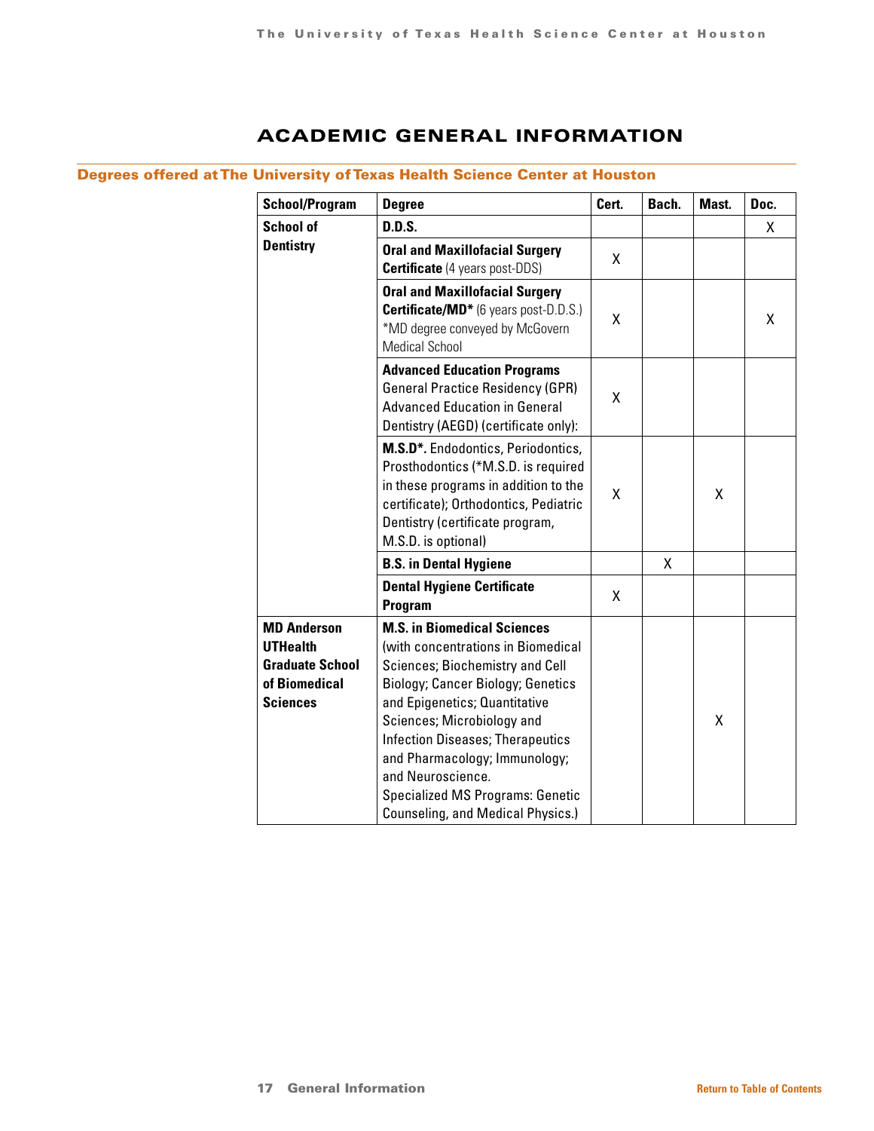# ACADEMIC GENERAL INFORMATION

## <span id="page-16-0"></span>Degrees offered at The University of Texas Health Science Center at Houston

| <b>School/Program</b>                                                                               | <b>Degree</b>                                                                                                                                                                                                                                                                                                                                                                                                         | Cert. | Bach. | Mast. | Doc. |
|-----------------------------------------------------------------------------------------------------|-----------------------------------------------------------------------------------------------------------------------------------------------------------------------------------------------------------------------------------------------------------------------------------------------------------------------------------------------------------------------------------------------------------------------|-------|-------|-------|------|
| <b>School of</b>                                                                                    | <b>D.D.S.</b>                                                                                                                                                                                                                                                                                                                                                                                                         |       |       |       | X    |
| <b>Dentistry</b>                                                                                    | <b>Oral and Maxillofacial Surgery</b><br><b>Certificate</b> (4 years post-DDS)                                                                                                                                                                                                                                                                                                                                        | X     |       |       |      |
|                                                                                                     | <b>Oral and Maxillofacial Surgery</b><br>Certificate/MD <sup>*</sup> (6 years post-D.D.S.)<br>*MD degree conveyed by McGovern<br><b>Medical School</b>                                                                                                                                                                                                                                                                | X     |       |       | X    |
|                                                                                                     | <b>Advanced Education Programs</b><br><b>General Practice Residency (GPR)</b><br><b>Advanced Education in General</b><br>Dentistry (AEGD) (certificate only):                                                                                                                                                                                                                                                         | Χ     |       |       |      |
|                                                                                                     | M.S.D*. Endodontics, Periodontics,<br>Prosthodontics (*M.S.D. is required<br>in these programs in addition to the<br>certificate); Orthodontics, Pediatric<br>Dentistry (certificate program,<br>M.S.D. is optional)                                                                                                                                                                                                  | Χ     |       | χ     |      |
|                                                                                                     | <b>B.S. in Dental Hygiene</b>                                                                                                                                                                                                                                                                                                                                                                                         |       | X     |       |      |
|                                                                                                     | <b>Dental Hygiene Certificate</b><br>Program                                                                                                                                                                                                                                                                                                                                                                          | X     |       |       |      |
| <b>MD Anderson</b><br><b>UTHealth</b><br><b>Graduate School</b><br>of Biomedical<br><b>Sciences</b> | <b>M.S. in Biomedical Sciences</b><br>(with concentrations in Biomedical<br><b>Sciences; Biochemistry and Cell</b><br><b>Biology; Cancer Biology; Genetics</b><br>and Epigenetics; Quantitative<br>Sciences; Microbiology and<br><b>Infection Diseases; Therapeutics</b><br>and Pharmacology; Immunology;<br>and Neuroscience.<br><b>Specialized MS Programs: Genetic</b><br><b>Counseling, and Medical Physics.)</b> |       |       | Χ     |      |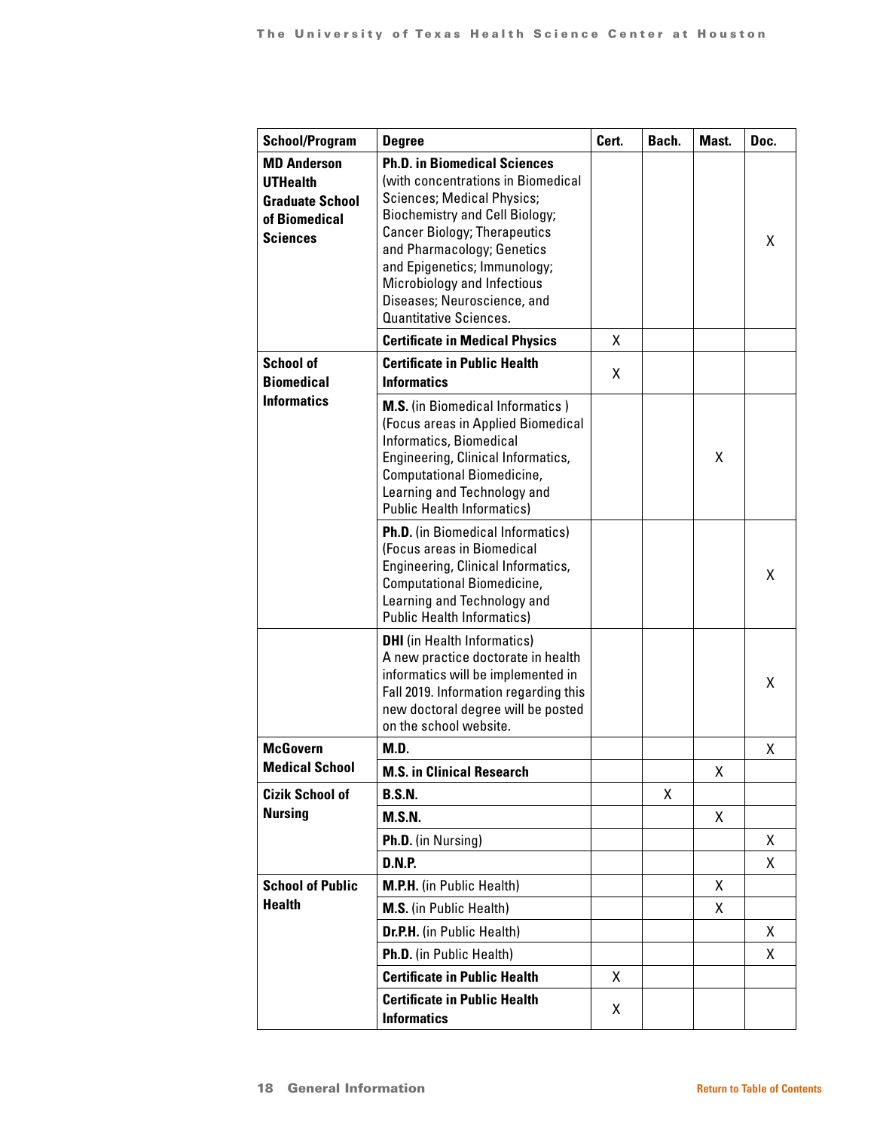| <b>School/Program</b>                                                                               | <b>Degree</b>                                                                                                                                                                                                                                                                                                                                               | Cert. | Bach. | Mast. | Doc. |
|-----------------------------------------------------------------------------------------------------|-------------------------------------------------------------------------------------------------------------------------------------------------------------------------------------------------------------------------------------------------------------------------------------------------------------------------------------------------------------|-------|-------|-------|------|
| <b>MD Anderson</b><br><b>UTHealth</b><br><b>Graduate School</b><br>of Biomedical<br><b>Sciences</b> | <b>Ph.D. in Biomedical Sciences</b><br>(with concentrations in Biomedical<br><b>Sciences; Medical Physics;</b><br><b>Biochemistry and Cell Biology;</b><br><b>Cancer Biology; Therapeutics</b><br>and Pharmacology; Genetics<br>and Epigenetics; Immunology;<br>Microbiology and Infectious<br>Diseases; Neuroscience, and<br><b>Quantitative Sciences.</b> |       |       |       | X    |
|                                                                                                     | <b>Certificate in Medical Physics</b>                                                                                                                                                                                                                                                                                                                       | X     |       |       |      |
| <b>School of</b><br><b>Biomedical</b><br><b>Informatics</b>                                         | <b>Certificate in Public Health</b><br><b>Informatics</b>                                                                                                                                                                                                                                                                                                   | X     |       |       |      |
|                                                                                                     | <b>M.S.</b> (in Biomedical Informatics)<br>(Focus areas in Applied Biomedical<br>Informatics, Biomedical<br>Engineering, Clinical Informatics,<br>Computational Biomedicine,<br>Learning and Technology and<br><b>Public Health Informatics)</b>                                                                                                            |       |       | x     |      |
|                                                                                                     | Ph.D. (in Biomedical Informatics)<br>(Focus areas in Biomedical<br>Engineering, Clinical Informatics,<br>Computational Biomedicine,<br>Learning and Technology and<br><b>Public Health Informatics)</b>                                                                                                                                                     |       |       |       | X    |
|                                                                                                     | <b>DHI</b> (in Health Informatics)<br>A new practice doctorate in health<br>informatics will be implemented in<br>Fall 2019. Information regarding this<br>new doctoral degree will be posted<br>on the school website.                                                                                                                                     |       |       |       | X    |
| <b>McGovern</b>                                                                                     | <b>M.D.</b>                                                                                                                                                                                                                                                                                                                                                 |       |       |       | X    |
| <b>Medical School</b>                                                                               | <b>M.S. in Clinical Research</b>                                                                                                                                                                                                                                                                                                                            |       |       | Χ     |      |
| <b>Cizik School of</b>                                                                              | <b>B.S.N.</b>                                                                                                                                                                                                                                                                                                                                               |       | X.    |       |      |
| <b>Nursing</b>                                                                                      | <b>M.S.N.</b>                                                                                                                                                                                                                                                                                                                                               |       |       | Χ     |      |
|                                                                                                     | Ph.D. (in Nursing)                                                                                                                                                                                                                                                                                                                                          |       |       |       | X    |
|                                                                                                     | <b>D.N.P.</b>                                                                                                                                                                                                                                                                                                                                               |       |       |       | X.   |
| <b>School of Public</b>                                                                             | <b>M.P.H.</b> (in Public Health)                                                                                                                                                                                                                                                                                                                            |       |       | X     |      |
| <b>Health</b>                                                                                       | <b>M.S.</b> (in Public Health)                                                                                                                                                                                                                                                                                                                              |       |       | Χ     |      |
|                                                                                                     | Dr.P.H. (in Public Health)                                                                                                                                                                                                                                                                                                                                  |       |       |       | X.   |
|                                                                                                     | Ph.D. (in Public Health)                                                                                                                                                                                                                                                                                                                                    |       |       |       | X    |
|                                                                                                     | <b>Certificate in Public Health</b>                                                                                                                                                                                                                                                                                                                         | X     |       |       |      |
|                                                                                                     | <b>Certificate in Public Health</b><br><b>Informatics</b>                                                                                                                                                                                                                                                                                                   | Χ     |       |       |      |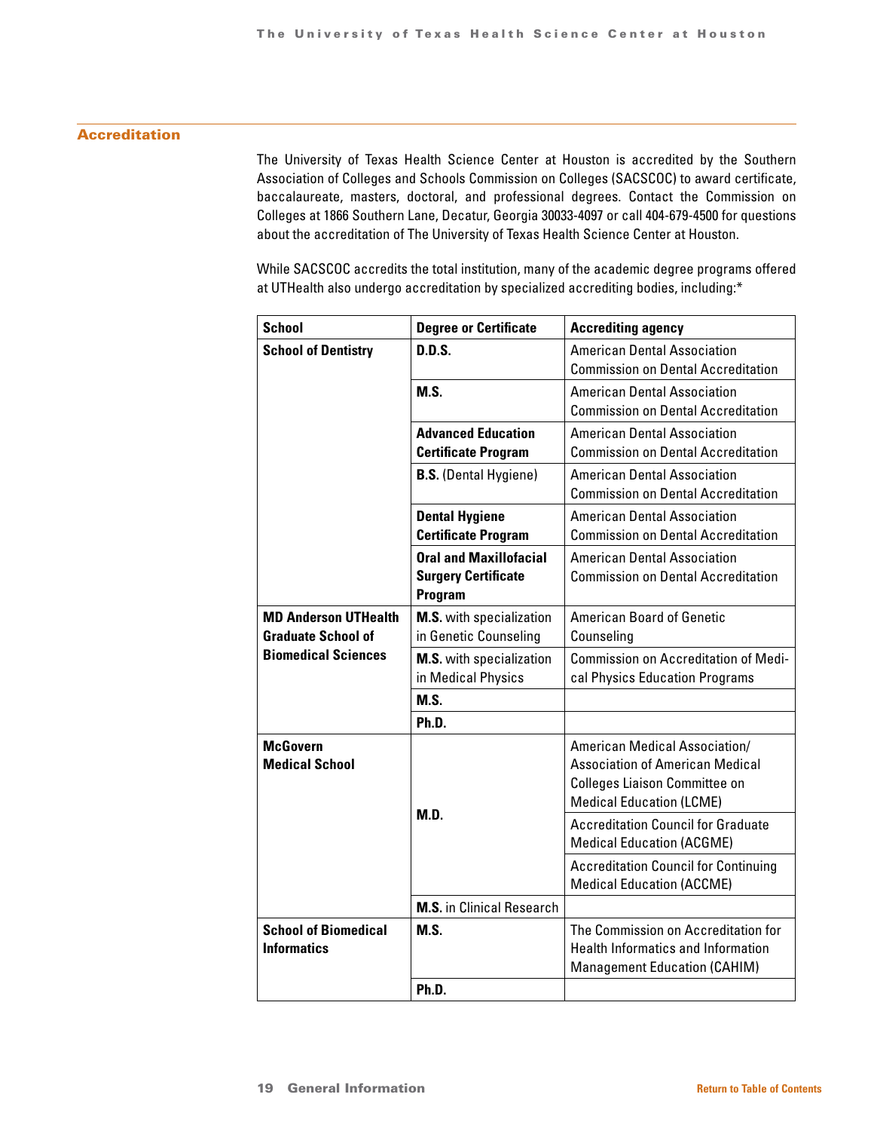### Accreditation

The University of Texas Health Science Center at Houston is accredited by the Southern Association of Colleges and Schools Commission on Colleges (SACSCOC) to award certificate, baccalaureate, masters, doctoral, and professional degrees. Contact the Commission on Colleges at 1866 Southern Lane, Decatur, Georgia 30033-4097 or call 404-679-4500 for questions about the accreditation of The University of Texas Health Science Center at Houston.

While SACSCOC accredits the total institution, many of the academic degree programs offered at UTHealth also undergo accreditation by specialized accrediting bodies, including:\*

| <b>School</b>               | <b>Degree or Certificate</b>     | <b>Accrediting agency</b>                   |  |  |
|-----------------------------|----------------------------------|---------------------------------------------|--|--|
| <b>School of Dentistry</b>  | D.D.S.                           | <b>American Dental Association</b>          |  |  |
|                             |                                  | <b>Commission on Dental Accreditation</b>   |  |  |
|                             | M.S.                             | <b>American Dental Association</b>          |  |  |
|                             |                                  | <b>Commission on Dental Accreditation</b>   |  |  |
|                             | <b>Advanced Education</b>        | <b>American Dental Association</b>          |  |  |
|                             | <b>Certificate Program</b>       | <b>Commission on Dental Accreditation</b>   |  |  |
|                             | <b>B.S.</b> (Dental Hygiene)     | <b>American Dental Association</b>          |  |  |
|                             |                                  | <b>Commission on Dental Accreditation</b>   |  |  |
|                             | <b>Dental Hygiene</b>            | <b>American Dental Association</b>          |  |  |
|                             | <b>Certificate Program</b>       | <b>Commission on Dental Accreditation</b>   |  |  |
|                             | <b>Oral and Maxillofacial</b>    | <b>American Dental Association</b>          |  |  |
|                             | <b>Surgery Certificate</b>       | <b>Commission on Dental Accreditation</b>   |  |  |
|                             | Program                          |                                             |  |  |
| <b>MD Anderson UTHealth</b> | <b>M.S.</b> with specialization  | <b>American Board of Genetic</b>            |  |  |
| <b>Graduate School of</b>   | in Genetic Counseling            | Counseling                                  |  |  |
| <b>Biomedical Sciences</b>  | <b>M.S.</b> with specialization  | <b>Commission on Accreditation of Medi-</b> |  |  |
|                             | in Medical Physics               | cal Physics Education Programs              |  |  |
|                             | M.S.                             |                                             |  |  |
|                             | Ph.D.                            |                                             |  |  |
| <b>McGovern</b>             |                                  | American Medical Association/               |  |  |
| <b>Medical School</b>       |                                  | <b>Association of American Medical</b>      |  |  |
|                             |                                  | <b>Colleges Liaison Committee on</b>        |  |  |
|                             |                                  | <b>Medical Education (LCME)</b>             |  |  |
|                             | M.D.                             | <b>Accreditation Council for Graduate</b>   |  |  |
|                             |                                  | <b>Medical Education (ACGME)</b>            |  |  |
|                             |                                  | <b>Accreditation Council for Continuing</b> |  |  |
|                             |                                  | <b>Medical Education (ACCME)</b>            |  |  |
|                             | <b>M.S.</b> in Clinical Research |                                             |  |  |
| <b>School of Biomedical</b> | <b>M.S.</b>                      | The Commission on Accreditation for         |  |  |
| <b>Informatics</b>          |                                  | <b>Health Informatics and Information</b>   |  |  |
|                             |                                  | <b>Management Education (CAHIM)</b>         |  |  |
|                             | Ph.D.                            |                                             |  |  |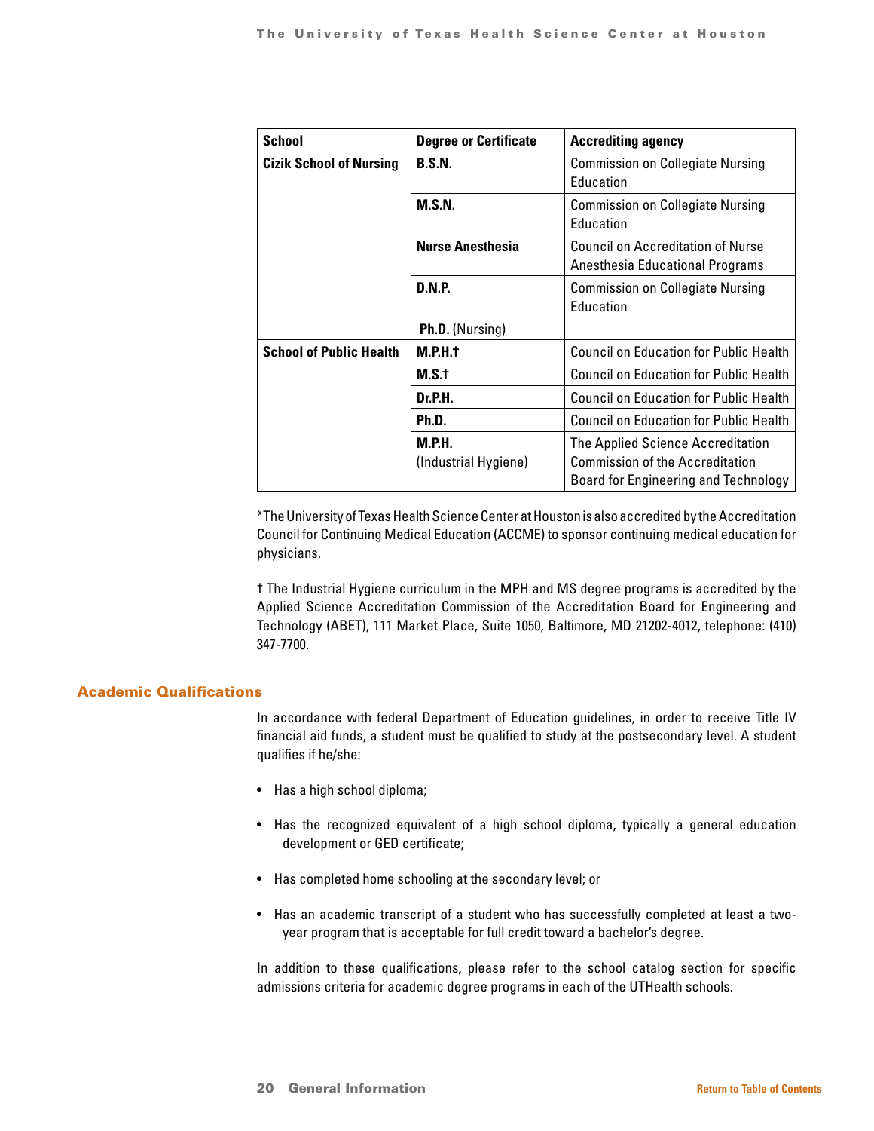| <b>School</b>                  | <b>Degree or Certificate</b>          | <b>Accrediting agency</b>                                                                                           |
|--------------------------------|---------------------------------------|---------------------------------------------------------------------------------------------------------------------|
| <b>Cizik School of Nursing</b> | <b>B.S.N.</b>                         | <b>Commission on Collegiate Nursing</b><br>Education                                                                |
|                                | M.S.N.                                | <b>Commission on Collegiate Nursing</b><br>Education                                                                |
|                                | <b>Nurse Anesthesia</b>               | <b>Council on Accreditation of Nurse</b><br>Anesthesia Educational Programs                                         |
|                                | <b>D.N.P.</b>                         | <b>Commission on Collegiate Nursing</b><br>Education                                                                |
|                                | <b>Ph.D.</b> (Nursing)                |                                                                                                                     |
| <b>School of Public Health</b> | M.P.H.t                               | <b>Council on Education for Public Health</b>                                                                       |
|                                | M.S.t                                 | <b>Council on Education for Public Health</b>                                                                       |
|                                | Dr.P.H.                               | Council on Education for Public Health                                                                              |
|                                | Ph.D.                                 | <b>Council on Education for Public Health</b>                                                                       |
|                                | <b>M.P.H.</b><br>(Industrial Hygiene) | The Applied Science Accreditation<br><b>Commission of the Accreditation</b><br>Board for Engineering and Technology |

\*The University of Texas Health Science Center at Houston is also accredited by the Accreditation Council for Continuing Medical Education (ACCME) to sponsor continuing medical education for physicians.

† The Industrial Hygiene curriculum in the MPH and MS degree programs is accredited by the Applied Science Accreditation Commission of the Accreditation Board for Engineering and Technology (ABET), 111 Market Place, Suite 1050, Baltimore, MD 21202-4012, telephone: (410) 347-7700.

### Academic Qualifications

In accordance with federal Department of Education guidelines, in order to receive Title IV financial aid funds, a student must be qualified to study at the postsecondary level. A student qualifies if he/she:

- Has a high school diploma;
- Has the recognized equivalent of a high school diploma, typically a general education development or GED certificate;
- Has completed home schooling at the secondary level; or
- Has an academic transcript of a student who has successfully completed at least a twoyear program that is acceptable for full credit toward a bachelor's degree.

In addition to these qualifications, please refer to the school catalog section for specific admissions criteria for academic degree programs in each of the UTHealth schools.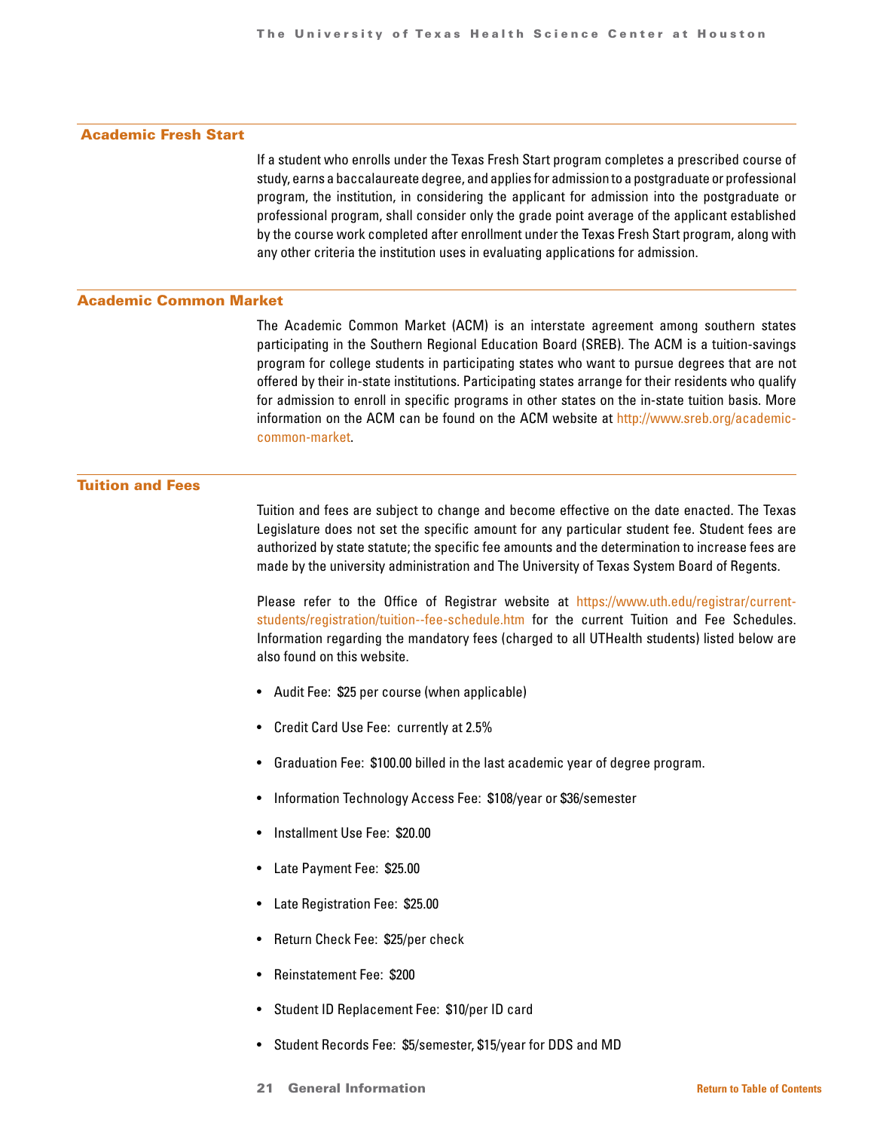### Academic Fresh Start

If a student who enrolls under the Texas Fresh Start program completes a prescribed course of study, earns a baccalaureate degree, and applies for admission to a postgraduate or professional program, the institution, in considering the applicant for admission into the postgraduate or professional program, shall consider only the grade point average of the applicant established by the course work completed after enrollment under the Texas Fresh Start program, along with any other criteria the institution uses in evaluating applications for admission.

### Academic Common Market

The Academic Common Market (ACM) is an interstate agreement among southern states participating in the Southern Regional Education Board (SREB). The ACM is a tuition-savings program for college students in participating states who want to pursue degrees that are not offered by their in-state institutions. Participating states arrange for their residents who qualify for admission to enroll in specific programs in other states on the in-state tuition basis. More information on the ACM can be found on the ACM website at [http://www.sreb.org/academic](http://www.sreb.org/academic- common-market)[common-market.](http://www.sreb.org/academic- common-market)

### Tuition and Fees

Tuition and fees are subject to change and become effective on the date enacted. The Texas Legislature does not set the specific amount for any particular student fee. Student fees are authorized by state statute; the specific fee amounts and the determination to increase fees are made by the university administration and The University of Texas System Board of Regents.

Please refer to the Office of Registrar website at [https://www.uth.edu/registrar/current](https://www.uth.edu/registrar/current- students/registration/tuition--fee-schedule.htm)[students/registration/tuition--fee-schedule.htm](https://www.uth.edu/registrar/current- students/registration/tuition--fee-schedule.htm) for the current Tuition and Fee Schedules. Information regarding the mandatory fees (charged to all UTHealth students) listed below are also found on this website.

- Audit Fee: \$25 per course (when applicable)
- Credit Card Use Fee: currently at 2.5%
- Graduation Fee: \$100.00 billed in the last academic year of degree program.
- Information Technology Access Fee: \$108/year or \$36/semester
- Installment Use Fee: \$20.00
- Late Payment Fee: \$25.00
- Late Registration Fee: \$25.00
- Return Check Fee: \$25/per check
- Reinstatement Fee: \$200
- Student ID Replacement Fee: \$10/per ID card
- Student Records Fee: \$5/semester, \$15/year for DDS and MD
- 21 General Information **[Return to Table of Contents](#page-1-0)**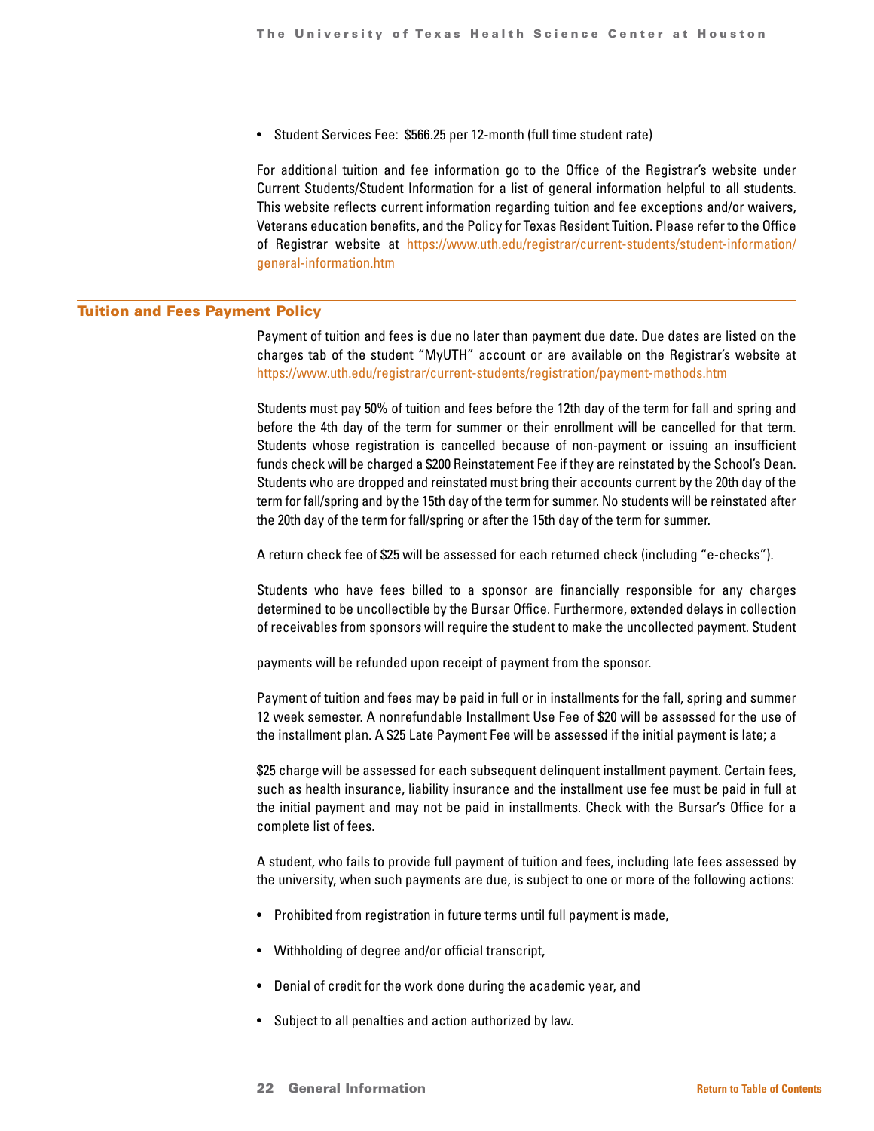• Student Services Fee: \$566.25 per 12-month (full time student rate)

For additional tuition and fee information go to the Office of the Registrar's website under Current Students/Student Information for a list of general information helpful to all students. This website reflects current information regarding tuition and fee exceptions and/or waivers, Veterans education benefits, and the Policy for Texas Resident Tuition. Please refer to the Office of Registrar website at [https://www.uth.edu/registrar/current-students/student-information/](https://www.uth.edu/registrar/current-students/student-information/ general-information.htm) [general-information.htm](https://www.uth.edu/registrar/current-students/student-information/ general-information.htm)

### Tuition and Fees Payment Policy

Payment of tuition and fees is due no later than payment due date. Due dates are listed on the charges tab of the student "MyUTH" account or are available on the Registrar's website at <https://www.uth.edu/registrar/current-students/registration/payment-methods.htm>

Students must pay 50% of tuition and fees before the 12th day of the term for fall and spring and before the 4th day of the term for summer or their enrollment will be cancelled for that term. Students whose registration is cancelled because of non-payment or issuing an insufficient funds check will be charged a \$200 Reinstatement Fee if they are reinstated by the School's Dean. Students who are dropped and reinstated must bring their accounts current by the 20th day of the term for fall/spring and by the 15th day of the term for summer. No students will be reinstated after the 20th day of the term for fall/spring or after the 15th day of the term for summer.

A return check fee of \$25 will be assessed for each returned check (including "e-checks").

Students who have fees billed to a sponsor are financially responsible for any charges determined to be uncollectible by the Bursar Office. Furthermore, extended delays in collection of receivables from sponsors will require the student to make the uncollected payment. Student

payments will be refunded upon receipt of payment from the sponsor.

Payment of tuition and fees may be paid in full or in installments for the fall, spring and summer 12 week semester. A nonrefundable Installment Use Fee of \$20 will be assessed for the use of the installment plan. A \$25 Late Payment Fee will be assessed if the initial payment is late; a

\$25 charge will be assessed for each subsequent delinquent installment payment. Certain fees, such as health insurance, liability insurance and the installment use fee must be paid in full at the initial payment and may not be paid in installments. Check with the Bursar's Office for a complete list of fees.

A student, who fails to provide full payment of tuition and fees, including late fees assessed by the university, when such payments are due, is subject to one or more of the following actions:

- Prohibited from registration in future terms until full payment is made,
- Withholding of degree and/or official transcript,
- Denial of credit for the work done during the academic year, and
- Subject to all penalties and action authorized by law.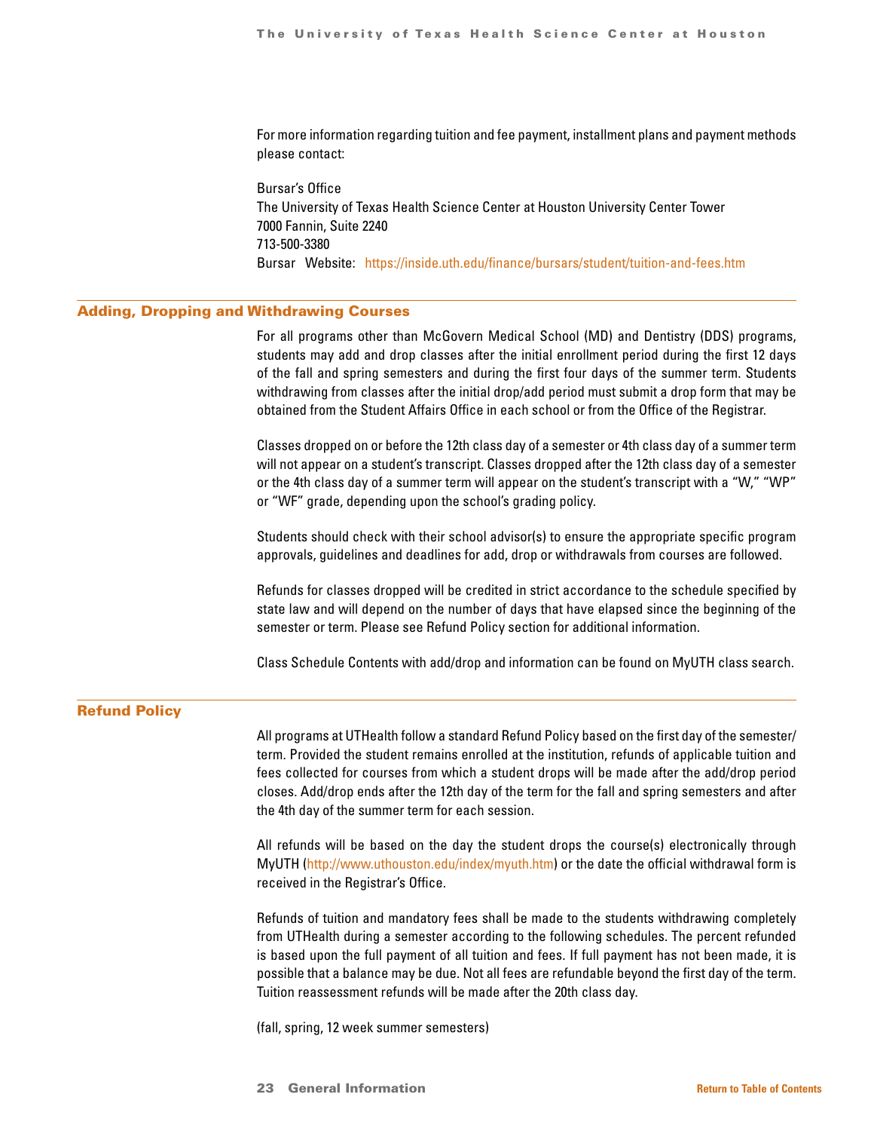For more information regarding tuition and fee payment, installment plans and payment methods please contact:

Bursar's Office The University of Texas Health Science Center at Houston University Center Tower 7000 Fannin, Suite 2240 713-500-3380 Bursar Website: <https://inside.uth.edu/finance/bursars/student/tuition-and-fees.htm>

### Adding, Dropping and Withdrawing Courses

For all programs other than McGovern Medical School (MD) and Dentistry (DDS) programs, students may add and drop classes after the initial enrollment period during the first 12 days of the fall and spring semesters and during the first four days of the summer term. Students withdrawing from classes after the initial drop/add period must submit a drop form that may be obtained from the Student Affairs Office in each school or from the Office of the Registrar.

Classes dropped on or before the 12th class day of a semester or 4th class day of a summer term will not appear on a student's transcript. Classes dropped after the 12th class day of a semester or the 4th class day of a summer term will appear on the student's transcript with a "W," "WP" or "WF" grade, depending upon the school's grading policy.

Students should check with their school advisor(s) to ensure the appropriate specific program approvals, guidelines and deadlines for add, drop or withdrawals from courses are followed.

Refunds for classes dropped will be credited in strict accordance to the schedule specified by state law and will depend on the number of days that have elapsed since the beginning of the semester or term. Please see Refund Policy section for additional information.

Class Schedule Contents with add/drop and information can be found on MyUTH class search.

### Refund Policy

All programs at UTHealth follow a standard Refund Policy based on the first day of the semester/ term. Provided the student remains enrolled at the institution, refunds of applicable tuition and fees collected for courses from which a student drops will be made after the add/drop period closes. Add/drop ends after the 12th day of the term for the fall and spring semesters and after the 4th day of the summer term for each session.

All refunds will be based on the day the student drops the course(s) electronically through MyUTH [\(http://www.uthouston.edu/index/myuth.htm](http://www.uthouston.edu/index/myuth.htm)) or the date the official withdrawal form is received in the Registrar's Office.

Refunds of tuition and mandatory fees shall be made to the students withdrawing completely from UTHealth during a semester according to the following schedules. The percent refunded is based upon the full payment of all tuition and fees. If full payment has not been made, it is possible that a balance may be due. Not all fees are refundable beyond the first day of the term. Tuition reassessment refunds will be made after the 20th class day.

(fall, spring, 12 week summer semesters)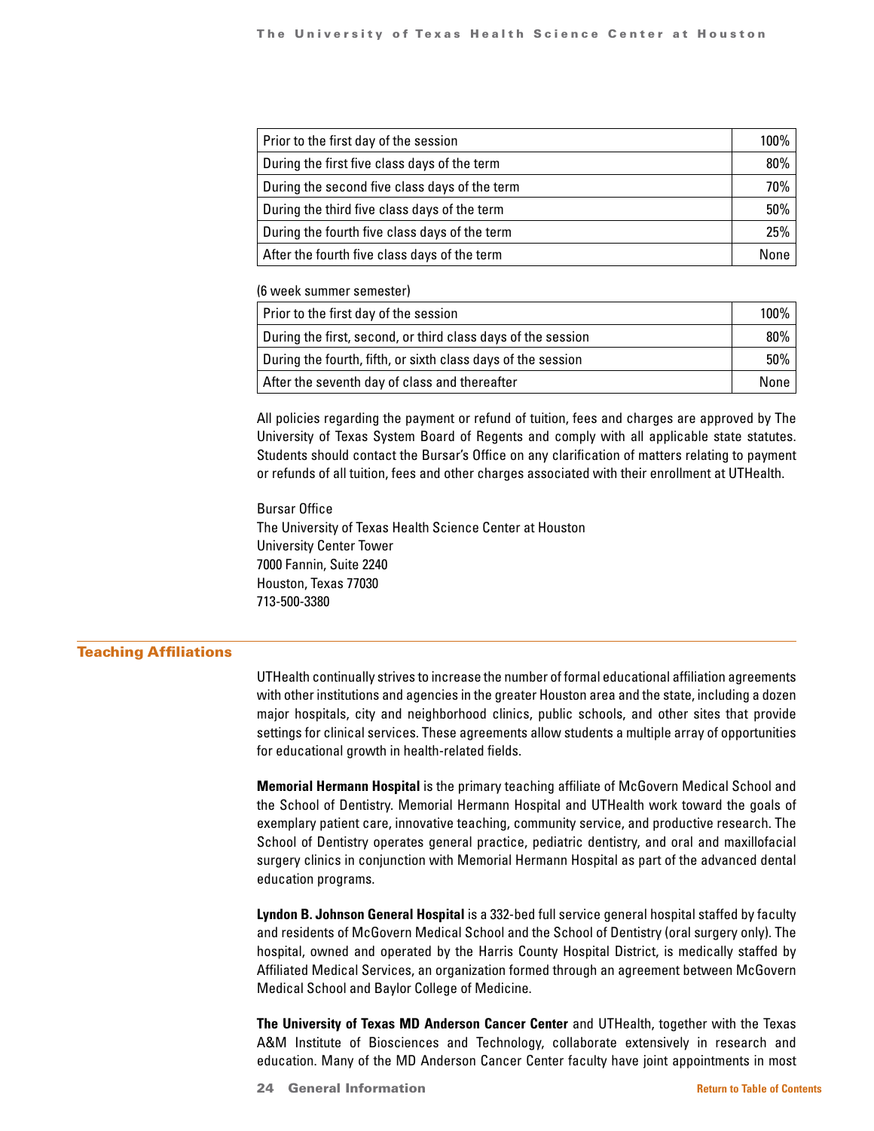| Prior to the first day of the session         |     |
|-----------------------------------------------|-----|
| During the first five class days of the term  | 80% |
| During the second five class days of the term | 70% |
| During the third five class days of the term  | 50% |
| During the fourth five class days of the term | 25% |
| After the fourth five class days of the term  |     |

(6 week summer semester)

| Prior to the first day of the session                        |          |
|--------------------------------------------------------------|----------|
| During the first, second, or third class days of the session | $80\%$ 1 |
| During the fourth, fifth, or sixth class days of the session |          |
| After the seventh day of class and thereafter                | None l   |

All policies regarding the payment or refund of tuition, fees and charges are approved by The University of Texas System Board of Regents and comply with all applicable state statutes. Students should contact the Bursar's Office on any clarification of matters relating to payment or refunds of all tuition, fees and other charges associated with their enrollment at UTHealth.

Bursar Office The University of Texas Health Science Center at Houston University Center Tower 7000 Fannin, Suite 2240 Houston, Texas 77030 713-500-3380

### Teaching Affiliations

UTHealth continually strives to increase the number of formal educational affiliation agreements with other institutions and agencies in the greater Houston area and the state, including a dozen major hospitals, city and neighborhood clinics, public schools, and other sites that provide settings for clinical services. These agreements allow students a multiple array of opportunities for educational growth in health-related fields.

**Memorial Hermann Hospital** is the primary teaching affiliate of McGovern Medical School and the School of Dentistry. Memorial Hermann Hospital and UTHealth work toward the goals of exemplary patient care, innovative teaching, community service, and productive research. The School of Dentistry operates general practice, pediatric dentistry, and oral and maxillofacial surgery clinics in conjunction with Memorial Hermann Hospital as part of the advanced dental education programs.

**Lyndon B. Johnson General Hospital** is a 332-bed full service general hospital staffed by faculty and residents of McGovern Medical School and the School of Dentistry (oral surgery only). The hospital, owned and operated by the Harris County Hospital District, is medically staffed by Affiliated Medical Services, an organization formed through an agreement between McGovern Medical School and Baylor College of Medicine.

**The University of Texas MD Anderson Cancer Center** and UTHealth, together with the Texas A&M Institute of Biosciences and Technology, collaborate extensively in research and education. Many of the MD Anderson Cancer Center faculty have joint appointments in most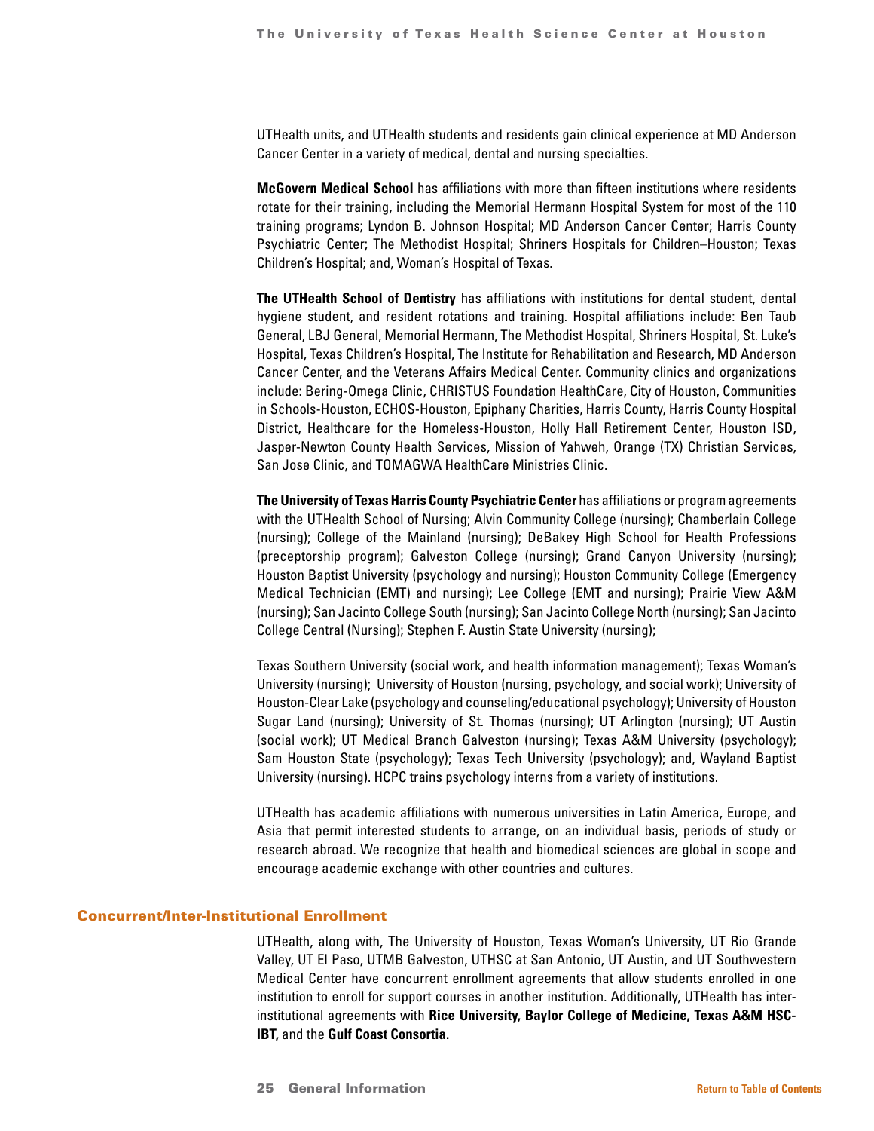UTHealth units, and UTHealth students and residents gain clinical experience at MD Anderson Cancer Center in a variety of medical, dental and nursing specialties.

**McGovern Medical School** has affiliations with more than fifteen institutions where residents rotate for their training, including the Memorial Hermann Hospital System for most of the 110 training programs; Lyndon B. Johnson Hospital; MD Anderson Cancer Center; Harris County Psychiatric Center; The Methodist Hospital; Shriners Hospitals for Children–Houston; Texas Children's Hospital; and, Woman's Hospital of Texas.

**The UTHealth School of Dentistry** has affiliations with institutions for dental student, dental hygiene student, and resident rotations and training. Hospital affiliations include: Ben Taub General, LBJ General, Memorial Hermann, The Methodist Hospital, Shriners Hospital, St. Luke's Hospital, Texas Children's Hospital, The Institute for Rehabilitation and Research, MD Anderson Cancer Center, and the Veterans Affairs Medical Center. Community clinics and organizations include: Bering-Omega Clinic, CHRISTUS Foundation HealthCare, City of Houston, Communities in Schools-Houston, ECHOS-Houston, Epiphany Charities, Harris County, Harris County Hospital District, Healthcare for the Homeless-Houston, Holly Hall Retirement Center, Houston ISD, Jasper-Newton County Health Services, Mission of Yahweh, Orange (TX) Christian Services, San Jose Clinic, and TOMAGWA HealthCare Ministries Clinic.

**The University of Texas Harris County Psychiatric Center** has affiliations or program agreements with the UTHealth School of Nursing; Alvin Community College (nursing); Chamberlain College (nursing); College of the Mainland (nursing); DeBakey High School for Health Professions (preceptorship program); Galveston College (nursing); Grand Canyon University (nursing); Houston Baptist University (psychology and nursing); Houston Community College (Emergency Medical Technician (EMT) and nursing); Lee College (EMT and nursing); Prairie View A&M (nursing); San Jacinto College South (nursing); San Jacinto College North (nursing); San Jacinto College Central (Nursing); Stephen F. Austin State University (nursing);

Texas Southern University (social work, and health information management); Texas Woman's University (nursing); University of Houston (nursing, psychology, and social work); University of Houston-Clear Lake (psychology and counseling/educational psychology); University of Houston Sugar Land (nursing); University of St. Thomas (nursing); UT Arlington (nursing); UT Austin (social work); UT Medical Branch Galveston (nursing); Texas A&M University (psychology); Sam Houston State (psychology); Texas Tech University (psychology); and, Wayland Baptist University (nursing). HCPC trains psychology interns from a variety of institutions.

UTHealth has academic affiliations with numerous universities in Latin America, Europe, and Asia that permit interested students to arrange, on an individual basis, periods of study or research abroad. We recognize that health and biomedical sciences are global in scope and encourage academic exchange with other countries and cultures.

### Concurrent/Inter-Institutional Enrollment

UTHealth, along with, The University of Houston, Texas Woman's University, UT Rio Grande Valley, UT El Paso, UTMB Galveston, UTHSC at San Antonio, UT Austin, and UT Southwestern Medical Center have concurrent enrollment agreements that allow students enrolled in one institution to enroll for support courses in another institution. Additionally, UTHealth has interinstitutional agreements with **Rice University, Baylor College of Medicine, Texas A&M HSC-IBT,** and the **Gulf Coast Consortia.**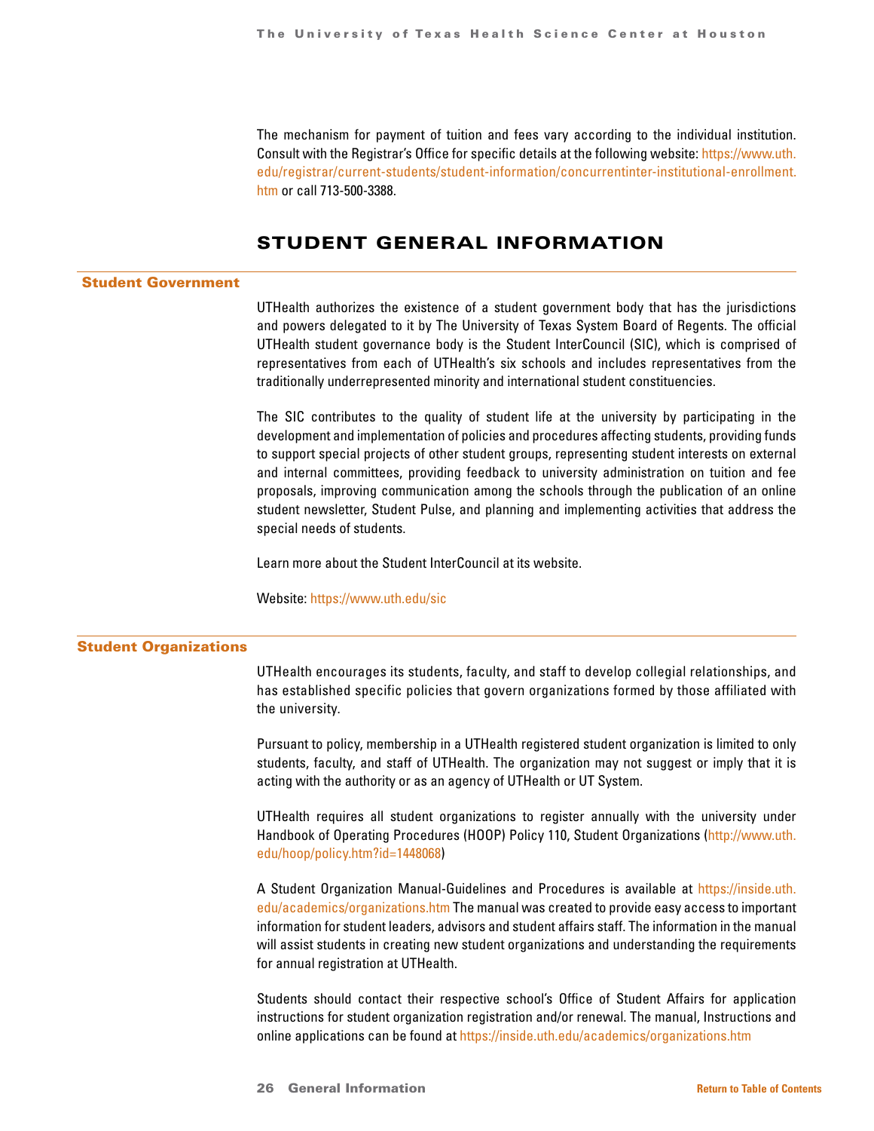<span id="page-25-0"></span>The mechanism for payment of tuition and fees vary according to the individual institution. Consult with the Registrar's Office for specific details at the following website: [https://www.uth.](https://www.uth. edu/registrar/current-students/student-information/concurrentinter-institutional-en) [edu/registrar/current-students/student-information/concurrentinter-institutional-enrollment.](https://www.uth. edu/registrar/current-students/student-information/concurrentinter-institutional-en) [htm](https://www.uth. edu/registrar/current-students/student-information/concurrentinter-institutional-en) or call 713-500-3388.

# STUDENT GENERAL INFORMATION

### Student Government

UTHealth authorizes the existence of a student government body that has the jurisdictions and powers delegated to it by The University of Texas System Board of Regents. The official UTHealth student governance body is the Student InterCouncil (SIC), which is comprised of representatives from each of UTHealth's six schools and includes representatives from the traditionally underrepresented minority and international student constituencies.

The SIC contributes to the quality of student life at the university by participating in the development and implementation of policies and procedures affecting students, providing funds to support special projects of other student groups, representing student interests on external and internal committees, providing feedback to university administration on tuition and fee proposals, improving communication among the schools through the publication of an online student newsletter, Student Pulse, and planning and implementing activities that address the special needs of students.

Learn more about the Student InterCouncil at its website.

Website:<https://www.uth.edu/sic>

### Student Organizations

UTHealth encourages its students, faculty, and staff to develop collegial relationships, and has established specific policies that govern organizations formed by those affiliated with the university.

Pursuant to policy, membership in a UTHealth registered student organization is limited to only students, faculty, and staff of UTHealth. The organization may not suggest or imply that it is acting with the authority or as an agency of UTHealth or UT System.

UTHealth requires all student organizations to register annually with the university under Handbook of Operating Procedures (HOOP) Policy 110, Student Organizations [\(http://www.uth.](http://www.uth.edu/hoop/policy.htm?id=1448068) [edu/hoop/policy.htm?id=1448068](http://www.uth.edu/hoop/policy.htm?id=1448068))

A Student Organization Manual-Guidelines and Procedures is available at [https://inside.uth.](https://inside.uth.edu/academics/organizations.htm) [edu/academics/organizations.htm](https://inside.uth.edu/academics/organizations.htm) The manual was created to provide easy access to important information for student leaders, advisors and student affairs staff. The information in the manual will assist students in creating new student organizations and understanding the requirements for annual registration at UTHealth.

Students should contact their respective school's Office of Student Affairs for application instructions for student organization registration and/or renewal. The manual, Instructions and online applications can be found at<https://inside.uth.edu/academics/organizations.htm>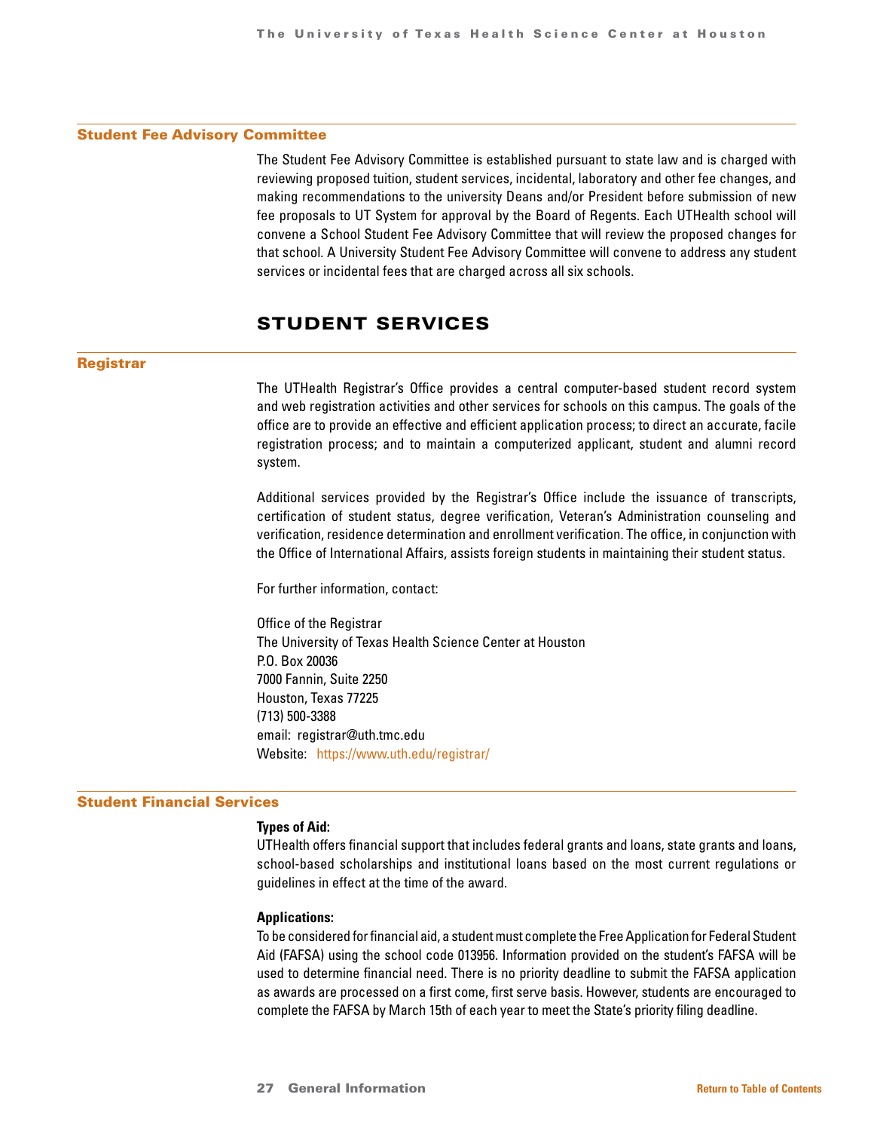### <span id="page-26-0"></span>Student Fee Advisory Committee

The Student Fee Advisory Committee is established pursuant to state law and is charged with reviewing proposed tuition, student services, incidental, laboratory and other fee changes, and making recommendations to the university Deans and/or President before submission of new fee proposals to UT System for approval by the Board of Regents. Each UTHealth school will convene a School Student Fee Advisory Committee that will review the proposed changes for that school. A University Student Fee Advisory Committee will convene to address any student services or incidental fees that are charged across all six schools.

# STUDENT SERVICES

### Registrar

The UTHealth Registrar's Office provides a central computer-based student record system and web registration activities and other services for schools on this campus. The goals of the office are to provide an effective and efficient application process; to direct an accurate, facile registration process; and to maintain a computerized applicant, student and alumni record system.

Additional services provided by the Registrar's Office include the issuance of transcripts, certification of student status, degree verification, Veteran's Administration counseling and verification, residence determination and enrollment verification. The office, in conjunction with the Office of International Affairs, assists foreign students in maintaining their student status.

For further information, contact:

Office of the Registrar The University of Texas Health Science Center at Houston P.O. Box 20036 7000 Fannin, Suite 2250 Houston, Texas 77225 (713) 500-3388 email: registrar@uth.tmc.edu Website: <https://www.uth.edu/registrar/>

### Student Financial Services

### **Types of Aid:**

UTHealth offers financial support that includes federal grants and loans, state grants and loans, school-based scholarships and institutional loans based on the most current regulations or guidelines in effect at the time of the award.

### **Applications:**

To be considered for financial aid, a student must complete the Free Application for Federal Student Aid (FAFSA) using the school code 013956. Information provided on the student's FAFSA will be used to determine financial need. There is no priority deadline to submit the FAFSA application as awards are processed on a first come, first serve basis. However, students are encouraged to complete the FAFSA by March 15th of each year to meet the State's priority filing deadline.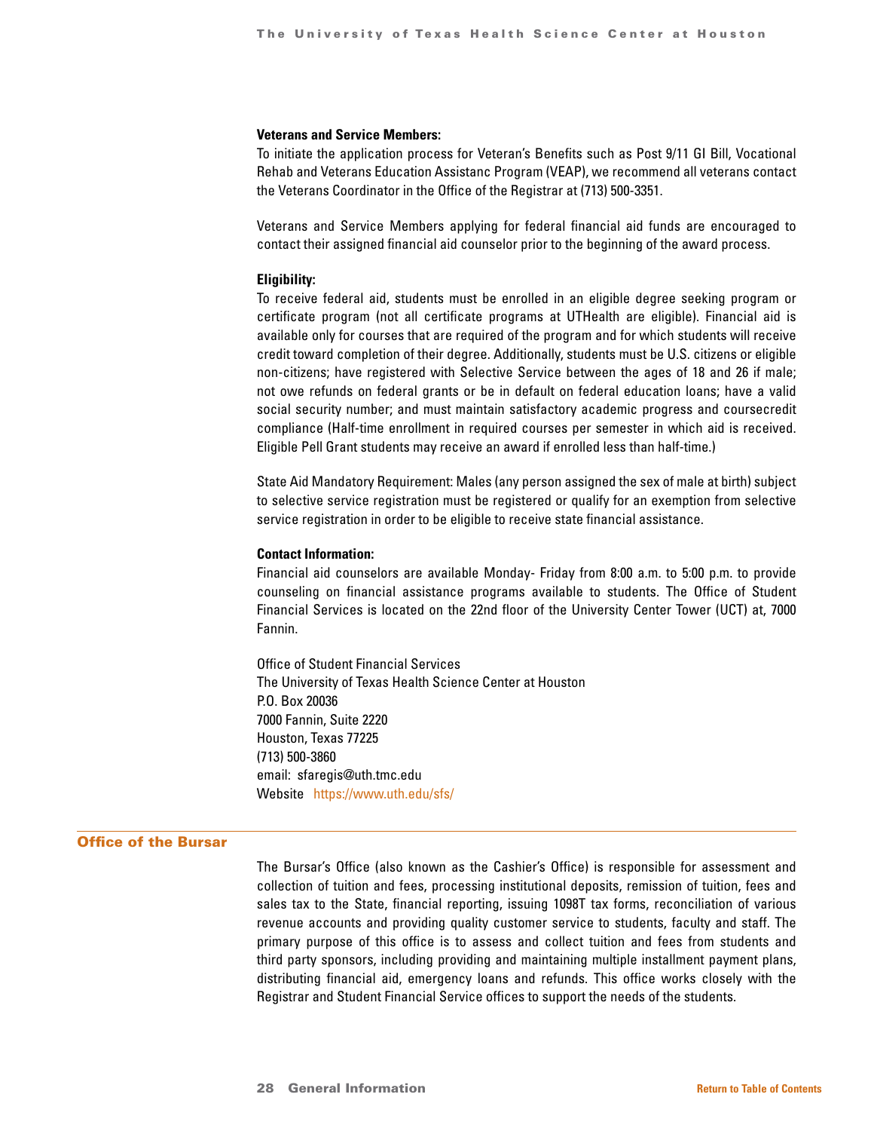### **Veterans and Service Members:**

To initiate the application process for Veteran's Benefits such as Post 9/11 GI Bill, Vocational Rehab and Veterans Education Assistanc Program (VEAP), we recommend all veterans contact the Veterans Coordinator in the Office of the Registrar at (713) 500-3351.

Veterans and Service Members applying for federal financial aid funds are encouraged to contact their assigned financial aid counselor prior to the beginning of the award process.

### **Eligibility:**

To receive federal aid, students must be enrolled in an eligible degree seeking program or certificate program (not all certificate programs at UTHealth are eligible). Financial aid is available only for courses that are required of the program and for which students will receive credit toward completion of their degree. Additionally, students must be U.S. citizens or eligible non-citizens; have registered with Selective Service between the ages of 18 and 26 if male; not owe refunds on federal grants or be in default on federal education loans; have a valid social security number; and must maintain satisfactory academic progress and coursecredit compliance (Half-time enrollment in required courses per semester in which aid is received. Eligible Pell Grant students may receive an award if enrolled less than half-time.)

State Aid Mandatory Requirement: Males (any person assigned the sex of male at birth) subject to selective service registration must be registered or qualify for an exemption from selective service registration in order to be eligible to receive state financial assistance.

### **Contact Information:**

Financial aid counselors are available Monday- Friday from 8:00 a.m. to 5:00 p.m. to provide counseling on financial assistance programs available to students. The Office of Student Financial Services is located on the 22nd floor of the University Center Tower (UCT) at, 7000 Fannin.

Office of Student Financial Services The University of Texas Health Science Center at Houston P.O. Box 20036 7000 Fannin, Suite 2220 Houston, Texas 77225 (713) 500-3860 email: sfaregis@uth.tmc.edu Website <https://www.uth.edu/sfs/>

### Office of the Bursar

The Bursar's Office (also known as the Cashier's Office) is responsible for assessment and collection of tuition and fees, processing institutional deposits, remission of tuition, fees and sales tax to the State, financial reporting, issuing 1098T tax forms, reconciliation of various revenue accounts and providing quality customer service to students, faculty and staff. The primary purpose of this office is to assess and collect tuition and fees from students and third party sponsors, including providing and maintaining multiple installment payment plans, distributing financial aid, emergency loans and refunds. This office works closely with the Registrar and Student Financial Service offices to support the needs of the students.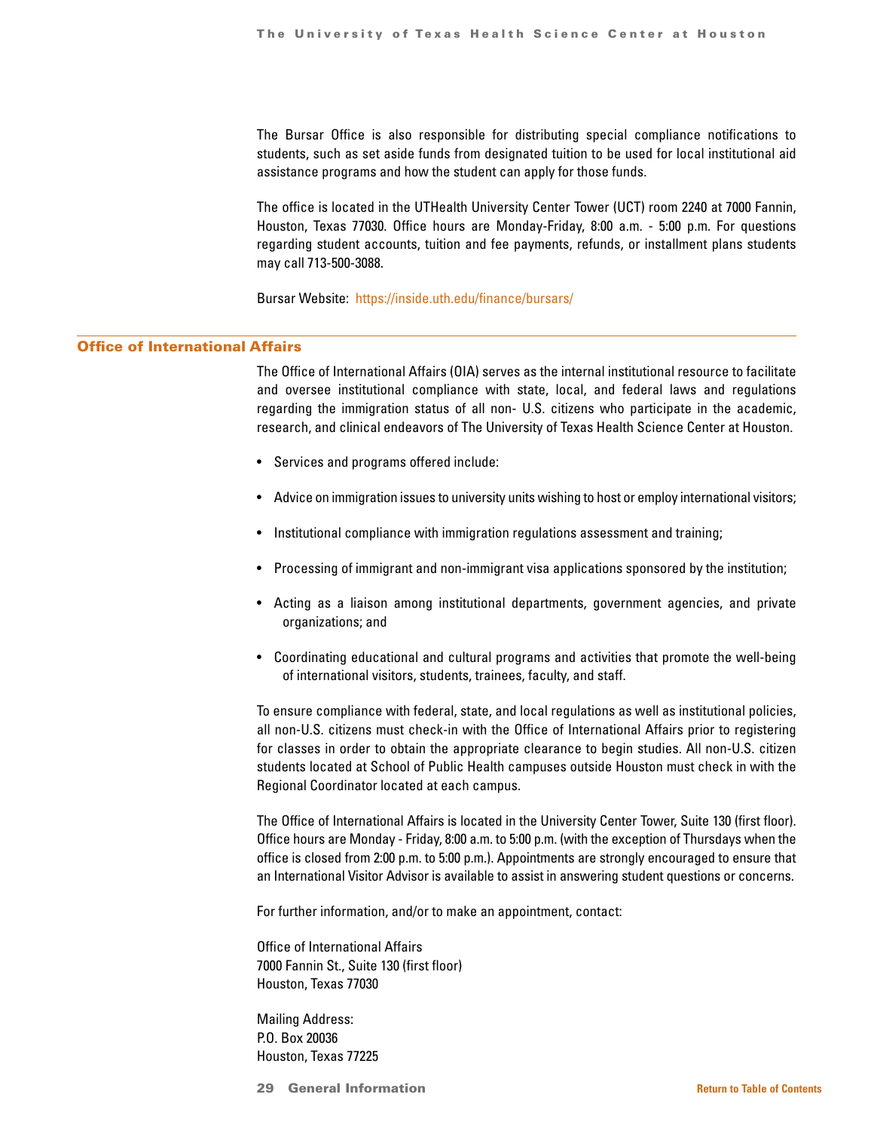The Bursar Office is also responsible for distributing special compliance notifications to students, such as set aside funds from designated tuition to be used for local institutional aid assistance programs and how the student can apply for those funds.

The office is located in the UTHealth University Center Tower (UCT) room 2240 at 7000 Fannin, Houston, Texas 77030. Office hours are Monday-Friday, 8:00 a.m. - 5:00 p.m. For questions regarding student accounts, tuition and fee payments, refunds, or installment plans students may call 713-500-3088.

Bursar Website: <https://inside.uth.edu/finance/bursars/>

### Office of International Affairs

The Office of International Affairs (OIA) serves as the internal institutional resource to facilitate and oversee institutional compliance with state, local, and federal laws and regulations regarding the immigration status of all non- U.S. citizens who participate in the academic, research, and clinical endeavors of The University of Texas Health Science Center at Houston.

- Services and programs offered include:
- Advice on immigration issues to university units wishing to host or employ international visitors;
- Institutional compliance with immigration regulations assessment and training;
- Processing of immigrant and non-immigrant visa applications sponsored by the institution;
- Acting as a liaison among institutional departments, government agencies, and private organizations; and
- Coordinating educational and cultural programs and activities that promote the well-being of international visitors, students, trainees, faculty, and staff.

To ensure compliance with federal, state, and local regulations as well as institutional policies, all non-U.S. citizens must check-in with the Office of International Affairs prior to registering for classes in order to obtain the appropriate clearance to begin studies. All non-U.S. citizen students located at School of Public Health campuses outside Houston must check in with the Regional Coordinator located at each campus.

The Office of International Affairs is located in the University Center Tower, Suite 130 (first floor). Office hours are Monday - Friday, 8:00 a.m. to 5:00 p.m. (with the exception of Thursdays when the office is closed from 2:00 p.m. to 5:00 p.m.). Appointments are strongly encouraged to ensure that an International Visitor Advisor is available to assist in answering student questions or concerns.

For further information, and/or to make an appointment, contact:

Office of International Affairs 7000 Fannin St., Suite 130 (first floor) Houston, Texas 77030

Mailing Address: P.O. Box 20036 Houston, Texas 77225

29 General Information **[Return to Table of Contents](#page-1-0)**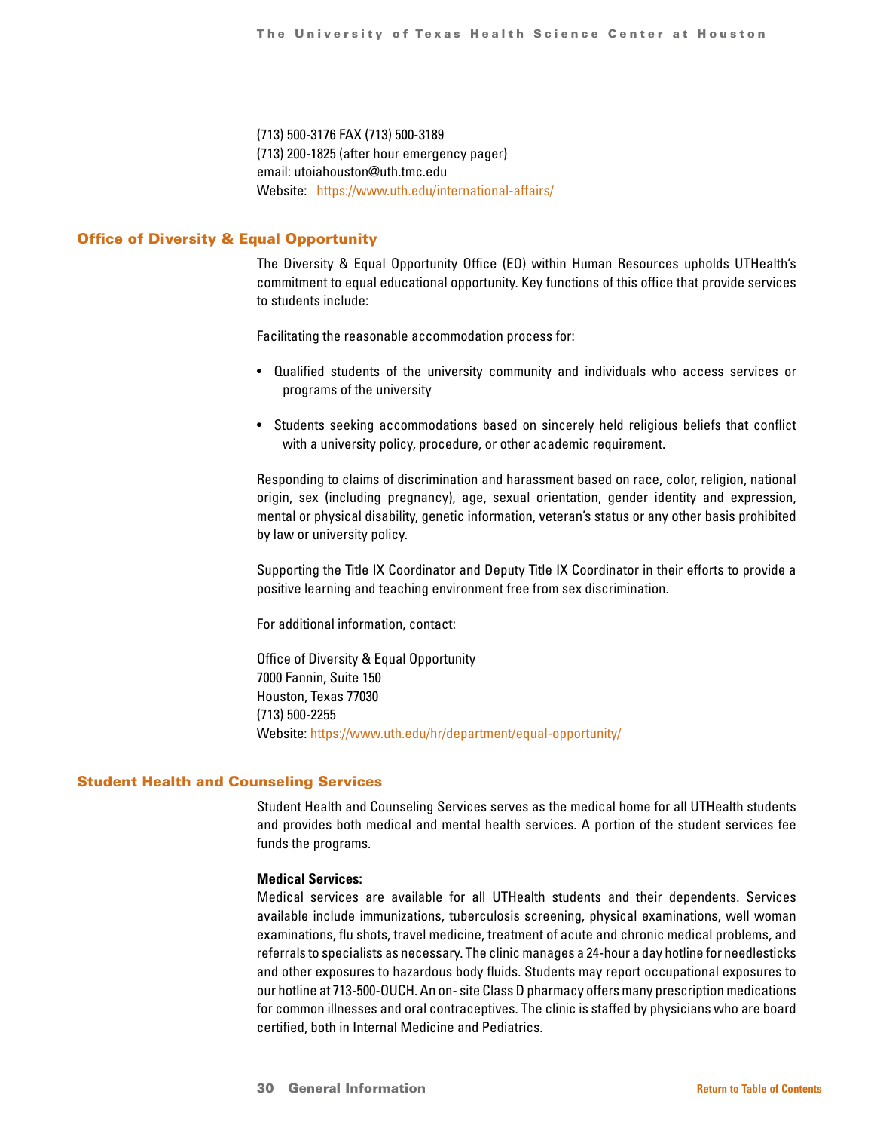(713) 500-3176 FAX (713) 500-3189 (713) 200-1825 (after hour emergency pager) email: utoiahouston@uth.tmc.edu Website: <https://www.uth.edu/international-affairs/>

### Office of Diversity & Equal Opportunity

The Diversity & Equal Opportunity Office (EO) within Human Resources upholds UTHealth's commitment to equal educational opportunity. Key functions of this office that provide services to students include:

Facilitating the reasonable accommodation process for:

- Qualified students of the university community and individuals who access services or programs of the university
- Students seeking accommodations based on sincerely held religious beliefs that conflict with a university policy, procedure, or other academic requirement.

Responding to claims of discrimination and harassment based on race, color, religion, national origin, sex (including pregnancy), age, sexual orientation, gender identity and expression, mental or physical disability, genetic information, veteran's status or any other basis prohibited by law or university policy.

Supporting the Title IX Coordinator and Deputy Title IX Coordinator in their efforts to provide a positive learning and teaching environment free from sex discrimination.

For additional information, contact:

Office of Diversity & Equal Opportunity 7000 Fannin, Suite 150 Houston, Texas 77030 (713) 500-2255 Website:<https://www.uth.edu/hr/department/equal-opportunity/>

### Student Health and Counseling Services

Student Health and Counseling Services serves as the medical home for all UTHealth students and provides both medical and mental health services. A portion of the student services fee funds the programs.

### **Medical Services:**

Medical services are available for all UTHealth students and their dependents. Services available include immunizations, tuberculosis screening, physical examinations, well woman examinations, flu shots, travel medicine, treatment of acute and chronic medical problems, and referrals to specialists as necessary. The clinic manages a 24-hour a day hotline for needlesticks and other exposures to hazardous body fluids. Students may report occupational exposures to our hotline at 713-500-OUCH. An on- site Class D pharmacy offers many prescription medications for common illnesses and oral contraceptives. The clinic is staffed by physicians who are board certified, both in Internal Medicine and Pediatrics.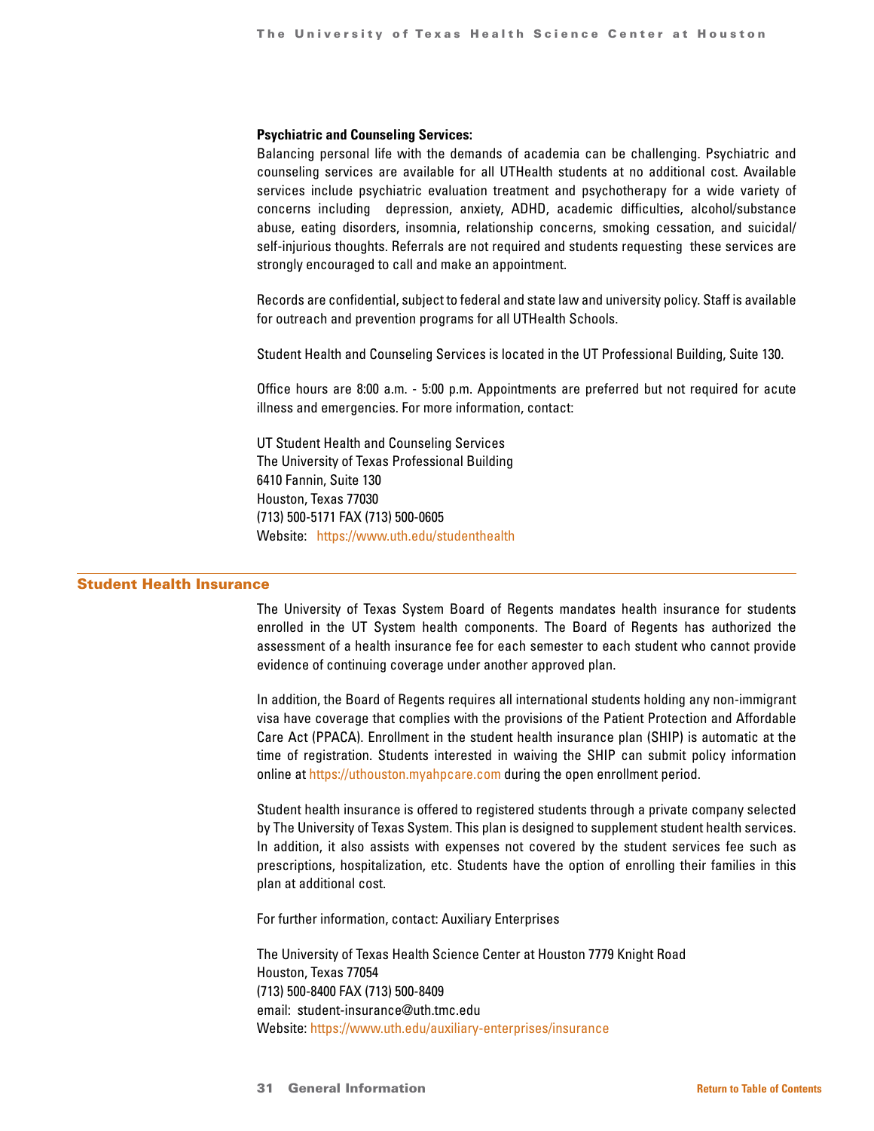### **Psychiatric and Counseling Services:**

Balancing personal life with the demands of academia can be challenging. Psychiatric and counseling services are available for all UTHealth students at no additional cost. Available services include psychiatric evaluation treatment and psychotherapy for a wide variety of concerns including depression, anxiety, ADHD, academic difficulties, alcohol/substance abuse, eating disorders, insomnia, relationship concerns, smoking cessation, and suicidal/ self-injurious thoughts. Referrals are not required and students requesting these services are strongly encouraged to call and make an appointment.

Records are confidential, subject to federal and state law and university policy. Staff is available for outreach and prevention programs for all UTHealth Schools.

Student Health and Counseling Services is located in the UT Professional Building, Suite 130.

Office hours are 8:00 a.m. - 5:00 p.m. Appointments are preferred but not required for acute illness and emergencies. For more information, contact:

UT Student Health and Counseling Services The University of Texas Professional Building 6410 Fannin, Suite 130 Houston, Texas 77030 (713) 500-5171 FAX (713) 500-0605 Website: <https://www.uth.edu/studenthealth>

### Student Health Insurance

The University of Texas System Board of Regents mandates health insurance for students enrolled in the UT System health components. The Board of Regents has authorized the assessment of a health insurance fee for each semester to each student who cannot provide evidence of continuing coverage under another approved plan.

In addition, the Board of Regents requires all international students holding any non-immigrant visa have coverage that complies with the provisions of the Patient Protection and Affordable Care Act (PPACA). Enrollment in the student health insurance plan (SHIP) is automatic at the time of registration. Students interested in waiving the SHIP can submit policy information online at <https://uthouston.myahpcare.com> during the open enrollment period.

Student health insurance is offered to registered students through a private company selected by The University of Texas System. This plan is designed to supplement student health services. In addition, it also assists with expenses not covered by the student services fee such as prescriptions, hospitalization, etc. Students have the option of enrolling their families in this plan at additional cost.

For further information, contact: Auxiliary Enterprises

The University of Texas Health Science Center at Houston 7779 Knight Road Houston, Texas 77054 (713) 500-8400 FAX (713) 500-8409 email: student-insurance@uth.tmc.edu Website:<https://www.uth.edu/auxiliary-enterprises/insurance>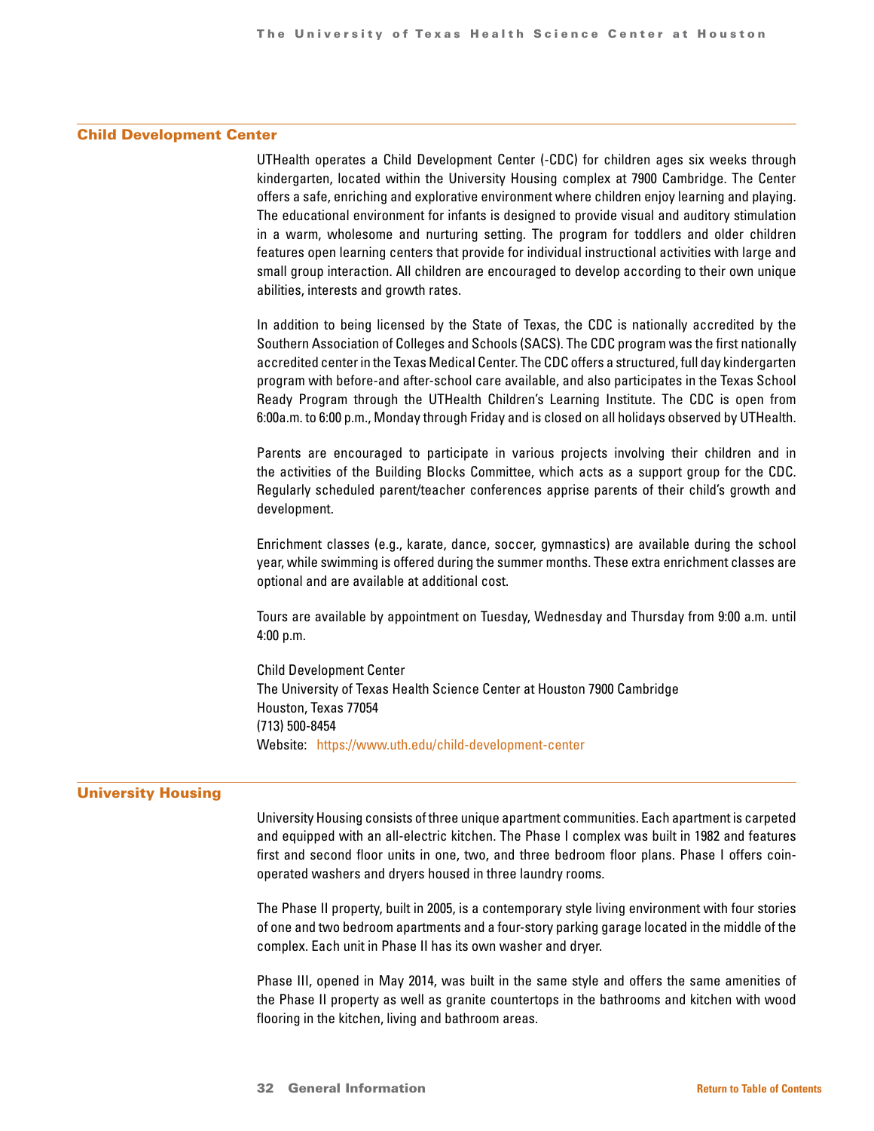### Child Development Center

UTHealth operates a Child Development Center (-CDC) for children ages six weeks through kindergarten, located within the University Housing complex at 7900 Cambridge. The Center offers a safe, enriching and explorative environment where children enjoy learning and playing. The educational environment for infants is designed to provide visual and auditory stimulation in a warm, wholesome and nurturing setting. The program for toddlers and older children features open learning centers that provide for individual instructional activities with large and small group interaction. All children are encouraged to develop according to their own unique abilities, interests and growth rates.

In addition to being licensed by the State of Texas, the CDC is nationally accredited by the Southern Association of Colleges and Schools (SACS). The CDC program was the first nationally accredited center in the Texas Medical Center. The CDC offers a structured, full day kindergarten program with before-and after-school care available, and also participates in the Texas School Ready Program through the UTHealth Children's Learning Institute. The CDC is open from 6:00a.m. to 6:00 p.m., Monday through Friday and is closed on all holidays observed by UTHealth.

Parents are encouraged to participate in various projects involving their children and in the activities of the Building Blocks Committee, which acts as a support group for the CDC. Regularly scheduled parent/teacher conferences apprise parents of their child's growth and development.

Enrichment classes (e.g., karate, dance, soccer, gymnastics) are available during the school year, while swimming is offered during the summer months. These extra enrichment classes are optional and are available at additional cost.

Tours are available by appointment on Tuesday, Wednesday and Thursday from 9:00 a.m. until 4:00 p.m.

Child Development Center The University of Texas Health Science Center at Houston 7900 Cambridge Houston, Texas 77054 (713) 500-8454 Website: <https://www.uth.edu/child-development-center>

### University Housing

University Housing consists of three unique apartment communities. Each apartment is carpeted and equipped with an all-electric kitchen. The Phase I complex was built in 1982 and features first and second floor units in one, two, and three bedroom floor plans. Phase I offers coinoperated washers and dryers housed in three laundry rooms.

The Phase II property, built in 2005, is a contemporary style living environment with four stories of one and two bedroom apartments and a four-story parking garage located in the middle of the complex. Each unit in Phase II has its own washer and dryer.

Phase III, opened in May 2014, was built in the same style and offers the same amenities of the Phase II property as well as granite countertops in the bathrooms and kitchen with wood flooring in the kitchen, living and bathroom areas.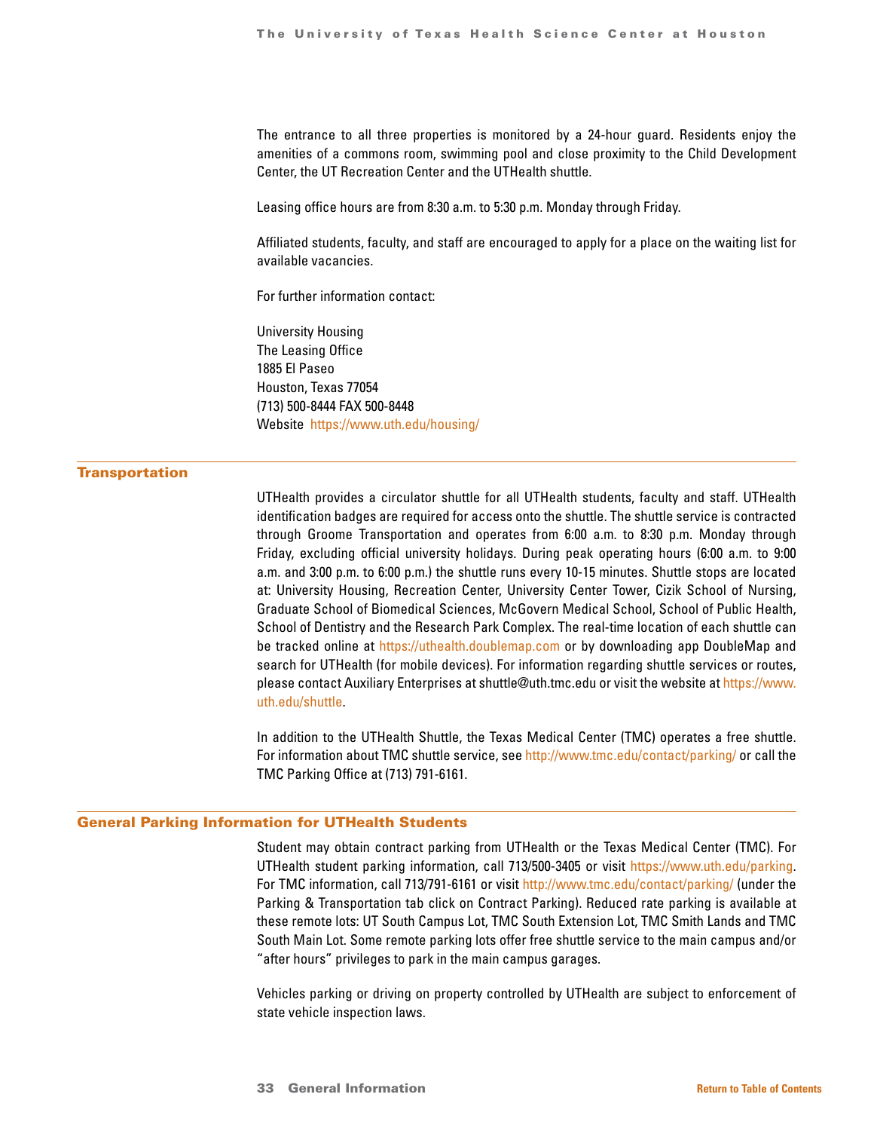The entrance to all three properties is monitored by a 24-hour guard. Residents enjoy the amenities of a commons room, swimming pool and close proximity to the Child Development Center, the UT Recreation Center and the UTHealth shuttle.

Leasing office hours are from 8:30 a.m. to 5:30 p.m. Monday through Friday.

Affiliated students, faculty, and staff are encouraged to apply for a place on the waiting list for available vacancies.

For further information contact:

University Housing The Leasing Office 1885 El Paseo Houston, Texas 77054 (713) 500-8444 FAX 500-8448 Website <https://www.uth.edu/housing/>

### **Transportation**

UTHealth provides a circulator shuttle for all UTHealth students, faculty and staff. UTHealth identification badges are required for access onto the shuttle. The shuttle service is contracted through Groome Transportation and operates from 6:00 a.m. to 8:30 p.m. Monday through Friday, excluding official university holidays. During peak operating hours (6:00 a.m. to 9:00 a.m. and 3:00 p.m. to 6:00 p.m.) the shuttle runs every 10-15 minutes. Shuttle stops are located at: University Housing, Recreation Center, University Center Tower, Cizik School of Nursing, Graduate School of Biomedical Sciences, McGovern Medical School, School of Public Health, School of Dentistry and the Research Park Complex. The real-time location of each shuttle can be tracked online at <https://uthealth.doublemap.com> or by downloading app DoubleMap and search for UTHealth (for mobile devices). For information regarding shuttle services or routes, please contact Auxiliary Enterprises at shuttle@uth.tmc.edu or visit the website at [https://www.](https://www.uth.edu/shuttle) [uth.edu/shuttle](https://www.uth.edu/shuttle).

In addition to the UTHealth Shuttle, the Texas Medical Center (TMC) operates a free shuttle. For information about TMC shuttle service, see<http://www.tmc.edu/contact/parking/> or call the TMC Parking Office at (713) 791-6161.

### General Parking Information for UTHealth Students

Student may obtain contract parking from UTHealth or the Texas Medical Center (TMC). For UTHealth student parking information, call 713/500-3405 or visit [https://www.uth.edu/parking.](https://www.uth.edu/parking) For TMC information, call 713/791-6161 or visit <http://www.tmc.edu/contact/parking/> (under the Parking & Transportation tab click on Contract Parking). Reduced rate parking is available at these remote lots: UT South Campus Lot, TMC South Extension Lot, TMC Smith Lands and TMC South Main Lot. Some remote parking lots offer free shuttle service to the main campus and/or "after hours" privileges to park in the main campus garages.

Vehicles parking or driving on property controlled by UTHealth are subject to enforcement of state vehicle inspection laws.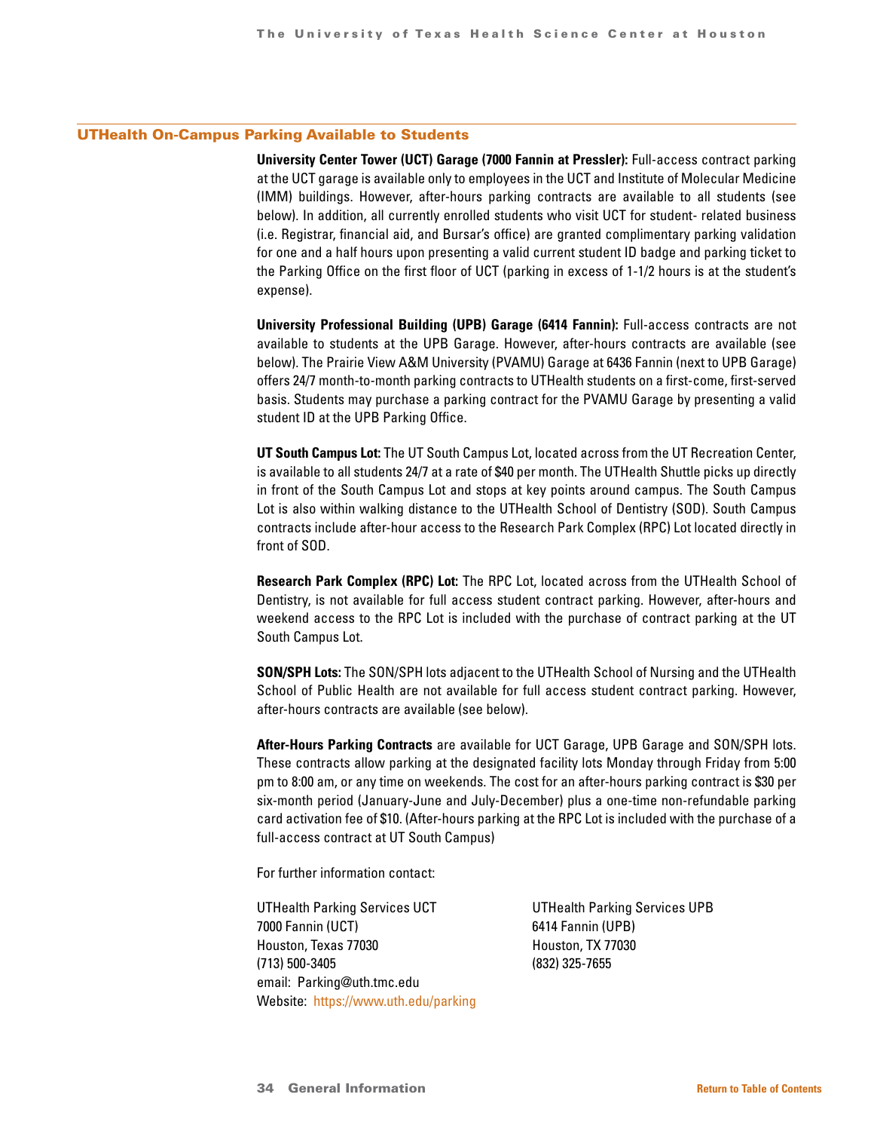### UTHealth On-Campus Parking Available to Students

**University Center Tower (UCT) Garage (7000 Fannin at Pressler):** Full-access contract parking at the UCT garage is available only to employees in the UCT and Institute of Molecular Medicine (IMM) buildings. However, after-hours parking contracts are available to all students (see below). In addition, all currently enrolled students who visit UCT for student- related business (i.e. Registrar, financial aid, and Bursar's office) are granted complimentary parking validation for one and a half hours upon presenting a valid current student ID badge and parking ticket to the Parking Office on the first floor of UCT (parking in excess of 1-1/2 hours is at the student's expense).

**University Professional Building (UPB) Garage (6414 Fannin):** Full-access contracts are not available to students at the UPB Garage. However, after-hours contracts are available (see below). The Prairie View A&M University (PVAMU) Garage at 6436 Fannin (next to UPB Garage) offers 24/7 month-to-month parking contracts to UTHealth students on a first-come, first-served basis. Students may purchase a parking contract for the PVAMU Garage by presenting a valid student ID at the UPB Parking Office.

**UT South Campus Lot:** The UT South Campus Lot, located across from the UT Recreation Center, is available to all students 24/7 at a rate of \$40 per month. The UTHealth Shuttle picks up directly in front of the South Campus Lot and stops at key points around campus. The South Campus Lot is also within walking distance to the UTHealth School of Dentistry (SOD). South Campus contracts include after-hour access to the Research Park Complex (RPC) Lot located directly in front of SOD.

**Research Park Complex (RPC) Lot:** The RPC Lot, located across from the UTHealth School of Dentistry, is not available for full access student contract parking. However, after-hours and weekend access to the RPC Lot is included with the purchase of contract parking at the UT South Campus Lot.

**SON/SPH Lots:** The SON/SPH lots adjacent to the UTHealth School of Nursing and the UTHealth School of Public Health are not available for full access student contract parking. However, after-hours contracts are available (see below).

**After-Hours Parking Contracts** are available for UCT Garage, UPB Garage and SON/SPH lots. These contracts allow parking at the designated facility lots Monday through Friday from 5:00 pm to 8:00 am, or any time on weekends. The cost for an after-hours parking contract is \$30 per six-month period (January-June and July-December) plus a one-time non-refundable parking card activation fee of \$10. (After-hours parking at the RPC Lot is included with the purchase of a full-access contract at UT South Campus)

For further information contact:

UTHealth Parking Services UCT UTHealth Parking Services UPB 7000 Fannin (UCT) 6414 Fannin (UPB) Houston, Texas 77030 Houston, TX 77030 (713) 500-3405 (832) 325-7655 email: Parking@uth.tmc.edu Website: <https://www.uth.edu/parking>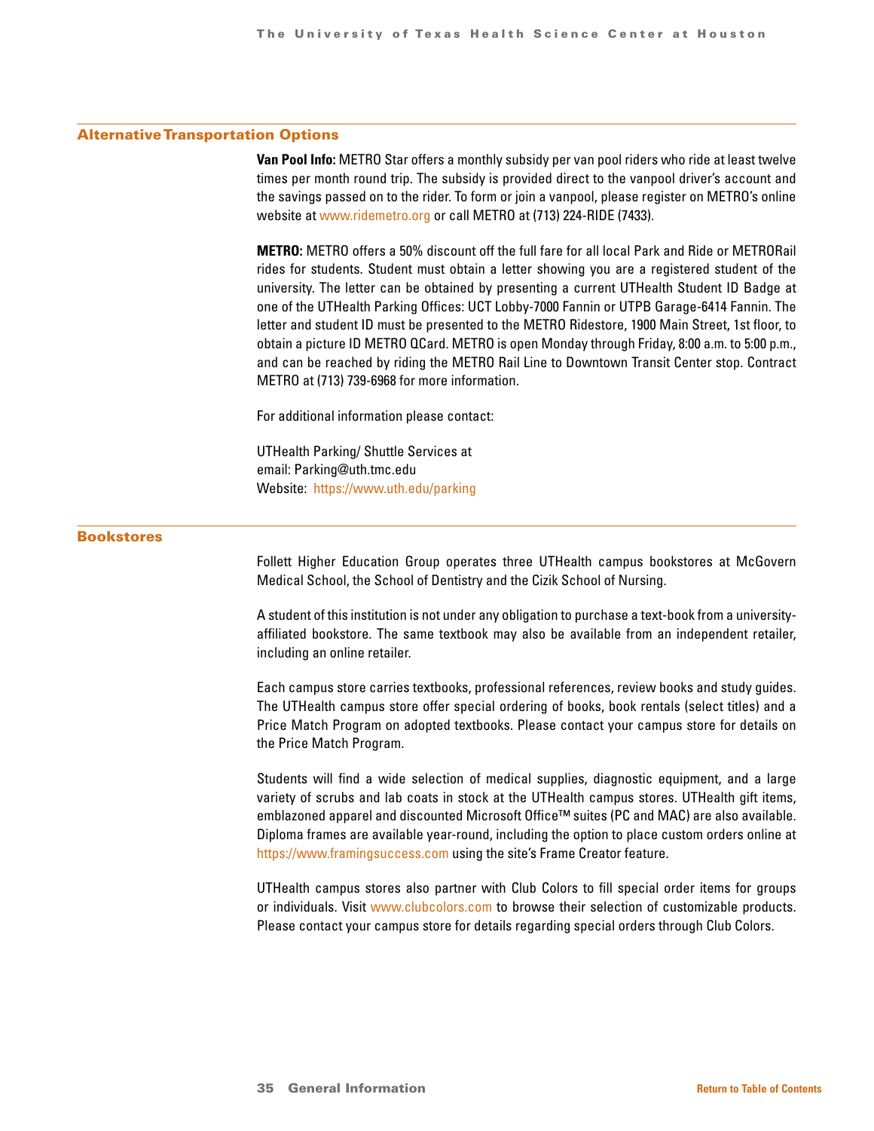### Alternative Transportation Options

**Van Pool Info:** METRO Star offers a monthly subsidy per van pool riders who ride at least twelve times per month round trip. The subsidy is provided direct to the vanpool driver's account and the savings passed on to the rider. To form or join a vanpool, please register on METRO's online website at [www.ridemetro.org](http://www.ridemetro.org) or call METRO at (713) 224-RIDE (7433).

**METRO:** METRO offers a 50% discount off the full fare for all local Park and Ride or METRORail rides for students. Student must obtain a letter showing you are a registered student of the university. The letter can be obtained by presenting a current UTHealth Student ID Badge at one of the UTHealth Parking Offices: UCT Lobby-7000 Fannin or UTPB Garage-6414 Fannin. The letter and student ID must be presented to the METRO Ridestore, 1900 Main Street, 1st floor, to obtain a picture ID METRO QCard. METRO is open Monday through Friday, 8:00 a.m. to 5:00 p.m., and can be reached by riding the METRO Rail Line to Downtown Transit Center stop. Contract METRO at (713) 739-6968 for more information.

For additional information please contact:

UTHealth Parking/ Shuttle Services at email: Parking@uth.tmc.edu Website: <https://www.uth.edu/parking>

### Bookstores

Follett Higher Education Group operates three UTHealth campus bookstores at McGovern Medical School, the School of Dentistry and the Cizik School of Nursing.

A student of this institution is not under any obligation to purchase a text-book from a universityaffiliated bookstore. The same textbook may also be available from an independent retailer, including an online retailer.

Each campus store carries textbooks, professional references, review books and study guides. The UTHealth campus store offer special ordering of books, book rentals (select titles) and a Price Match Program on adopted textbooks. Please contact your campus store for details on the Price Match Program.

Students will find a wide selection of medical supplies, diagnostic equipment, and a large variety of scrubs and lab coats in stock at the UTHealth campus stores. UTHealth gift items, emblazoned apparel and discounted Microsoft Office™ suites (PC and MAC) are also available. Diploma frames are available year-round, including the option to place custom orders online at <https://www.framingsuccess.com>using the site's Frame Creator feature.

UTHealth campus stores also partner with Club Colors to fill special order items for groups or individuals. Visit [www.clubcolors.com](http://www.clubcolors.com) to browse their selection of customizable products. Please contact your campus store for details regarding special orders through Club Colors.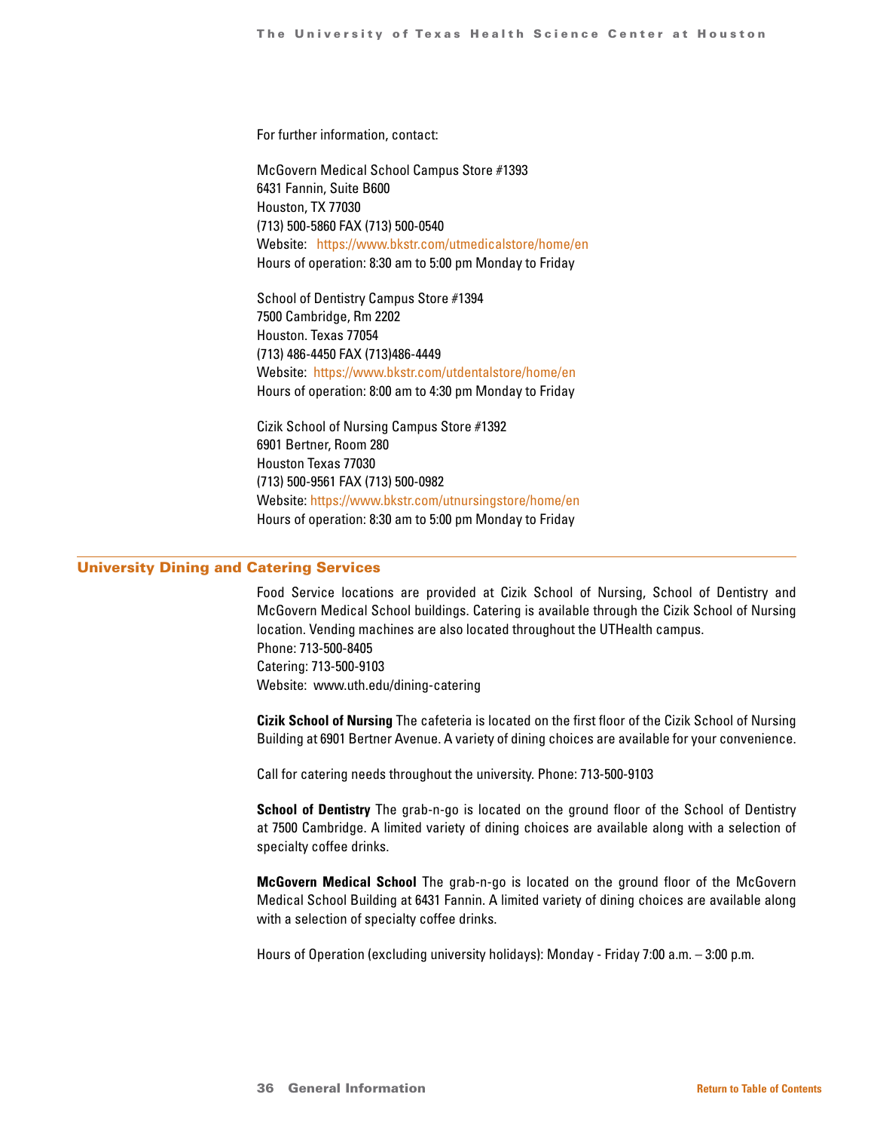For further information, contact:

McGovern Medical School Campus Store #1393 6431 Fannin, Suite B600 Houston, TX 77030 (713) 500-5860 FAX (713) 500-0540 Website: <https://www.bkstr.com/utmedicalstore/home/en> Hours of operation: 8:30 am to 5:00 pm Monday to Friday

School of Dentistry Campus Store #1394 7500 Cambridge, Rm 2202 Houston. Texas 77054 (713) 486-4450 FAX (713)486-4449 Website: <https://www.bkstr.com/utdentalstore/home/en> Hours of operation: 8:00 am to 4:30 pm Monday to Friday

Cizik School of Nursing Campus Store #1392 6901 Bertner, Room 280 Houston Texas 77030 (713) 500-9561 FAX (713) 500-0982 Website:<https://www.bkstr.com/utnursingstore/home/en> Hours of operation: 8:30 am to 5:00 pm Monday to Friday

### University Dining and Catering Services

Food Service locations are provided at Cizik School of Nursing, School of Dentistry and McGovern Medical School buildings. Catering is available through the Cizik School of Nursing location. Vending machines are also located throughout the UTHealth campus. Phone: 713-500-8405 Catering: 713-500-9103 Website: www.uth.edu/dining-catering

**Cizik School of Nursing** The cafeteria is located on the first floor of the Cizik School of Nursing Building at 6901 Bertner Avenue. A variety of dining choices are available for your convenience.

Call for catering needs throughout the university. Phone: 713-500-9103

**School of Dentistry** The grab-n-go is located on the ground floor of the School of Dentistry at 7500 Cambridge. A limited variety of dining choices are available along with a selection of specialty coffee drinks.

**McGovern Medical School** The grab-n-go is located on the ground floor of the McGovern Medical School Building at 6431 Fannin. A limited variety of dining choices are available along with a selection of specialty coffee drinks.

Hours of Operation (excluding university holidays): Monday - Friday 7:00 a.m. – 3:00 p.m.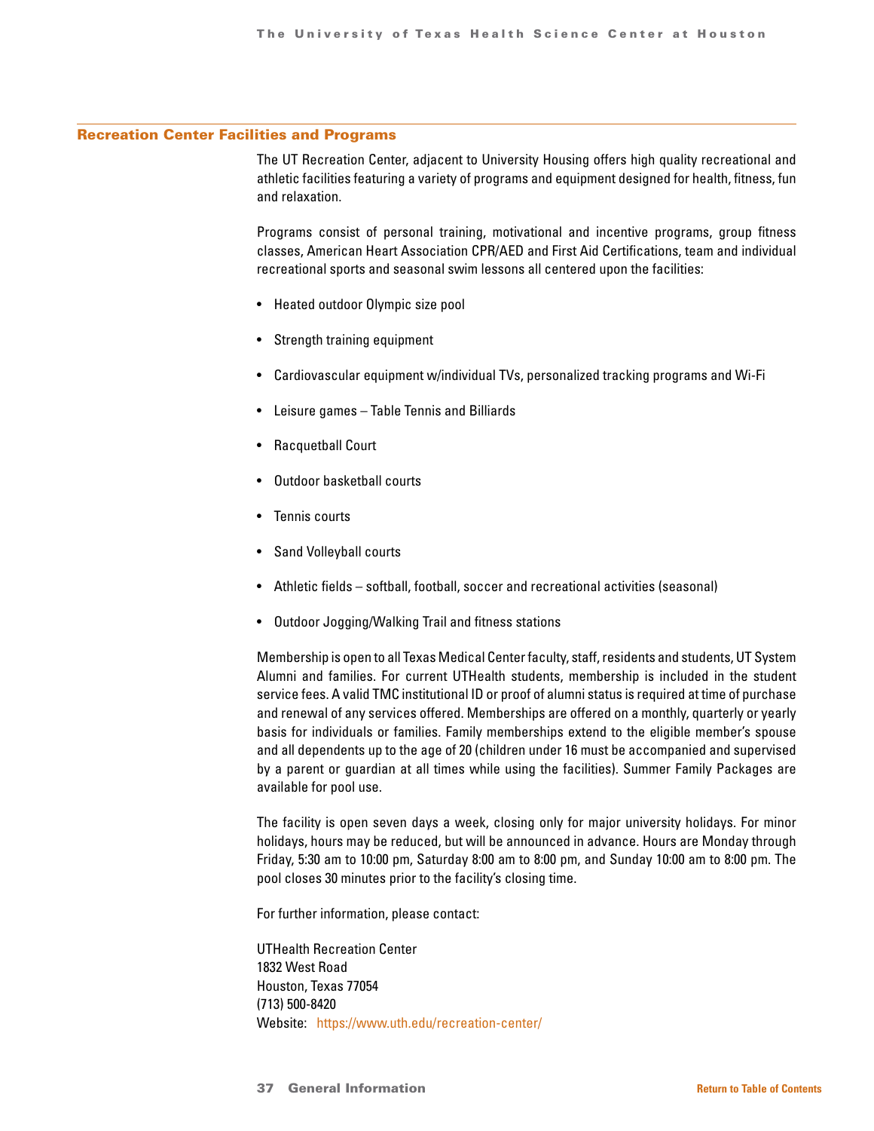### Recreation Center Facilities and Programs

The UT Recreation Center, adjacent to University Housing offers high quality recreational and athletic facilities featuring a variety of programs and equipment designed for health, fitness, fun and relaxation.

Programs consist of personal training, motivational and incentive programs, group fitness classes, American Heart Association CPR/AED and First Aid Certifications, team and individual recreational sports and seasonal swim lessons all centered upon the facilities:

- Heated outdoor Olympic size pool
- Strength training equipment
- Cardiovascular equipment w/individual TVs, personalized tracking programs and Wi-Fi
- Leisure games Table Tennis and Billiards
- Racquetball Court
- Outdoor basketball courts
- Tennis courts
- Sand Volleyball courts
- Athletic fields softball, football, soccer and recreational activities (seasonal)
- Outdoor Jogging/Walking Trail and fitness stations

Membership is open to all Texas Medical Center faculty, staff, residents and students, UT System Alumni and families. For current UTHealth students, membership is included in the student service fees. A valid TMC institutional ID or proof of alumni status is required at time of purchase and renewal of any services offered. Memberships are offered on a monthly, quarterly or yearly basis for individuals or families. Family memberships extend to the eligible member's spouse and all dependents up to the age of 20 (children under 16 must be accompanied and supervised by a parent or guardian at all times while using the facilities). Summer Family Packages are available for pool use.

The facility is open seven days a week, closing only for major university holidays. For minor holidays, hours may be reduced, but will be announced in advance. Hours are Monday through Friday, 5:30 am to 10:00 pm, Saturday 8:00 am to 8:00 pm, and Sunday 10:00 am to 8:00 pm. The pool closes 30 minutes prior to the facility's closing time.

For further information, please contact:

UTHealth Recreation Center 1832 West Road Houston, Texas 77054 (713) 500-8420 Website: <https://www.uth.edu/recreation-center/>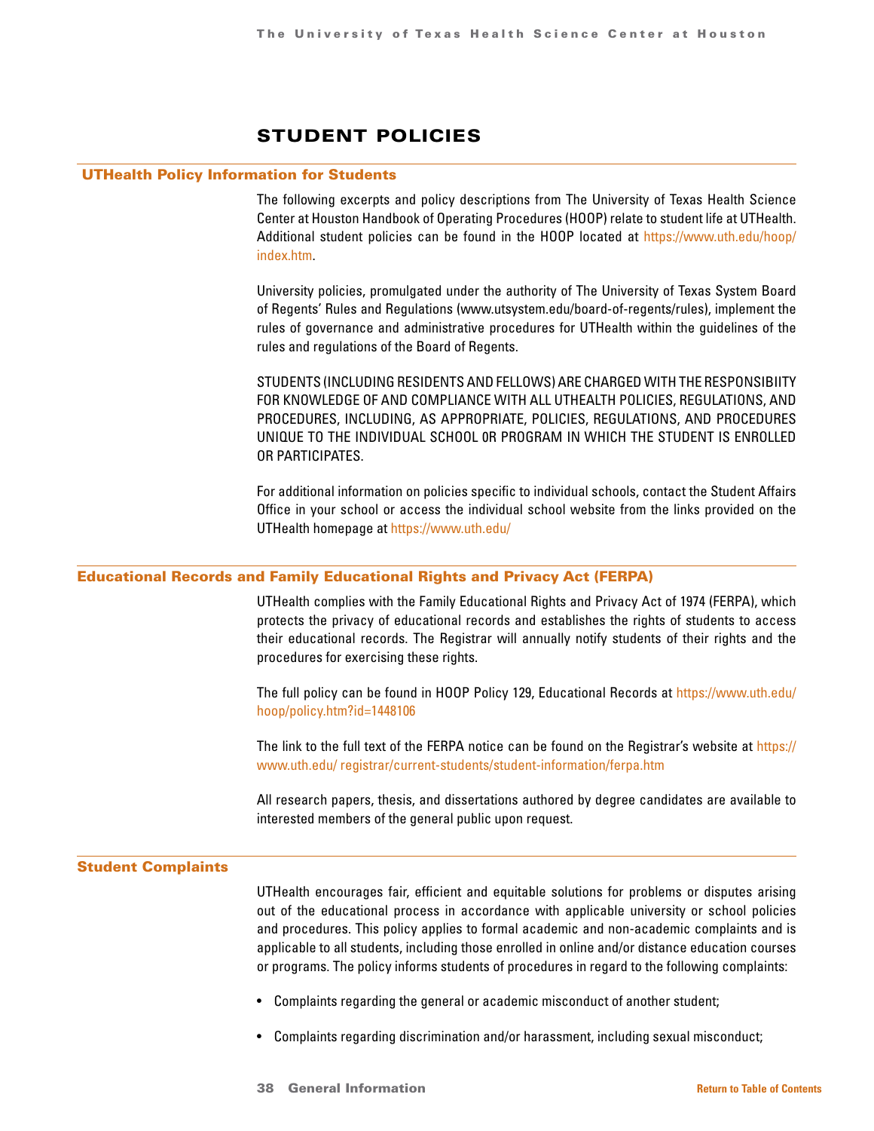# STUDENT POLICIES

### <span id="page-37-0"></span>UTHealth Policy Information for Students

The following excerpts and policy descriptions from The University of Texas Health Science Center at Houston Handbook of Operating Procedures (HOOP) relate to student life at UTHealth. Additional student policies can be found in the HOOP located at [https://www.uth.edu/hoop/](https://www.uth.edu/hoop/ index.htm)  [index.htm.](https://www.uth.edu/hoop/ index.htm)

University policies, promulgated under the authority of The University of Texas System Board of Regents' Rules and Regulations (www.utsystem.edu/board-of-regents/rules), implement the rules of governance and administrative procedures for UTHealth within the guidelines of the rules and regulations of the Board of Regents.

STUDENTS (INCLUDING RESIDENTS AND FELLOWS) ARE CHARGED WITH THE RESPONSIBIITY FOR KNOWLEDGE OF AND COMPLIANCE WITH ALL UTHEALTH POLICIES, REGULATIONS, AND PROCEDURES, INCLUDING, AS APPROPRIATE, POLICIES, REGULATIONS, AND PROCEDURES UNIQUE TO THE INDIVIDUAL SCHOOL 0R PROGRAM IN WHICH THE STUDENT IS ENROLLED OR PARTICIPATES.

For additional information on policies specific to individual schools, contact the Student Affairs Office in your school or access the individual school website from the links provided on the UTHealth homepage at <https://www.uth.edu/>

### Educational Records and Family Educational Rights and Privacy Act (FERPA)

UTHealth complies with the Family Educational Rights and Privacy Act of 1974 (FERPA), which protects the privacy of educational records and establishes the rights of students to access their educational records. The Registrar will annually notify students of their rights and the procedures for exercising these rights.

The full policy can be found in HOOP Policy 129, Educational Records at [https://www.uth.edu/](https://www.uth.edu/ hoop/policy.htm?id=1448106)  [hoop/policy.htm?id=1448106](https://www.uth.edu/ hoop/policy.htm?id=1448106)

The link to the full text of the FERPA notice can be found on the Registrar's website at [https://](https://www.uth.edu/ registrar/current-students/student-information/ferpa.htm) [www.uth.edu/ registrar/current-students/student-information/ferpa.htm](https://www.uth.edu/ registrar/current-students/student-information/ferpa.htm)

All research papers, thesis, and dissertations authored by degree candidates are available to interested members of the general public upon request.

### Student Complaints

UTHealth encourages fair, efficient and equitable solutions for problems or disputes arising out of the educational process in accordance with applicable university or school policies and procedures. This policy applies to formal academic and non-academic complaints and is applicable to all students, including those enrolled in online and/or distance education courses or programs. The policy informs students of procedures in regard to the following complaints:

- Complaints regarding the general or academic misconduct of another student;
- Complaints regarding discrimination and/or harassment, including sexual misconduct;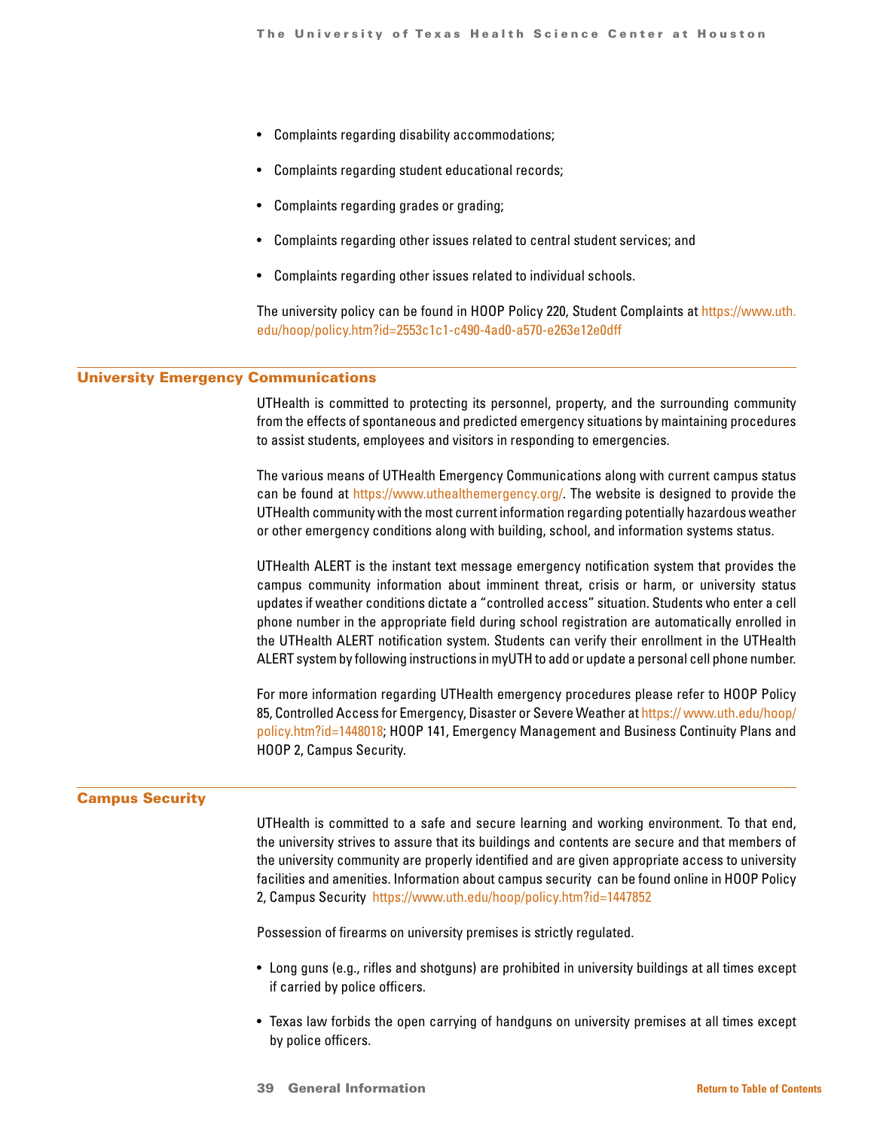- Complaints regarding disability accommodations;
- Complaints regarding student educational records;
- Complaints regarding grades or grading;
- Complaints regarding other issues related to central student services; and
- Complaints regarding other issues related to individual schools.

The university policy can be found in HOOP Policy 220, Student Complaints at [https://www.uth.](https://www.uth. edu/hoop/policy.htm?id=2553c1c1-c490-4ad0-a570-e263e12e0dff)  [edu/hoop/policy.htm?id=2553c1c1-c490-4ad0-a570-e263e12e0dff](https://www.uth. edu/hoop/policy.htm?id=2553c1c1-c490-4ad0-a570-e263e12e0dff)

### University Emergency Communications

UTHealth is committed to protecting its personnel, property, and the surrounding community from the effects of spontaneous and predicted emergency situations by maintaining procedures to assist students, employees and visitors in responding to emergencies.

The various means of UTHealth Emergency Communications along with current campus status can be found at <https://www.uthealthemergency.org/>. The website is designed to provide the UTHealth community with the most current information regarding potentially hazardous weather or other emergency conditions along with building, school, and information systems status.

UTHealth ALERT is the instant text message emergency notification system that provides the campus community information about imminent threat, crisis or harm, or university status updates if weather conditions dictate a "controlled access" situation. Students who enter a cell phone number in the appropriate field during school registration are automatically enrolled in the UTHealth ALERT notification system. Students can verify their enrollment in the UTHealth ALERT system by following instructions in myUTH to add or update a personal cell phone number.

For more information regarding UTHealth emergency procedures please refer to HOOP Policy 85, Controlled Access for Emergency, Disaster or Severe Weather at https://www.uth.edu/hoop/ [policy.htm?id=1448018](https:// www.uth.edu/hoop/policy.htm?id=1448018); HOOP 141, Emergency Management and Business Continuity Plans and HOOP 2, Campus Security.

### Campus Security

UTHealth is committed to a safe and secure learning and working environment. To that end, the university strives to assure that its buildings and contents are secure and that members of the university community are properly identified and are given appropriate access to university facilities and amenities. Information about campus security can be found online in HOOP Policy 2, Campus Security <https://www.uth.edu/hoop/policy.htm?id=1447852>

Possession of firearms on university premises is strictly regulated.

- Long guns (e.g., rifles and shotguns) are prohibited in university buildings at all times except if carried by police officers.
- Texas law forbids the open carrying of handguns on university premises at all times except by police officers.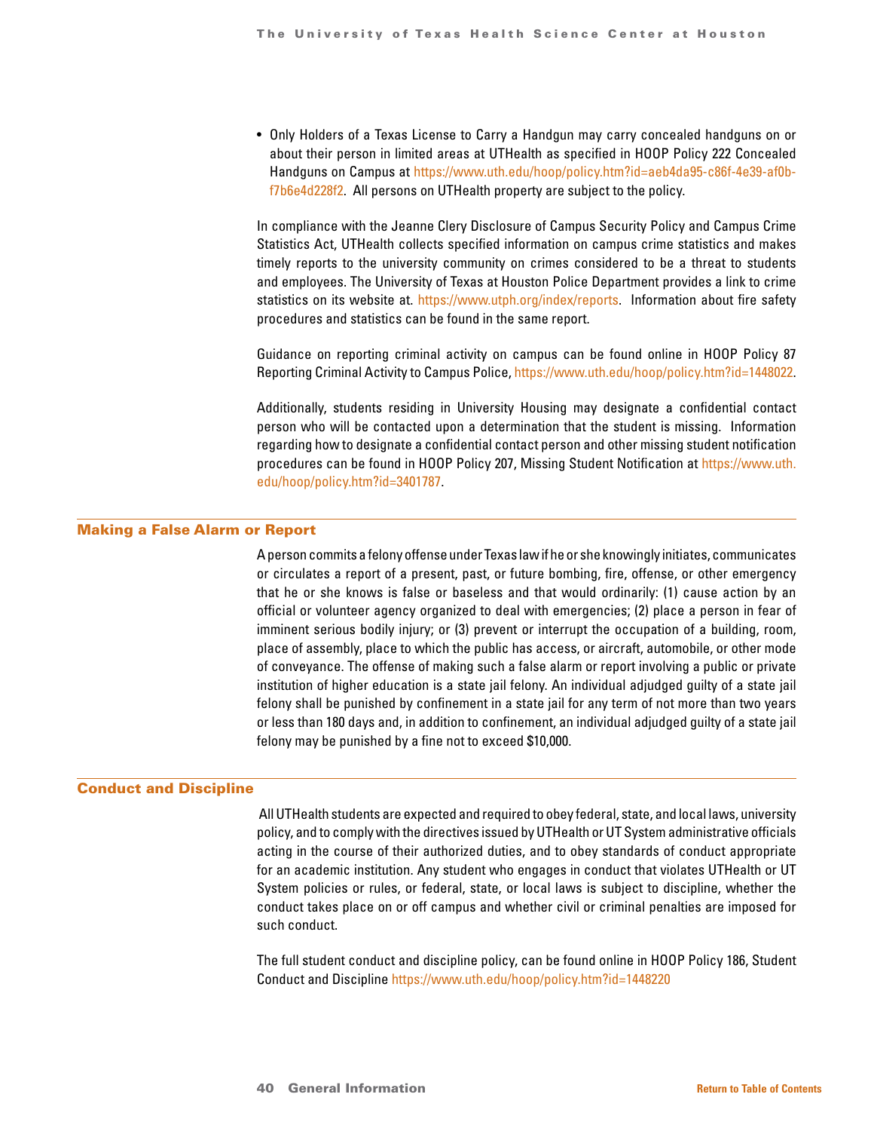• Only Holders of a Texas License to Carry a Handgun may carry concealed handguns on or about their person in limited areas at UTHealth as specified in HOOP Policy 222 Concealed Handguns on Campus at [https://www.uth.edu/hoop/policy.htm?id=aeb4da95-c86f-4e39-af0b](https://www.uth.edu/hoop/policy.htm?id=aeb4da95-c86f-4e39-af0b- f7b6e4d228f2)[f7b6e4d228f2.](https://www.uth.edu/hoop/policy.htm?id=aeb4da95-c86f-4e39-af0b- f7b6e4d228f2) All persons on UTHealth property are subject to the policy.

In compliance with the Jeanne Clery Disclosure of Campus Security Policy and Campus Crime Statistics Act, UTHealth collects specified information on campus crime statistics and makes timely reports to the university community on crimes considered to be a threat to students and employees. The University of Texas at Houston Police Department provides a link to crime statistics on its website at. [https://www.utph.org/index/reports.](https://www.utph.org/index/reports) Information about fire safety procedures and statistics can be found in the same report.

Guidance on reporting criminal activity on campus can be found online in HOOP Policy 87 Reporting Criminal Activity to Campus Police, [https://www.uth.edu/hoop/policy.htm?id=1448022.](https://www.uth.edu/hoop/policy.htm?id=1448022)

Additionally, students residing in University Housing may designate a confidential contact person who will be contacted upon a determination that the student is missing. Information regarding how to designate a confidential contact person and other missing student notification procedures can be found in HOOP Policy 207, Missing Student Notification at [https://www.uth.](https://www.uth.edu/hoop/policy.htm?id=3401787) [edu/hoop/policy.htm?id=3401787](https://www.uth.edu/hoop/policy.htm?id=3401787).

### Making a False Alarm or Report

A person commits a felony offense under Texas law if he or she knowingly initiates, communicates or circulates a report of a present, past, or future bombing, fire, offense, or other emergency that he or she knows is false or baseless and that would ordinarily: (1) cause action by an official or volunteer agency organized to deal with emergencies; (2) place a person in fear of imminent serious bodily injury; or (3) prevent or interrupt the occupation of a building, room, place of assembly, place to which the public has access, or aircraft, automobile, or other mode of conveyance. The offense of making such a false alarm or report involving a public or private institution of higher education is a state jail felony. An individual adjudged guilty of a state jail felony shall be punished by confinement in a state jail for any term of not more than two years or less than 180 days and, in addition to confinement, an individual adjudged guilty of a state jail felony may be punished by a fine not to exceed \$10,000.

### Conduct and Discipline

 All UTHealth students are expected and required to obey federal, state, and local laws, university policy, and to comply with the directives issued by UTHealth or UT System administrative officials acting in the course of their authorized duties, and to obey standards of conduct appropriate for an academic institution. Any student who engages in conduct that violates UTHealth or UT System policies or rules, or federal, state, or local laws is subject to discipline, whether the conduct takes place on or off campus and whether civil or criminal penalties are imposed for such conduct.

The full student conduct and discipline policy, can be found online in HOOP Policy 186, Student Conduct and Discipline<https://www.uth.edu/hoop/policy.htm?id=1448220>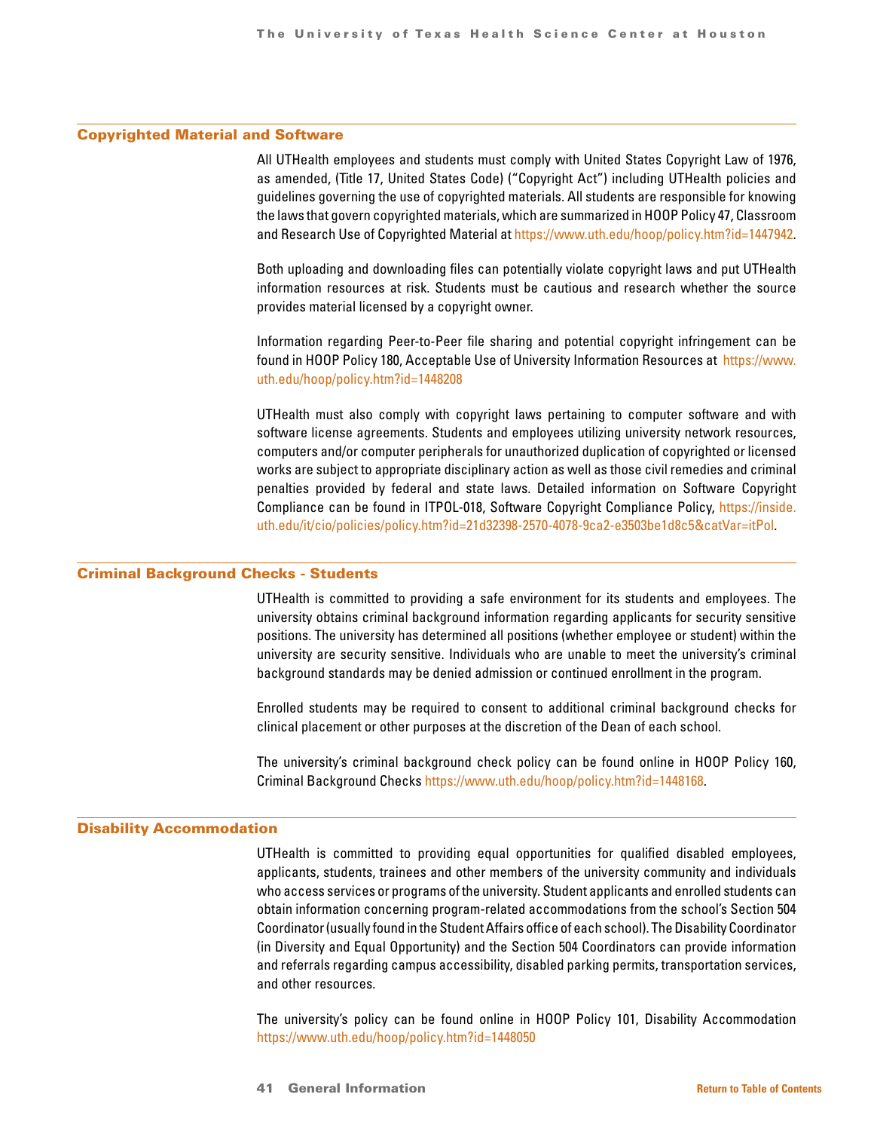### Copyrighted Material and Software

All UTHealth employees and students must comply with United States Copyright Law of 1976, as amended, (Title 17, United States Code) ("Copyright Act") including UTHealth policies and guidelines governing the use of copyrighted materials. All students are responsible for knowing the laws that govern copyrighted materials, which are summarized in HOOP Policy 47, Classroom and Research Use of Copyrighted Material at [https://www.uth.edu/hoop/policy.htm?id=1447942.](https://www.uth.edu/hoop/policy.htm?id=1447942)

Both uploading and downloading files can potentially violate copyright laws and put UTHealth information resources at risk. Students must be cautious and research whether the source provides material licensed by a copyright owner.

Information regarding Peer-to-Peer file sharing and potential copyright infringement can be found in HOOP Policy 180, Acceptable Use of University Information Resources at [https://www.](https://www.uth.edu/hoop/policy.htm?id=1448208) [uth.edu/hoop/policy.htm?id=1448208](https://www.uth.edu/hoop/policy.htm?id=1448208)

UTHealth must also comply with copyright laws pertaining to computer software and with software license agreements. Students and employees utilizing university network resources, computers and/or computer peripherals for unauthorized duplication of copyrighted or licensed works are subject to appropriate disciplinary action as well as those civil remedies and criminal penalties provided by federal and state laws. Detailed information on Software Copyright Compliance can be found in ITPOL-018, Software Copyright Compliance Policy, [https://inside.](https://inside.uth.edu/it/cio/policies/policy.htm?id=21d32398-2570-4078-9ca2-e3503be1d8c5&catVar=itP) [uth.edu/it/cio/policies/policy.htm?id=21d32398-2570-4078-9ca2-e3503be1d8c5&catVar=itPol](https://inside.uth.edu/it/cio/policies/policy.htm?id=21d32398-2570-4078-9ca2-e3503be1d8c5&catVar=itP).

### Criminal Background Checks - Students

UTHealth is committed to providing a safe environment for its students and employees. The university obtains criminal background information regarding applicants for security sensitive positions. The university has determined all positions (whether employee or student) within the university are security sensitive. Individuals who are unable to meet the university's criminal background standards may be denied admission or continued enrollment in the program.

Enrolled students may be required to consent to additional criminal background checks for clinical placement or other purposes at the discretion of the Dean of each school.

The university's criminal background check policy can be found online in HOOP Policy 160, Criminal Background Checks <https://www.uth.edu/hoop/policy.htm?id=1448168>.

### Disability Accommodation

UTHealth is committed to providing equal opportunities for qualified disabled employees, applicants, students, trainees and other members of the university community and individuals who access services or programs of the university. Student applicants and enrolled students can obtain information concerning program-related accommodations from the school's Section 504 Coordinator (usually found in the Student Affairs office of each school). The Disability Coordinator (in Diversity and Equal Opportunity) and the Section 504 Coordinators can provide information and referrals regarding campus accessibility, disabled parking permits, transportation services, and other resources.

The university's policy can be found online in HOOP Policy 101, Disability Accommodation <https://www.uth.edu/hoop/policy.htm?id=1448050>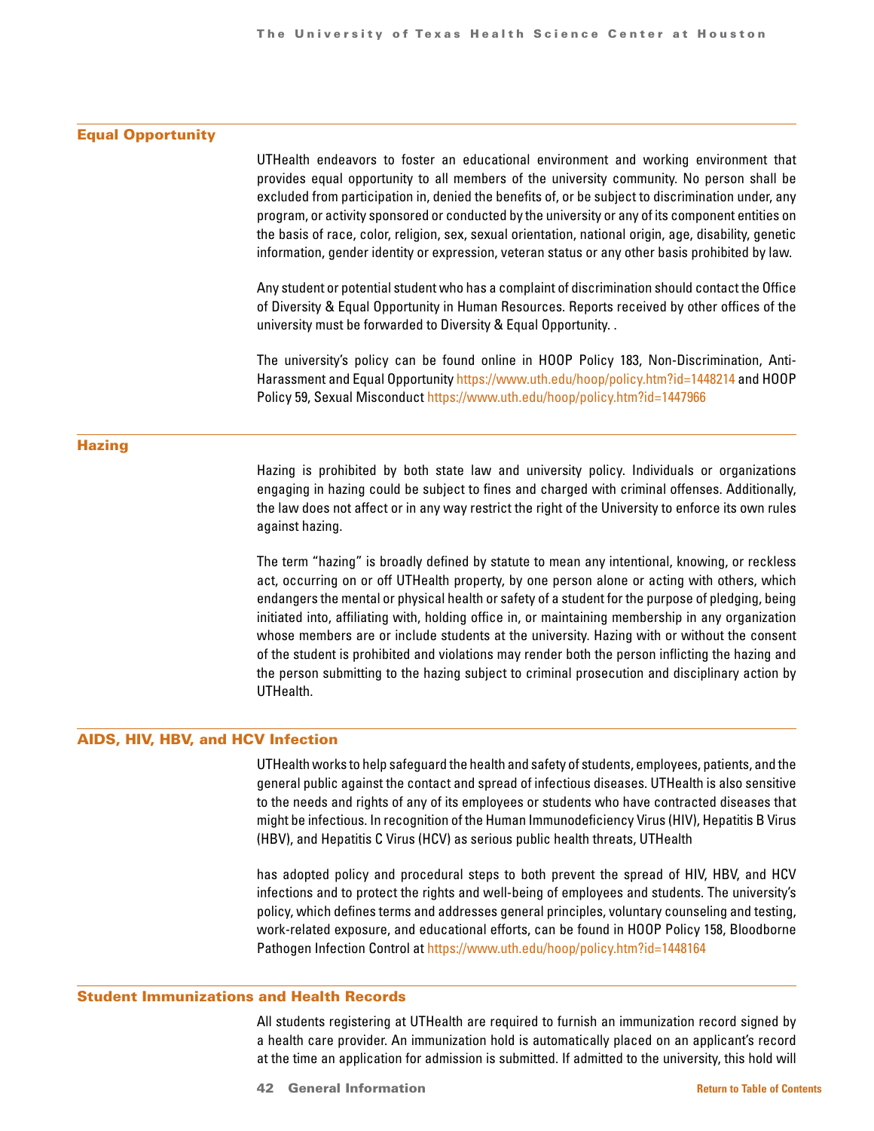### Equal Opportunity

UTHealth endeavors to foster an educational environment and working environment that provides equal opportunity to all members of the university community. No person shall be excluded from participation in, denied the benefits of, or be subject to discrimination under, any program, or activity sponsored or conducted by the university or any of its component entities on the basis of race, color, religion, sex, sexual orientation, national origin, age, disability, genetic information, gender identity or expression, veteran status or any other basis prohibited by law.

Any student or potential student who has a complaint of discrimination should contact the Office of Diversity & Equal Opportunity in Human Resources. Reports received by other offices of the university must be forwarded to Diversity & Equal Opportunity. .

The university's policy can be found online in HOOP Policy 183, Non-Discrimination, Anti-Harassment and Equal Opportunity<https://www.uth.edu/hoop/policy.htm?id=1448214> and HOOP Policy 59, Sexual Misconduct<https://www.uth.edu/hoop/policy.htm?id=1447966>

### **Hazing**

Hazing is prohibited by both state law and university policy. Individuals or organizations engaging in hazing could be subject to fines and charged with criminal offenses. Additionally, the law does not affect or in any way restrict the right of the University to enforce its own rules against hazing.

The term "hazing" is broadly defined by statute to mean any intentional, knowing, or reckless act, occurring on or off UTHealth property, by one person alone or acting with others, which endangers the mental or physical health or safety of a student for the purpose of pledging, being initiated into, affiliating with, holding office in, or maintaining membership in any organization whose members are or include students at the university. Hazing with or without the consent of the student is prohibited and violations may render both the person inflicting the hazing and the person submitting to the hazing subject to criminal prosecution and disciplinary action by UTHealth.

### AIDS, HIV, HBV, and HCV Infection

UTHealth works to help safeguard the health and safety of students, employees, patients, and the general public against the contact and spread of infectious diseases. UTHealth is also sensitive to the needs and rights of any of its employees or students who have contracted diseases that might be infectious. In recognition of the Human Immunodeficiency Virus (HIV), Hepatitis B Virus (HBV), and Hepatitis C Virus (HCV) as serious public health threats, UTHealth

has adopted policy and procedural steps to both prevent the spread of HIV, HBV, and HCV infections and to protect the rights and well-being of employees and students. The university's policy, which defines terms and addresses general principles, voluntary counseling and testing, work-related exposure, and educational efforts, can be found in HOOP Policy 158, Bloodborne Pathogen Infection Control at<https://www.uth.edu/hoop/policy.htm?id=1448164>

### Student Immunizations and Health Records

All students registering at UTHealth are required to furnish an immunization record signed by a health care provider. An immunization hold is automatically placed on an applicant's record at the time an application for admission is submitted. If admitted to the university, this hold will

42 General Information **[Return to Table of Contents](#page-1-0)**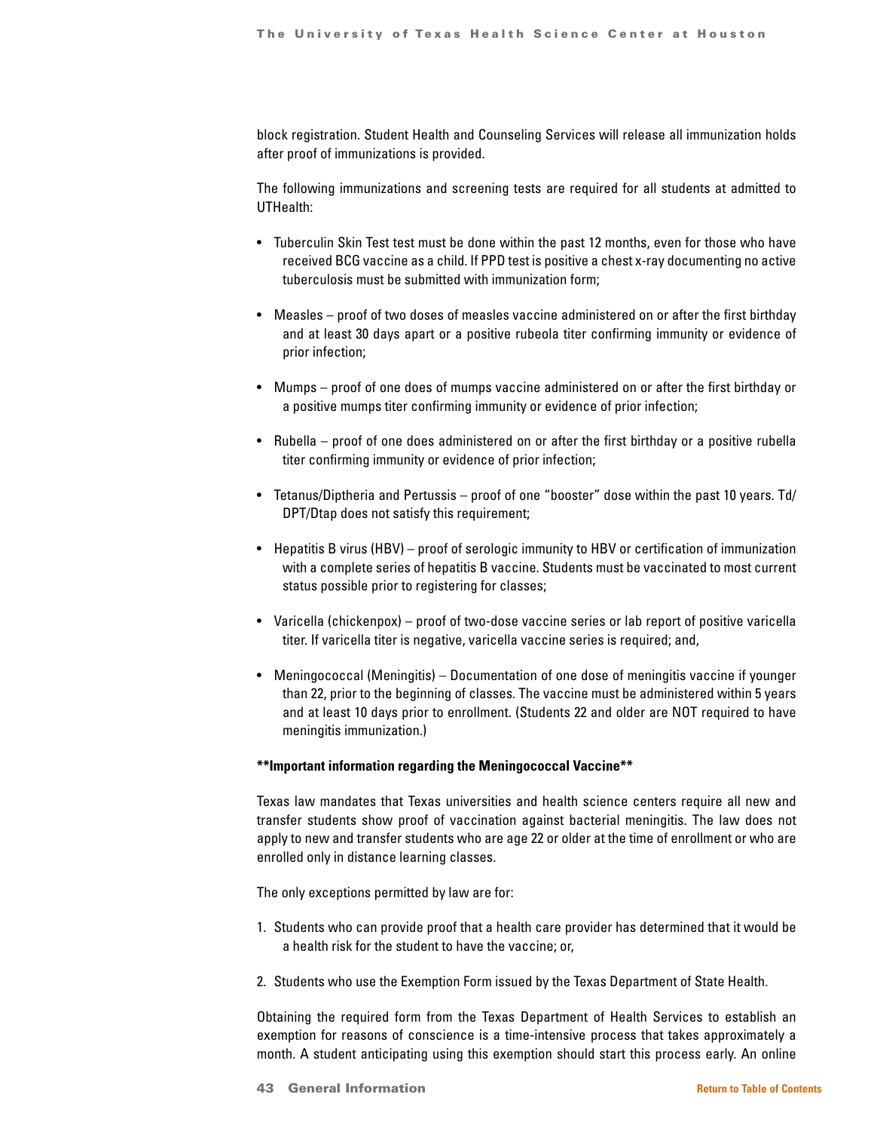block registration. Student Health and Counseling Services will release all immunization holds after proof of immunizations is provided.

The following immunizations and screening tests are required for all students at admitted to UTHealth:

- Tuberculin Skin Test test must be done within the past 12 months, even for those who have received BCG vaccine as a child. If PPD test is positive a chest x-ray documenting no active tuberculosis must be submitted with immunization form;
- Measles proof of two doses of measles vaccine administered on or after the first birthday and at least 30 days apart or a positive rubeola titer confirming immunity or evidence of prior infection;
- Mumps proof of one does of mumps vaccine administered on or after the first birthday or a positive mumps titer confirming immunity or evidence of prior infection;
- Rubella proof of one does administered on or after the first birthday or a positive rubella titer confirming immunity or evidence of prior infection;
- Tetanus/Diptheria and Pertussis proof of one "booster" dose within the past 10 years. Td/ DPT/Dtap does not satisfy this requirement;
- Hepatitis B virus (HBV) proof of serologic immunity to HBV or certification of immunization with a complete series of hepatitis B vaccine. Students must be vaccinated to most current status possible prior to registering for classes;
- Varicella (chickenpox) proof of two-dose vaccine series or lab report of positive varicella titer. If varicella titer is negative, varicella vaccine series is required; and,
- Meningococcal (Meningitis) Documentation of one dose of meningitis vaccine if younger than 22, prior to the beginning of classes. The vaccine must be administered within 5 years and at least 10 days prior to enrollment. (Students 22 and older are NOT required to have meningitis immunization.)

### **\*\*Important information regarding the Meningococcal Vaccine\*\***

Texas law mandates that Texas universities and health science centers require all new and transfer students show proof of vaccination against bacterial meningitis. The law does not apply to new and transfer students who are age 22 or older at the time of enrollment or who are enrolled only in distance learning classes.

The only exceptions permitted by law are for:

- 1. Students who can provide proof that a health care provider has determined that it would be a health risk for the student to have the vaccine; or,
- 2. Students who use the Exemption Form issued by the Texas Department of State Health.

Obtaining the required form from the Texas Department of Health Services to establish an exemption for reasons of conscience is a time-intensive process that takes approximately a month. A student anticipating using this exemption should start this process early. An online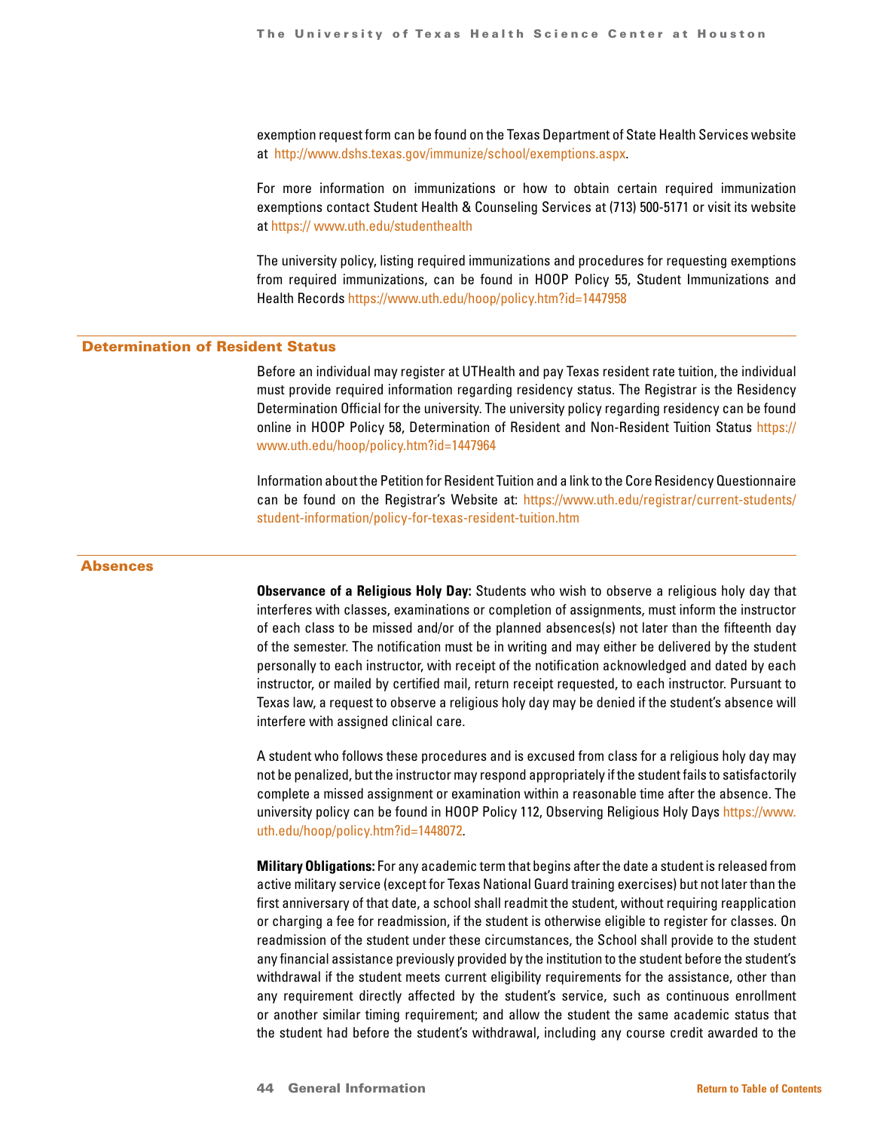exemption request form can be found on the Texas Department of State Health Services website at <http://www.dshs.texas.gov/immunize/school/exemptions.aspx>.

For more information on immunizations or how to obtain certain required immunization exemptions contact Student Health & Counseling Services at (713) 500-5171 or visit its website at <https:// www.uth.edu/studenthealth>

The university policy, listing required immunizations and procedures for requesting exemptions from required immunizations, can be found in HOOP Policy 55, Student Immunizations and Health Records <https://www.uth.edu/hoop/policy.htm?id=1447958>

### Determination of Resident Status

Before an individual may register at UTHealth and pay Texas resident rate tuition, the individual must provide required information regarding residency status. The Registrar is the Residency Determination Official for the university. The university policy regarding residency can be found online in HOOP Policy 58, Determination of Resident and Non-Resident Tuition Status [https://](https:// www.uth.edu/hoop/policy.htm?id=1447964) [www.uth.edu/hoop/policy.htm?id=1447964](https:// www.uth.edu/hoop/policy.htm?id=1447964)

Information about the Petition for Resident Tuition and a link to the Core Residency Questionnaire can be found on the Registrar's Website at: [https://www.uth.edu/registrar/current-students/](https://www.uth.edu/registrar/current-students/ student-information/policy-for-texas-resident-tuitio) [student-information/policy-for-texas-resident-tuition.htm](https://www.uth.edu/registrar/current-students/ student-information/policy-for-texas-resident-tuitio)

### Absences

**Observance of a Religious Holy Day:** Students who wish to observe a religious holy day that interferes with classes, examinations or completion of assignments, must inform the instructor of each class to be missed and/or of the planned absences(s) not later than the fifteenth day of the semester. The notification must be in writing and may either be delivered by the student personally to each instructor, with receipt of the notification acknowledged and dated by each instructor, or mailed by certified mail, return receipt requested, to each instructor. Pursuant to Texas law, a request to observe a religious holy day may be denied if the student's absence will interfere with assigned clinical care.

A student who follows these procedures and is excused from class for a religious holy day may not be penalized, but the instructor may respond appropriately if the student fails to satisfactorily complete a missed assignment or examination within a reasonable time after the absence. The university policy can be found in HOOP Policy 112, Observing Religious Holy Days [https://www.](https://www. uth.edu/hoop/policy.htm?id=1448072) [uth.edu/hoop/policy.htm?id=1448072](https://www. uth.edu/hoop/policy.htm?id=1448072).

**Military Obligations:** For any academic term that begins after the date a student is released from active military service (except for Texas National Guard training exercises) but not later than the first anniversary of that date, a school shall readmit the student, without requiring reapplication or charging a fee for readmission, if the student is otherwise eligible to register for classes. On readmission of the student under these circumstances, the School shall provide to the student any financial assistance previously provided by the institution to the student before the student's withdrawal if the student meets current eligibility requirements for the assistance, other than any requirement directly affected by the student's service, such as continuous enrollment or another similar timing requirement; and allow the student the same academic status that the student had before the student's withdrawal, including any course credit awarded to the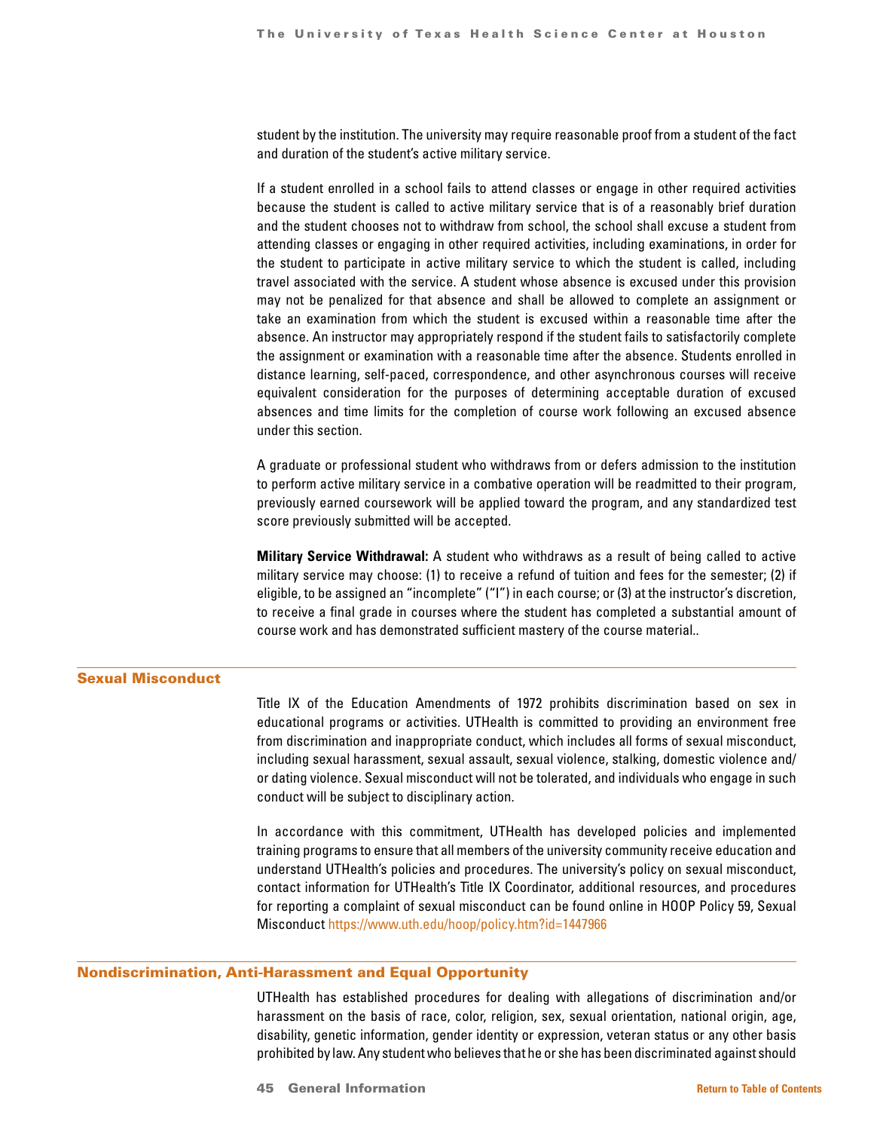student by the institution. The university may require reasonable proof from a student of the fact and duration of the student's active military service.

If a student enrolled in a school fails to attend classes or engage in other required activities because the student is called to active military service that is of a reasonably brief duration and the student chooses not to withdraw from school, the school shall excuse a student from attending classes or engaging in other required activities, including examinations, in order for the student to participate in active military service to which the student is called, including travel associated with the service. A student whose absence is excused under this provision may not be penalized for that absence and shall be allowed to complete an assignment or take an examination from which the student is excused within a reasonable time after the absence. An instructor may appropriately respond if the student fails to satisfactorily complete the assignment or examination with a reasonable time after the absence. Students enrolled in distance learning, self-paced, correspondence, and other asynchronous courses will receive equivalent consideration for the purposes of determining acceptable duration of excused absences and time limits for the completion of course work following an excused absence under this section.

A graduate or professional student who withdraws from or defers admission to the institution to perform active military service in a combative operation will be readmitted to their program, previously earned coursework will be applied toward the program, and any standardized test score previously submitted will be accepted.

**Military Service Withdrawal:** A student who withdraws as a result of being called to active military service may choose: (1) to receive a refund of tuition and fees for the semester; (2) if eligible, to be assigned an "incomplete" ("I") in each course; or (3) at the instructor's discretion, to receive a final grade in courses where the student has completed a substantial amount of course work and has demonstrated sufficient mastery of the course material..

### Sexual Misconduct

Title IX of the Education Amendments of 1972 prohibits discrimination based on sex in educational programs or activities. UTHealth is committed to providing an environment free from discrimination and inappropriate conduct, which includes all forms of sexual misconduct, including sexual harassment, sexual assault, sexual violence, stalking, domestic violence and/ or dating violence. Sexual misconduct will not be tolerated, and individuals who engage in such conduct will be subject to disciplinary action.

In accordance with this commitment, UTHealth has developed policies and implemented training programs to ensure that all members of the university community receive education and understand UTHealth's policies and procedures. The university's policy on sexual misconduct, contact information for UTHealth's Title IX Coordinator, additional resources, and procedures for reporting a complaint of sexual misconduct can be found online in HOOP Policy 59, Sexual Misconduct <https://www.uth.edu/hoop/policy.htm?id=1447966>

### Nondiscrimination, Anti-Harassment and Equal Opportunity

UTHealth has established procedures for dealing with allegations of discrimination and/or harassment on the basis of race, color, religion, sex, sexual orientation, national origin, age, disability, genetic information, gender identity or expression, veteran status or any other basis prohibited by law. Any student who believes that he or she has been discriminated against should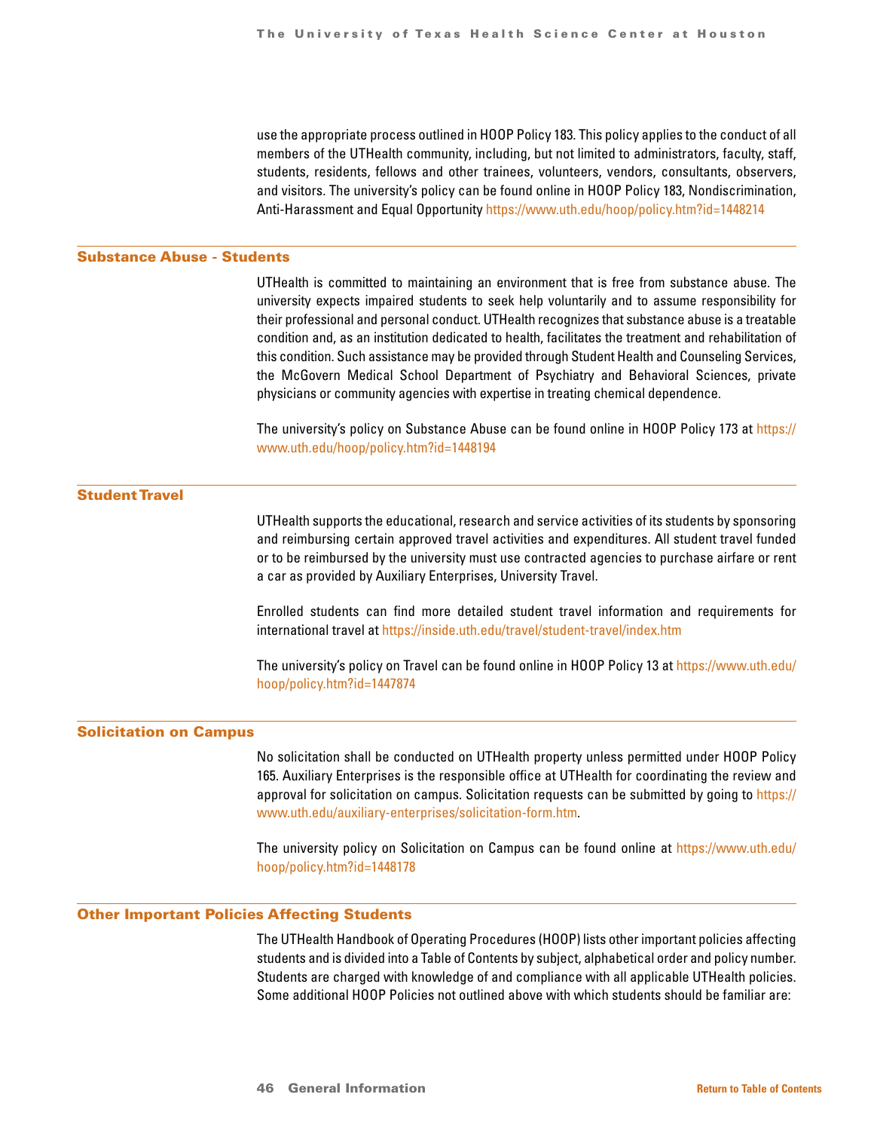use the appropriate process outlined in HOOP Policy 183. This policy applies to the conduct of all members of the UTHealth community, including, but not limited to administrators, faculty, staff, students, residents, fellows and other trainees, volunteers, vendors, consultants, observers, and visitors. The university's policy can be found online in HOOP Policy 183, Nondiscrimination, Anti-Harassment and Equal Opportunity <https://www.uth.edu/hoop/policy.htm?id=1448214>

### Substance Abuse - Students

UTHealth is committed to maintaining an environment that is free from substance abuse. The university expects impaired students to seek help voluntarily and to assume responsibility for their professional and personal conduct. UTHealth recognizes that substance abuse is a treatable condition and, as an institution dedicated to health, facilitates the treatment and rehabilitation of this condition. Such assistance may be provided through Student Health and Counseling Services, the McGovern Medical School Department of Psychiatry and Behavioral Sciences, private physicians or community agencies with expertise in treating chemical dependence.

The university's policy on Substance Abuse can be found online in HOOP Policy 173 at [https://](https:// www.uth.edu/hoop/policy.htm?id=1448194)  [www.uth.edu/hoop/policy.htm?id=1448194](https:// www.uth.edu/hoop/policy.htm?id=1448194)

### Student Travel

UTHealth supports the educational, research and service activities of its students by sponsoring and reimbursing certain approved travel activities and expenditures. All student travel funded or to be reimbursed by the university must use contracted agencies to purchase airfare or rent a car as provided by Auxiliary Enterprises, University Travel.

Enrolled students can find more detailed student travel information and requirements for international travel at <https://inside.uth.edu/travel/student-travel/index.htm>

The university's policy on Travel can be found online in HOOP Policy 13 at [https://www.uth.edu/](https://www.uth.edu/ hoop/policy.htm?id=1447874) [hoop/policy.htm?id=1447874](https://www.uth.edu/ hoop/policy.htm?id=1447874)

### Solicitation on Campus

No solicitation shall be conducted on UTHealth property unless permitted under HOOP Policy 165. Auxiliary Enterprises is the responsible office at UTHealth for coordinating the review and approval for solicitation on campus. Solicitation requests can be submitted by going to [https://](https://www.uth.edu/auxiliary-enterprises/solicitation-form.htm) [www.uth.edu/auxiliary-enterprises/solicitation-form.htm.](https://www.uth.edu/auxiliary-enterprises/solicitation-form.htm)

The university policy on Solicitation on Campus can be found online at [https://www.uth.edu/](https://www.uth.edu/ hoop/policy.htm?id=1448178) [hoop/policy.htm?id=1448178](https://www.uth.edu/ hoop/policy.htm?id=1448178)

### Other Important Policies Affecting Students

The UTHealth Handbook of Operating Procedures (HOOP) lists other important policies affecting students and is divided into a Table of Contents by subject, alphabetical order and policy number. Students are charged with knowledge of and compliance with all applicable UTHealth policies. Some additional HOOP Policies not outlined above with which students should be familiar are: